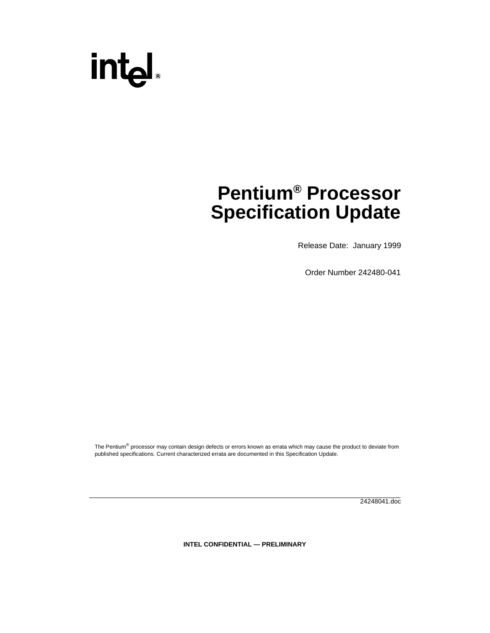### **Pentium® Processor Specification Update**

Release Date: January 1999

Order Number 242480-041

The Pentium® processor may contain design defects or errors known as errata which may cause the product to deviate from published specifications. Current characterized errata are documented in this Specification Update.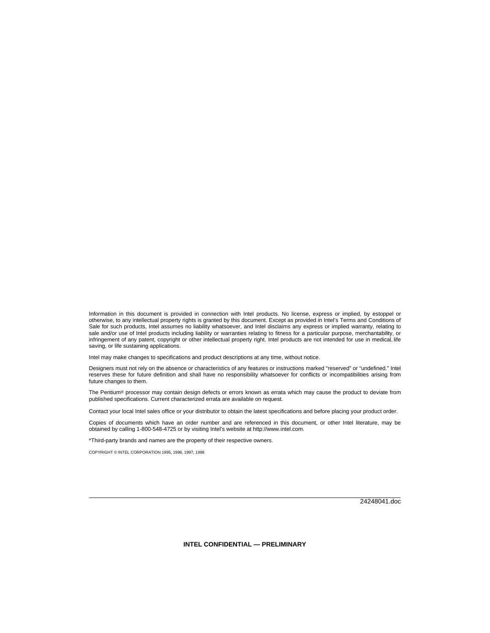Information in this document is provided in connection with Intel products. No license, express or implied, by estoppel or otherwise, to any intellectual property rights is granted by this document. Except as provided in Intel's Terms and Conditions of Sale for such products, Intel assumes no liability whatsoever, and Intel disclaims any express or implied warranty, relating to sale and/or use of Intel products including liability or warranties relating to fitness for a particular purpose, merchantability, or infringement of any patent, copyright or other intellectual property right. Intel products are not intended for use in medical, life saving, or life sustaining applications.

Intel may make changes to specifications and product descriptions at any time, without notice.

Designers must not rely on the absence or characteristics of any features or instructions marked "reserved" or "undefined." Intel reserves these for future definition and shall have no responsibility whatsoever for conflicts or incompatibilities arising from future changes to them.

The Pentium® processor may contain design defects or errors known as errata which may cause the product to deviate from published specifications. Current characterized errata are available on request.

Contact your local Intel sales office or your distributor to obtain the latest specifications and before placing your product order.

Copies of documents which have an order number and are referenced in this document, or other Intel literature, may be obtained by calling 1-800-548-4725 or by visiting Intel's website at http://www.intel.com.

\*Third-party brands and names are the property of their respective owners.

COPYRIGHT © INTEL CORPORATION 1995, 1996, 1997, 1998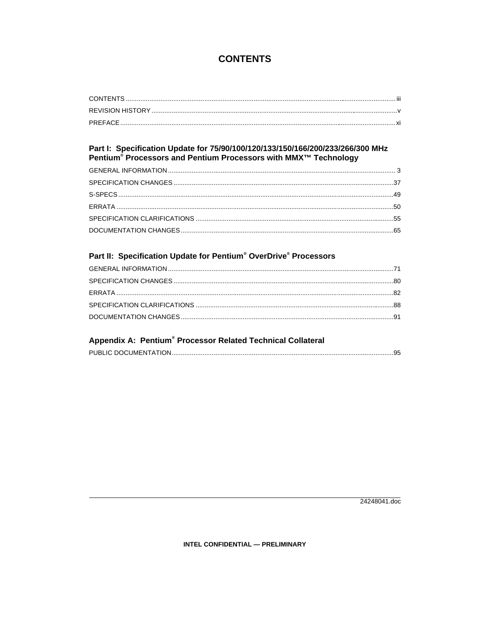### **CONTENTS**

#### Part I: Specification Update for 75/90/100/120/133/150/166/200/233/266/300 MHz Pentium® Processors and Pentium Processors with MMX™ Technology

### Part II: Specification Update for Pentium® OverDrive® Processors

### Appendix A: Pentium® Processor Related Technical Collateral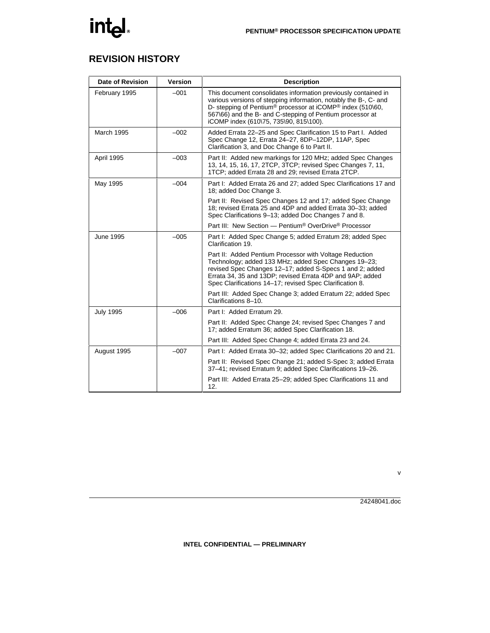### **REVISION HISTORY**

| Date of Revision | <b>Version</b> | <b>Description</b>                                                                                                                                                                                                                                                                                                              |  |  |  |
|------------------|----------------|---------------------------------------------------------------------------------------------------------------------------------------------------------------------------------------------------------------------------------------------------------------------------------------------------------------------------------|--|--|--|
| February 1995    | $-001$         | This document consolidates information previously contained in<br>various versions of stepping information, notably the B-, C- and<br>D- stepping of Pentium <sup>®</sup> processor at iCOMP <sup>®</sup> index (510\60,<br>567\66) and the B- and C-stepping of Pentium processor at<br>iCOMP index (610\75, 735\90, 815\100). |  |  |  |
| March 1995       | $-002$         | Added Errata 22-25 and Spec Clarification 15 to Part I. Added<br>Spec Change 12, Errata 24–27, 8DP–12DP, 11AP, Spec<br>Clarification 3, and Doc Change 6 to Part II.                                                                                                                                                            |  |  |  |
| April 1995       | $-003$         | Part II: Added new markings for 120 MHz; added Spec Changes<br>13, 14, 15, 16, 17, 2TCP, 3TCP; revised Spec Changes 7, 11,<br>1TCP; added Errata 28 and 29; revised Errata 2TCP.                                                                                                                                                |  |  |  |
| May 1995         | $-004$         | Part I: Added Errata 26 and 27; added Spec Clarifications 17 and<br>18; added Doc Change 3.                                                                                                                                                                                                                                     |  |  |  |
|                  |                | Part II: Revised Spec Changes 12 and 17; added Spec Change<br>18; revised Errata 25 and 4DP and added Errata 30-33; added<br>Spec Clarifications 9–13; added Doc Changes 7 and 8.                                                                                                                                               |  |  |  |
|                  |                | Part III: New Section - Pentium <sup>®</sup> OverDrive <sup>®</sup> Processor                                                                                                                                                                                                                                                   |  |  |  |
| June 1995        | $-005$         | Part I: Added Spec Change 5; added Erratum 28; added Spec<br>Clarification 19.                                                                                                                                                                                                                                                  |  |  |  |
|                  |                | Part II: Added Pentium Processor with Voltage Reduction<br>Technology; added 133 MHz; added Spec Changes 19-23;<br>revised Spec Changes 12-17; added S-Specs 1 and 2; added<br>Errata 34, 35 and 13DP; revised Errata 4DP and 9AP; added<br>Spec Clarifications 14-17; revised Spec Clarification 8.                            |  |  |  |
|                  |                | Part III: Added Spec Change 3; added Erratum 22; added Spec<br>Clarifications 8-10.                                                                                                                                                                                                                                             |  |  |  |
| <b>July 1995</b> | $-006$         | Part I: Added Erratum 29.                                                                                                                                                                                                                                                                                                       |  |  |  |
|                  |                | Part II: Added Spec Change 24; revised Spec Changes 7 and<br>17; added Erratum 36; added Spec Clarification 18.                                                                                                                                                                                                                 |  |  |  |
|                  |                | Part III: Added Spec Change 4; added Errata 23 and 24.                                                                                                                                                                                                                                                                          |  |  |  |
| August 1995      | $-007$         | Part I: Added Errata 30–32; added Spec Clarifications 20 and 21.                                                                                                                                                                                                                                                                |  |  |  |
|                  |                | Part II: Revised Spec Change 21; added S-Spec 3; added Errata<br>37-41; revised Erratum 9; added Spec Clarifications 19-26.                                                                                                                                                                                                     |  |  |  |
|                  |                | Part III: Added Errata 25-29; added Spec Clarifications 11 and<br>12.                                                                                                                                                                                                                                                           |  |  |  |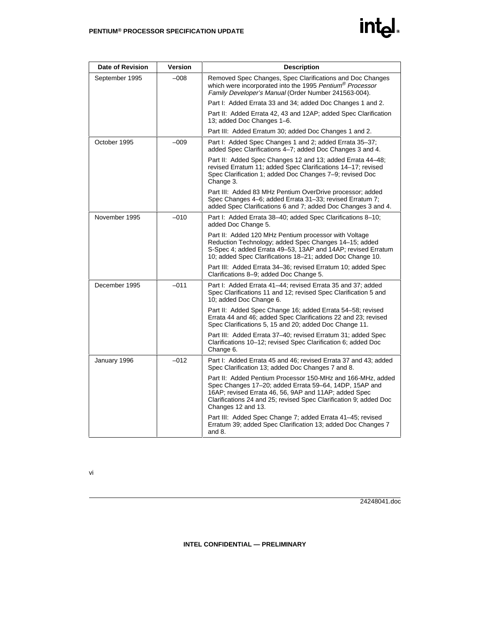| Date of Revision | <b>Version</b> | <b>Description</b>                                                                                                                                                                                                                                                        |  |  |
|------------------|----------------|---------------------------------------------------------------------------------------------------------------------------------------------------------------------------------------------------------------------------------------------------------------------------|--|--|
| September 1995   | $-008$         | Removed Spec Changes, Spec Clarifications and Doc Changes<br>which were incorporated into the 1995 Pentium <sup>®</sup> Processor<br>Family Developer's Manual (Order Number 241563-004).                                                                                 |  |  |
|                  |                | Part I: Added Errata 33 and 34; added Doc Changes 1 and 2.                                                                                                                                                                                                                |  |  |
|                  |                | Part II: Added Errata 42, 43 and 12AP; added Spec Clarification<br>13; added Doc Changes 1-6.                                                                                                                                                                             |  |  |
|                  |                | Part III: Added Erratum 30; added Doc Changes 1 and 2.                                                                                                                                                                                                                    |  |  |
| October 1995     | $-009$         | Part I: Added Spec Changes 1 and 2; added Errata 35–37;<br>added Spec Clarifications 4-7; added Doc Changes 3 and 4.                                                                                                                                                      |  |  |
|                  |                | Part II: Added Spec Changes 12 and 13; added Errata 44–48;<br>revised Erratum 11; added Spec Clarifications 14-17; revised<br>Spec Clarification 1; added Doc Changes 7-9; revised Doc<br>Change 3.                                                                       |  |  |
|                  |                | Part III: Added 83 MHz Pentium OverDrive processor; added<br>Spec Changes 4–6; added Errata 31–33; revised Erratum 7;<br>added Spec Clarifications 6 and 7; added Doc Changes 3 and 4.                                                                                    |  |  |
| November 1995    | $-010$         | Part I: Added Errata 38-40; added Spec Clarifications 8-10;<br>added Doc Change 5.                                                                                                                                                                                        |  |  |
|                  |                | Part II: Added 120 MHz Pentium processor with Voltage<br>Reduction Technology; added Spec Changes 14-15; added<br>S-Spec 4; added Errata 49-53, 13AP and 14AP; revised Erratum<br>10; added Spec Clarifications 18-21; added Doc Change 10.                               |  |  |
|                  |                | Part III: Added Errata 34–36; revised Erratum 10; added Spec<br>Clarifications 8-9; added Doc Change 5.                                                                                                                                                                   |  |  |
| December 1995    | $-011$         | Part I: Added Errata 41–44; revised Errata 35 and 37; added<br>Spec Clarifications 11 and 12; revised Spec Clarification 5 and<br>10; added Doc Change 6.                                                                                                                 |  |  |
|                  |                | Part II: Added Spec Change 16; added Errata 54–58; revised<br>Errata 44 and 46; added Spec Clarifications 22 and 23; revised<br>Spec Clarifications 5, 15 and 20; added Doc Change 11.                                                                                    |  |  |
|                  |                | Part III: Added Errata 37–40; revised Erratum 31; added Spec<br>Clarifications 10-12; revised Spec Clarification 6; added Doc<br>Change 6.                                                                                                                                |  |  |
| January 1996     | $-012$         | Part I: Added Errata 45 and 46; revised Errata 37 and 43; added<br>Spec Clarification 13; added Doc Changes 7 and 8.                                                                                                                                                      |  |  |
|                  |                | Part II: Added Pentium Processor 150-MHz and 166-MHz, added<br>Spec Changes 17–20; added Errata 59–64, 14DP, 15AP and<br>16AP; revised Errata 46, 56, 9AP and 11AP; added Spec<br>Clarifications 24 and 25; revised Spec Clarification 9; added Doc<br>Changes 12 and 13. |  |  |
|                  |                | Part III: Added Spec Change 7; added Errata 41–45; revised<br>Erratum 39; added Spec Clarification 13; added Doc Changes 7<br>and 8.                                                                                                                                      |  |  |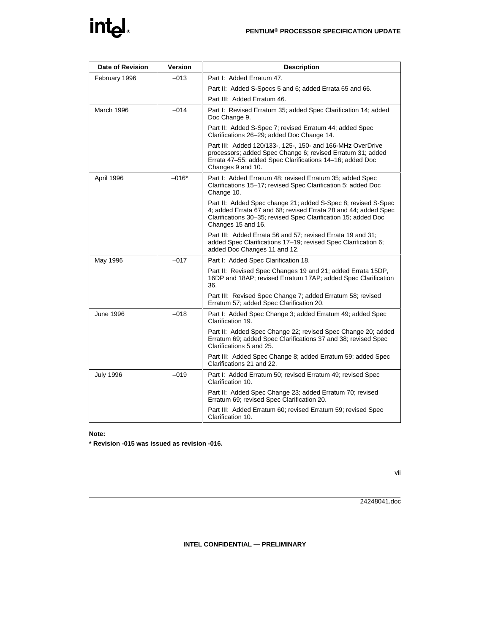| <b>Date of Revision</b> | <b>Version</b> | <b>Description</b>                                                                                                                                                                                                       |  |  |  |
|-------------------------|----------------|--------------------------------------------------------------------------------------------------------------------------------------------------------------------------------------------------------------------------|--|--|--|
| February 1996           | $-013$         | Part I: Added Erratum 47.                                                                                                                                                                                                |  |  |  |
|                         |                | Part II: Added S-Specs 5 and 6; added Errata 65 and 66.                                                                                                                                                                  |  |  |  |
|                         |                | Part III: Added Erratum 46.                                                                                                                                                                                              |  |  |  |
| March 1996              | $-014$         | Part I: Revised Erratum 35; added Spec Clarification 14; added<br>Doc Change 9.                                                                                                                                          |  |  |  |
|                         |                | Part II: Added S-Spec 7; revised Erratum 44; added Spec<br>Clarifications 26-29; added Doc Change 14.                                                                                                                    |  |  |  |
|                         |                | Part III: Added 120/133-, 125-, 150- and 166-MHz OverDrive<br>processors; added Spec Change 6; revised Erratum 31; added<br>Errata 47-55; added Spec Clarifications 14-16; added Doc<br>Changes 9 and 10.                |  |  |  |
| April 1996              | $-016*$        | Part I: Added Erratum 48; revised Erratum 35; added Spec<br>Clarifications 15-17; revised Spec Clarification 5; added Doc<br>Change 10.                                                                                  |  |  |  |
|                         |                | Part II: Added Spec change 21; added S-Spec 8; revised S-Spec<br>4; added Errata 67 and 68; revised Errata 28 and 44; added Spec<br>Clarifications 30-35; revised Spec Clarification 15; added Doc<br>Changes 15 and 16. |  |  |  |
|                         |                | Part III: Added Errata 56 and 57; revised Errata 19 and 31;<br>added Spec Clarifications 17-19; revised Spec Clarification 6;<br>added Doc Changes 11 and 12.                                                            |  |  |  |
| May 1996                | $-017$         | Part I: Added Spec Clarification 18.                                                                                                                                                                                     |  |  |  |
|                         |                | Part II: Revised Spec Changes 19 and 21; added Errata 15DP,<br>16DP and 18AP; revised Erratum 17AP; added Spec Clarification<br>36.                                                                                      |  |  |  |
|                         |                | Part III: Revised Spec Change 7; added Erratum 58; revised<br>Erratum 57; added Spec Clarification 20.                                                                                                                   |  |  |  |
| <b>June 1996</b>        | $-018$         | Part I: Added Spec Change 3; added Erratum 49; added Spec<br>Clarification 19.                                                                                                                                           |  |  |  |
|                         |                | Part II: Added Spec Change 22; revised Spec Change 20; added<br>Erratum 69; added Spec Clarifications 37 and 38; revised Spec<br>Clarifications 5 and 25.                                                                |  |  |  |
|                         |                | Part III: Added Spec Change 8; added Erratum 59; added Spec<br>Clarifications 21 and 22.                                                                                                                                 |  |  |  |
| <b>July 1996</b>        | $-019$         | Part I: Added Erratum 50; revised Erratum 49; revised Spec<br>Clarification 10.                                                                                                                                          |  |  |  |
|                         |                | Part II: Added Spec Change 23; added Erratum 70; revised<br>Erratum 69; revised Spec Clarification 20.                                                                                                                   |  |  |  |
|                         |                | Part III: Added Erratum 60; revised Erratum 59; revised Spec<br>Clarification 10.                                                                                                                                        |  |  |  |

**Note:**

**\* Revision -015 was issued as revision -016.**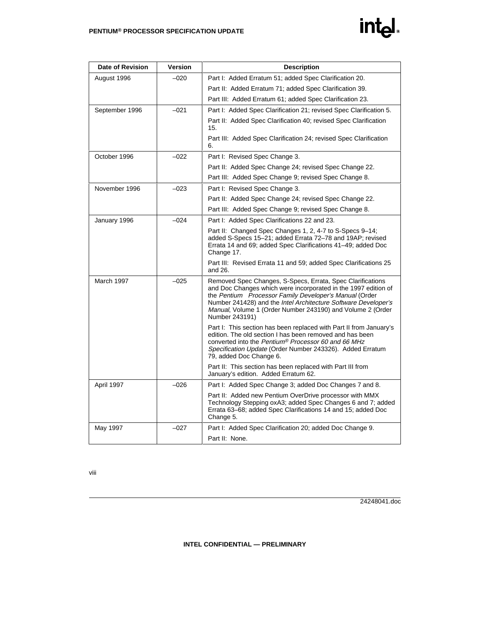| <b>Date of Revision</b> | Version | <b>Description</b>                                                                                                                                                                                                                                                                                                                                    |  |  |
|-------------------------|---------|-------------------------------------------------------------------------------------------------------------------------------------------------------------------------------------------------------------------------------------------------------------------------------------------------------------------------------------------------------|--|--|
| August 1996             | $-020$  | Part I: Added Erratum 51; added Spec Clarification 20.                                                                                                                                                                                                                                                                                                |  |  |
|                         |         | Part II: Added Erratum 71; added Spec Clarification 39.                                                                                                                                                                                                                                                                                               |  |  |
|                         |         | Part III: Added Erratum 61; added Spec Clarification 23.                                                                                                                                                                                                                                                                                              |  |  |
| September 1996          | $-021$  | Part I: Added Spec Clarification 21; revised Spec Clarification 5.                                                                                                                                                                                                                                                                                    |  |  |
|                         |         | Part II: Added Spec Clarification 40; revised Spec Clarification<br>15.                                                                                                                                                                                                                                                                               |  |  |
|                         |         | Part III: Added Spec Clarification 24; revised Spec Clarification<br>6.                                                                                                                                                                                                                                                                               |  |  |
| October 1996            | $-022$  | Part I: Revised Spec Change 3.                                                                                                                                                                                                                                                                                                                        |  |  |
|                         |         | Part II: Added Spec Change 24; revised Spec Change 22.                                                                                                                                                                                                                                                                                                |  |  |
|                         |         | Part III: Added Spec Change 9; revised Spec Change 8.                                                                                                                                                                                                                                                                                                 |  |  |
| November 1996           | $-023$  | Part I: Revised Spec Change 3.                                                                                                                                                                                                                                                                                                                        |  |  |
|                         |         | Part II: Added Spec Change 24; revised Spec Change 22.                                                                                                                                                                                                                                                                                                |  |  |
|                         |         | Part III: Added Spec Change 9; revised Spec Change 8.                                                                                                                                                                                                                                                                                                 |  |  |
| January 1996            | $-024$  | Part I: Added Spec Clarifications 22 and 23.                                                                                                                                                                                                                                                                                                          |  |  |
|                         |         | Part II: Changed Spec Changes 1, 2, 4-7 to S-Specs 9-14;<br>added S-Specs 15-21; added Errata 72-78 and 19AP; revised<br>Errata 14 and 69; added Spec Clarifications 41-49; added Doc<br>Change 17.                                                                                                                                                   |  |  |
|                         |         | Part III: Revised Errata 11 and 59; added Spec Clarifications 25<br>and 26.                                                                                                                                                                                                                                                                           |  |  |
| March 1997              | $-025$  | Removed Spec Changes, S-Specs, Errata, Spec Clarifications<br>and Doc Changes which were incorporated in the 1997 edition of<br>the Pentium <sup>®</sup> Processor Family Developer's Manual (Order<br>Number 241428) and the Intel Architecture Software Developer's<br>Manual, Volume 1 (Order Number 243190) and Volume 2 (Order<br>Number 243191) |  |  |
|                         |         | Part I: This section has been replaced with Part II from January's<br>edition. The old section I has been removed and has been<br>converted into the Pentium® Processor 60 and 66 MHz<br>Specification Update (Order Number 243326). Added Erratum<br>79, added Doc Change 6.                                                                         |  |  |
|                         |         | Part II: This section has been replaced with Part III from<br>January's edition. Added Erratum 62.                                                                                                                                                                                                                                                    |  |  |
| April 1997              | $-026$  | Part I: Added Spec Change 3; added Doc Changes 7 and 8.                                                                                                                                                                                                                                                                                               |  |  |
|                         |         | Part II: Added new Pentium OverDrive processor with MMX<br>Technology Stepping oxA3; added Spec Changes 6 and 7; added<br>Errata 63-68; added Spec Clarifications 14 and 15; added Doc<br>Change 5.                                                                                                                                                   |  |  |
| May 1997                | $-027$  | Part I: Added Spec Clarification 20; added Doc Change 9.                                                                                                                                                                                                                                                                                              |  |  |
|                         |         | Part II: None.                                                                                                                                                                                                                                                                                                                                        |  |  |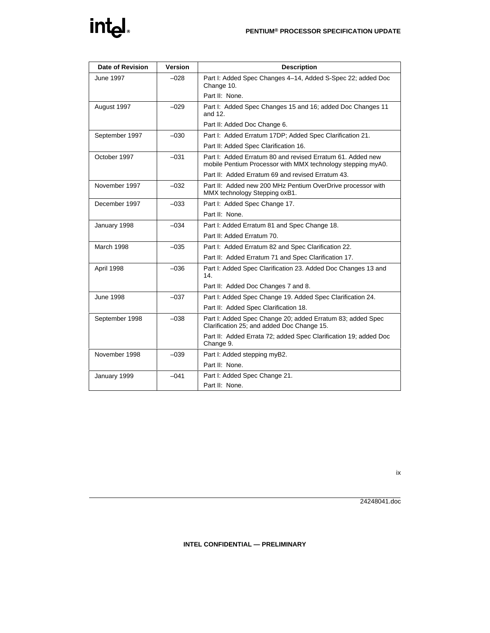| <b>Date of Revision</b> | <b>Version</b> | <b>Description</b>                                                                                                        |  |  |
|-------------------------|----------------|---------------------------------------------------------------------------------------------------------------------------|--|--|
| <b>June 1997</b>        | $-028$         | Part I: Added Spec Changes 4-14, Added S-Spec 22; added Doc<br>Change 10.                                                 |  |  |
|                         |                | Part II: None.                                                                                                            |  |  |
| August 1997             | $-029$         | Part I: Added Spec Changes 15 and 16; added Doc Changes 11<br>and 12.                                                     |  |  |
|                         |                | Part II: Added Doc Change 6.                                                                                              |  |  |
| September 1997          | $-030$         | Part I: Added Erratum 17DP; Added Spec Clarification 21.                                                                  |  |  |
|                         |                | Part II: Added Spec Clarification 16.                                                                                     |  |  |
| October 1997            | $-031$         | Part I: Added Erratum 80 and revised Erratum 61. Added new<br>mobile Pentium Processor with MMX technology stepping myA0. |  |  |
|                         |                | Part II: Added Erratum 69 and revised Erratum 43.                                                                         |  |  |
| November 1997           | $-032$         | Part II: Added new 200 MHz Pentium OverDrive processor with<br>MMX technology Stepping oxB1.                              |  |  |
| December 1997           | $-0.33$        | Part I: Added Spec Change 17.                                                                                             |  |  |
|                         |                | Part II: None.                                                                                                            |  |  |
| January 1998            | $-034$         | Part I: Added Erratum 81 and Spec Change 18.                                                                              |  |  |
|                         |                | Part II: Added Erratum 70.                                                                                                |  |  |
| March 1998              | $-035$         | Part I: Added Erratum 82 and Spec Clarification 22.                                                                       |  |  |
|                         |                | Part II: Added Erratum 71 and Spec Clarification 17.                                                                      |  |  |
| April 1998              | $-036$         | Part I: Added Spec Clarification 23. Added Doc Changes 13 and<br>14.                                                      |  |  |
|                         |                | Part II: Added Doc Changes 7 and 8.                                                                                       |  |  |
| <b>June 1998</b>        | $-037$         | Part I: Added Spec Change 19. Added Spec Clarification 24.                                                                |  |  |
|                         |                | Part II: Added Spec Clarification 18.                                                                                     |  |  |
| September 1998          | $-0.38$        | Part I: Added Spec Change 20; added Erratum 83; added Spec<br>Clarification 25; and added Doc Change 15.                  |  |  |
|                         |                | Part II: Added Errata 72; added Spec Clarification 19; added Doc<br>Change 9.                                             |  |  |
| November 1998           | $-0.39$        | Part I: Added stepping myB2.                                                                                              |  |  |
|                         |                | Part II: None.                                                                                                            |  |  |
| January 1999            | $-041$         | Part I: Added Spec Change 21.                                                                                             |  |  |
|                         |                | Part II: None.                                                                                                            |  |  |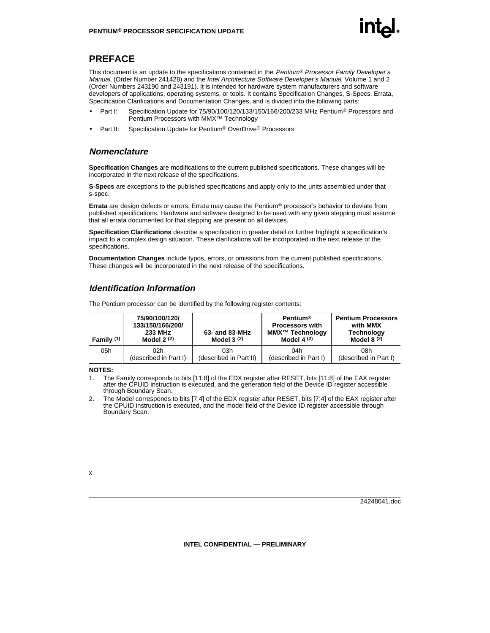

### **PREFACE**

This document is an update to the specifications contained in the Pentium® Processor Family Developer's Manual, (Order Number 241428) and the Intel Architecture Software Developer's Manual, Volume 1 and 2 (Order Numbers 243190 and 243191). It is intended for hardware system manufacturers and software developers of applications, operating systems, or tools. It contains Specification Changes, S-Specs, Errata, Specification Clarifications and Documentation Changes, and is divided into the following parts:

- Part I: Specification Update for 75/90/100/120/133/150/166/200/233 MHz Pentium® Processors and Pentium Processors with MMX™ Technology
- Part II: Specification Update for Pentium® OverDrive® Processors

#### **Nomenclature**

**Specification Changes** are modifications to the current published specifications. These changes will be incorporated in the next release of the specifications.

**S-Specs** are exceptions to the published specifications and apply only to the units assembled under that s-spec.

**Errata** are design defects or errors. Errata may cause the Pentium® processor's behavior to deviate from published specifications. Hardware and software designed to be used with any given stepping must assume that all errata documented for that stepping are present on all devices.

**Specification Clarifications** describe a specification in greater detail or further highlight a specification's impact to a complex design situation. These clarifications will be incorporated in the next release of the specifications.

**Documentation Changes** include typos, errors, or omissions from the current published specifications. These changes will be incorporated in the next release of the specifications.

#### **Identification Information**

| Family (1) | 75/90/100/120/<br>133/150/166/200/<br><b>233 MHz</b><br>Model $2(2)$ | 63- and 83-MHz<br>Model $3^{(2)}$ |                       | <b>Pentium Processors</b><br>with MMX<br><b>Technology</b><br>Model $8(2)$ |  |
|------------|----------------------------------------------------------------------|-----------------------------------|-----------------------|----------------------------------------------------------------------------|--|
| 05h        | 02h                                                                  | 03h                               | 04h                   | 08h                                                                        |  |
|            | (described in Part I)                                                | (described in Part II)            | (described in Part I) | (described in Part I)                                                      |  |

The Pentium processor can be identified by the following register contents:

#### **NOTES:**

- 1. The Family corresponds to bits [11:8] of the EDX register after RESET, bits [11:8] of the EAX register after the CPUID instruction is executed, and the generation field of the Device ID register accessible through Boundary Scan.
- 2. The Model corresponds to bits [7:4] of the EDX register after RESET, bits [7:4] of the EAX register after the CPUID instruction is executed, and the model field of the Device ID register accessible through Boundary Scan.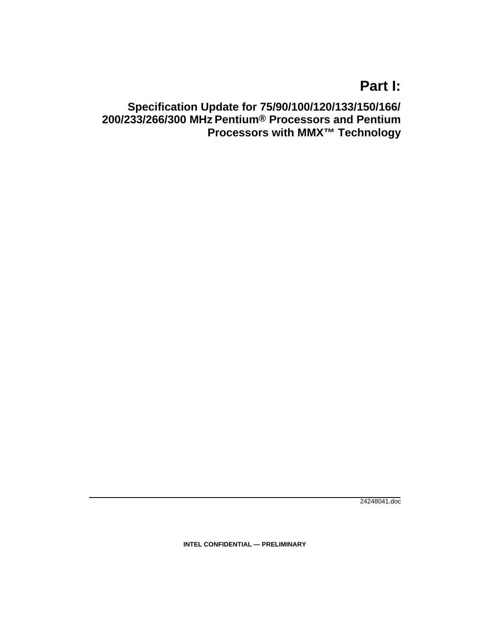### **Part I:**

**Specification Update for 75/90/100/120/133/150/166/ 200/233/266/300 MHz Pentium® Processors and Pentium Processors with MMX™ Technology**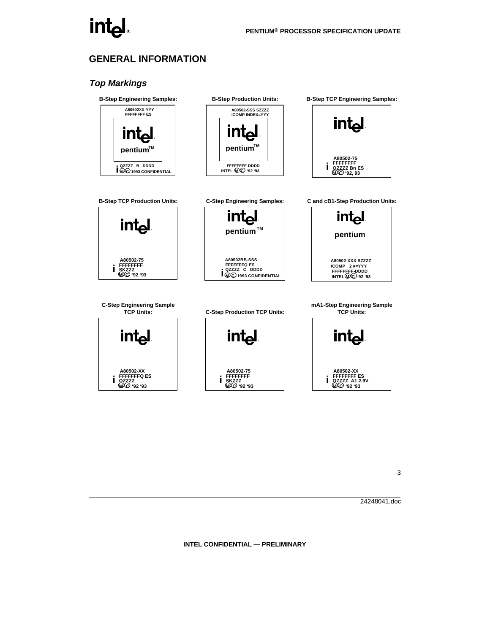## int<sub>e</sub>l.

### **GENERAL INFORMATION**

### **Top Markings**

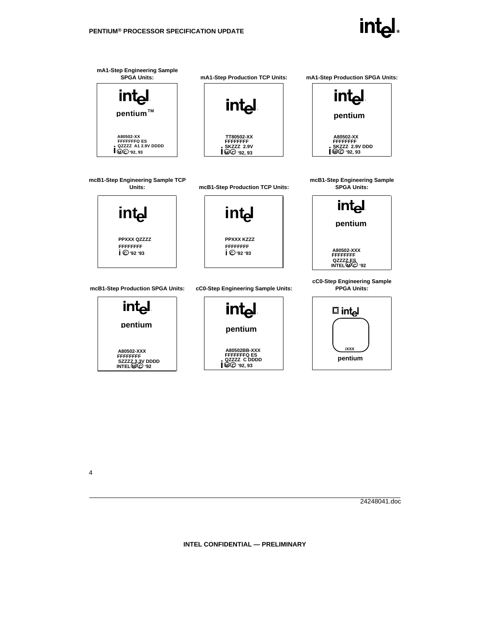

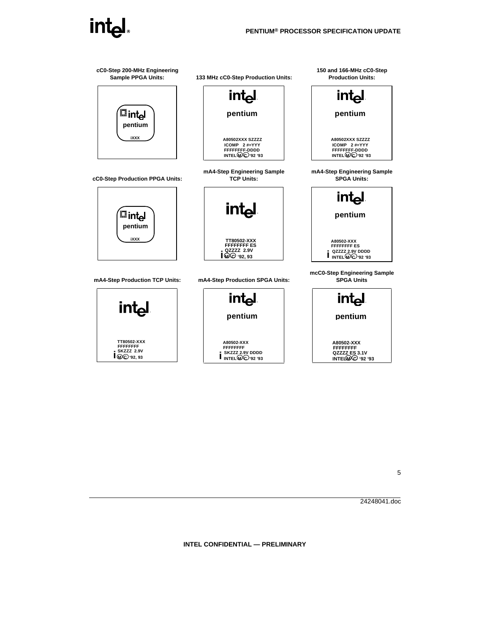## int



5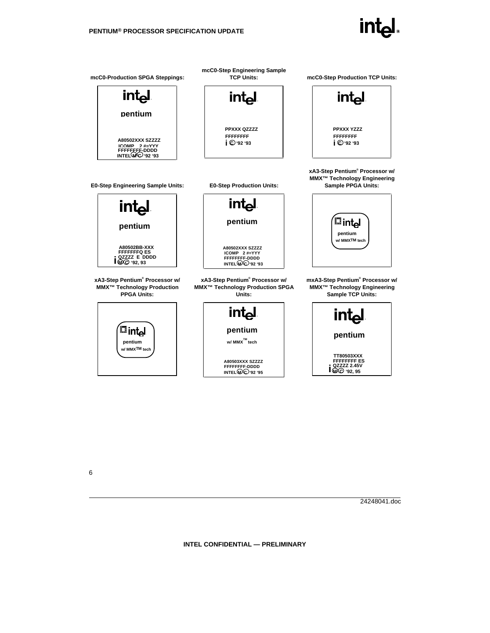

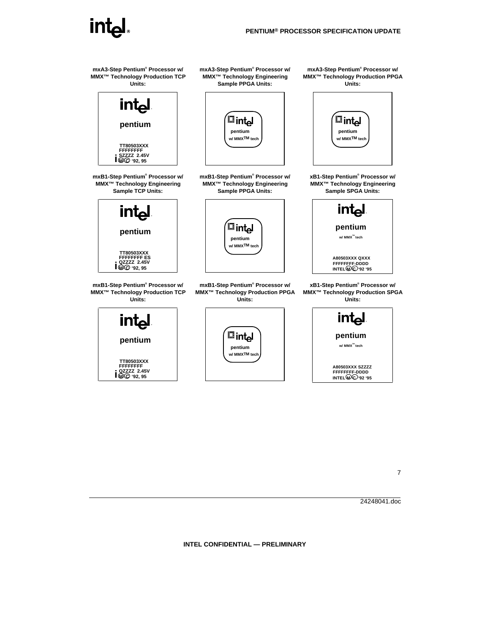## int

**mxA3-Step Pentium® Processor w/ MMX™ Technology Production TCP Units:**



**mxB1-Step Pentium® Processor w/ MMX™ Technology Engineering Sample TCP Units:**



**mxB1-Step Pentium® Processor w/ MMX™ Technology Production TCP Units:**



**mxA3-Step Pentium® Processor w/ MMX™ Technology Engineering Sample PPGA Units:**



**mxB1-Step Pentium® Processor w/ MMX™ Technology Engineering Sample PPGA Units:**



**mxB1-Step Pentium® Processor w/ MMX™ Technology Production PPGA Units:**



**mxA3-Step Pentium® Processor w/ MMX™ Technology Production PPGA Units:**



**xB1-Step Pentium® Processor w/ MMX™ Technology Engineering Sample SPGA Units:**



**xB1-Step Pentium® Processor w/ MMX™ Technology Production SPGA Units:**

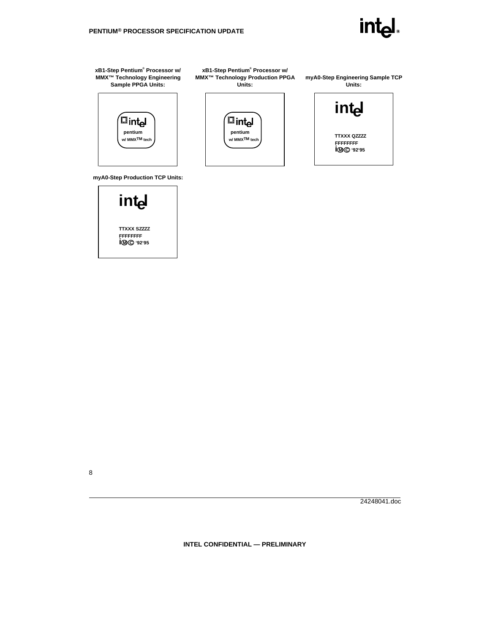

**xB1-Step Pentium® Processor w/ MMX™ Technology Engineering Sample PPGA Units:**



**myA0-Step Production TCP Units:**



**xB1-Step Pentium® Processor w/ MMX™ Technology Production PPGA Units:**



**myA0-Step Engineering Sample TCP Units:**

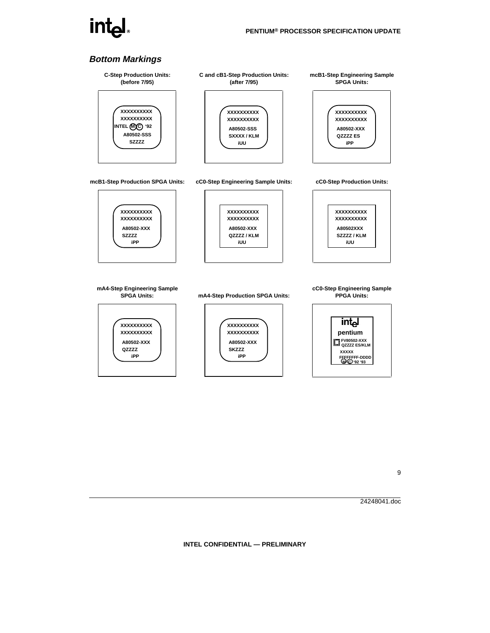## intط

### **Bottom Markings**

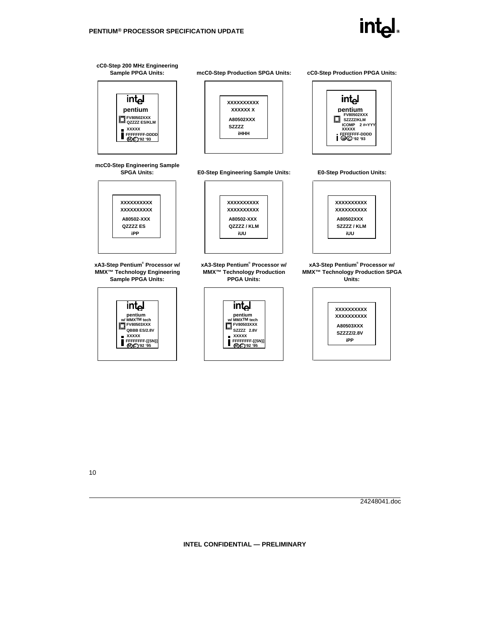

#### **cC0-Step 200 MHz Engineering Sample PPGA Units:**



**mcC0-Step Engineering Sample SPGA Units:**

**mcC0-Step Production SPGA Units:**

**cC0-Step Production PPGA Units:**



**E0-Step Engineering Sample Units:**



**E0-Step Production Units:**

**XXXXXXXXXX XXXXXXXXXX A80502XXX SZZZZ / KLM iUU**



**xA3-Step Pentium® Processor w/ MMX™ Technology Engineering Sample PPGA Units:**



**MMX™ Technology Production PPGA Units:**



**xA3-Step Pentium® Processor w/ MMX™ Technology Production SPGA**



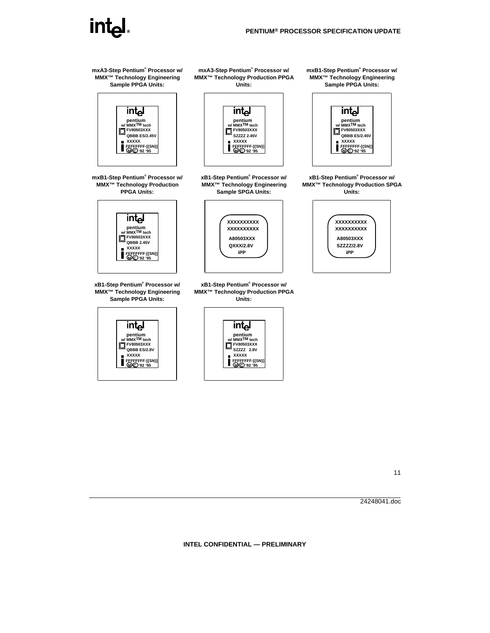## **int**

**mxA3-Step Pentium® Processor w/ MMX™ Technology Engineering Sample PPGA Units:**



**mxB1-Step Pentium® Processor w/ MMX™ Technology Production PPGA Units:**



**xB1-Step Pentium® Processor w/ MMX™ Technology Engineering Sample PPGA Units:**



**mxA3-Step Pentium® Processor w/ MMX™ Technology Production PPGA Units:**



**xB1-Step Pentium® Processor w/ MMX™ Technology Engineering Sample SPGA Units:**



**mxB1-Step Pentium® Processor w/ MMX™ Technology Engineering Sample PPGA Units:**



**xB1-Step Pentium® Processor w/ MMX™ Technology Production SPGA Units:**





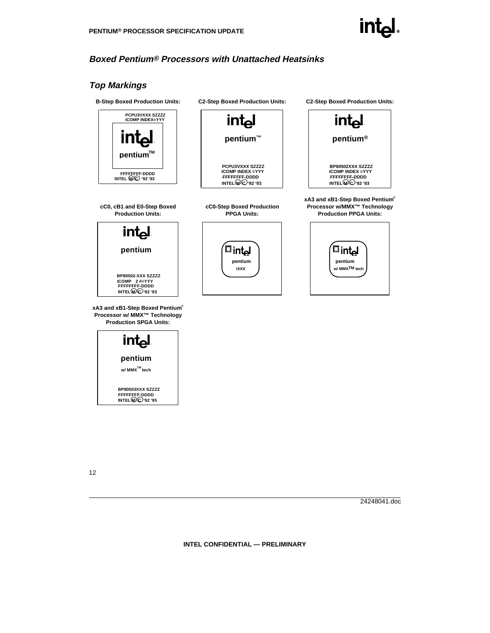

### **Boxed Pentium® Processors with Unattached Heatsinks**

### **Top Markings**



 **BP80503XXX SZZZZ FFFFFFFF-DDDD INTEL M C '92 '95**

 **pentium w/ MMXTM tech**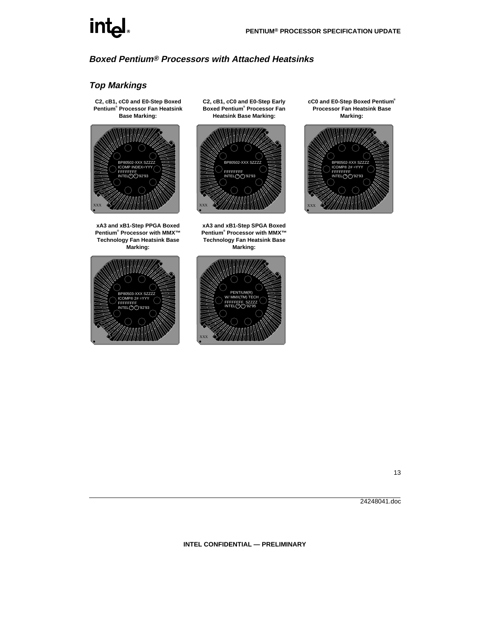### **Boxed Pentium® Processors with Attached Heatsinks**

### **Top Markings**

**C2, cB1, cC0 and E0-Step Boxed Pentium® Processor Fan Heatsink Base Marking:**



**xA3 and xB1-Step PPGA Boxed Pentium® Processor with MMX™ Technology Fan Heatsink Base Marking:**



**C2, cB1, cC0 and E0-Step Early Boxed Pentium® Processor Fan Heatsink Base Marking:**



**xA3 and xB1-Step SPGA Boxed Pentium® Processor with MMX™ Technology Fan Heatsink Base Marking:**

**cC0 and E0-Step Boxed Pentium® Processor Fan Heatsink Base Marking:**



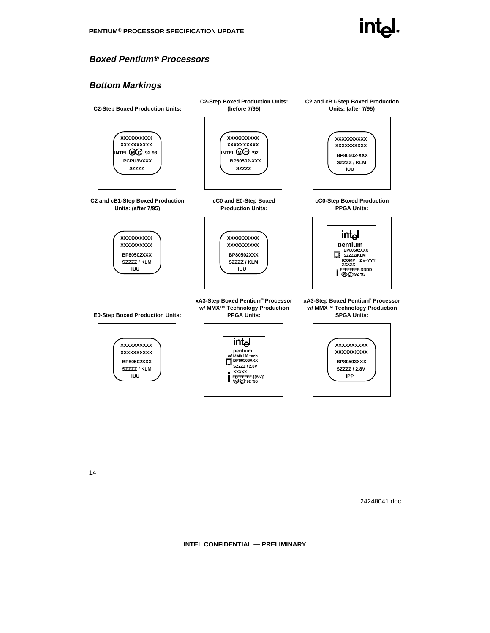### **Boxed Pentium® Processors**

### **Bottom Markings**

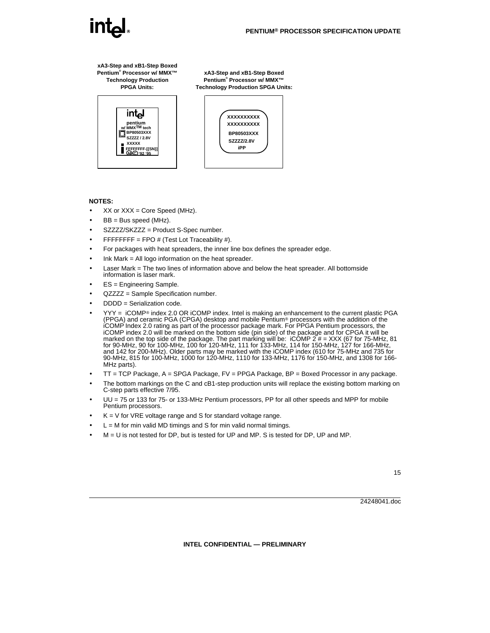**xA3-Step and xB1-Step Boxed Pentium® Processor w/ MMX™ Technology Production PPGA Units:**



**xA3-Step and xB1-Step Boxed Pentium® Processor w/ MMX™ Technology Production SPGA Units:**



#### **NOTES:**

- $XX$  or  $XXX =$  Core Speed (MHz).
- $BB = Bus$  speed (MHz).
- SZZZZ/SKZZZ = Product S-Spec number.
- FFFFFFFFF = FPO  $#$  (Test Lot Traceability  $#$ ).
- For packages with heat spreaders, the inner line box defines the spreader edge.
- Ink Mark  $=$  All logo information on the heat spreader.
- Laser Mark = The two lines of information above and below the heat spreader. All bottomside information is laser mark.
- ES = Engineering Sample.
- QZZZZ = Sample Specification number.
- DDDD = Serialization code.
- $YYY = iCOMP<sup>®</sup>$  index 2.0 OR  $iCOMP$  index. Intel is making an enhancement to the current plastic PGA (PPGA) and ceramic PGA (CPGA) desktop and mobile Pentium® processors with the addition of the iCOMP Index 2.0 rating as part of the processor package mark. For PPGA Pentium processors, the iCOMP index 2.0 will be marked on the bottom side (pin side) of the package and for CPGA it will be marked on the top side of the package. The part marking will be:  $i$ COMP 2 # = XXX (67 for 75-MHz, 81 for 90-MHz, 90 for 100-MHz, 100 for 120-MHz, 111 for 133-MHz, 114 for 150-MHz, 127 for 166-MHz, and 142 for 200-MHz). Older parts may be marked with the iCOMP index (610 for 75-MHz and 735 for 90-MHz, 815 for 100-MHz, 1000 for 120-MHz, 1110 for 133-MHz, 1176 for 150-MHz, and 1308 for 166- MHz parts).
- TT = TCP Package, A = SPGA Package, FV = PPGA Package, BP = Boxed Processor in any package.
- The bottom markings on the C and cB1-step production units will replace the existing bottom marking on C-step parts effective 7/95.
- UU = 75 or 133 for 75- or 133-MHz Pentium processors, PP for all other speeds and MPP for mobile Pentium processors.
- $K = V$  for VRE voltage range and S for standard voltage range.
- $L = M$  for min valid MD timings and S for min valid normal timings.
- $M = U$  is not tested for DP, but is tested for UP and MP. S is tested for DP, UP and MP.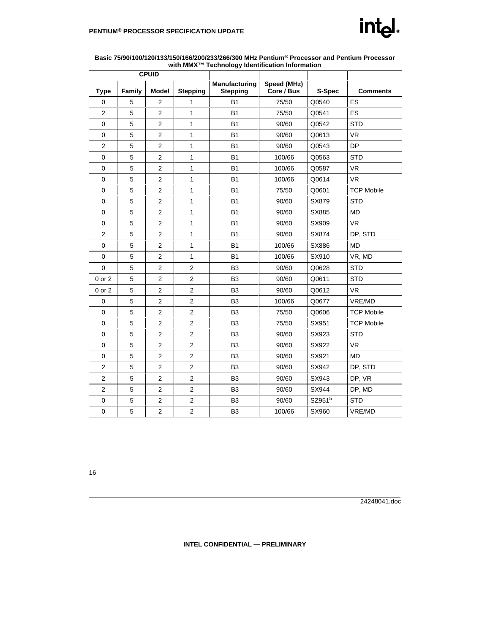

| <b>CPUID</b>   |             |                |                 |                                  |                           |                    |                   |
|----------------|-------------|----------------|-----------------|----------------------------------|---------------------------|--------------------|-------------------|
| <b>Type</b>    | Family      | <b>Model</b>   | <b>Stepping</b> | Manufacturing<br><b>Stepping</b> | Speed (MHz)<br>Core / Bus | S-Spec             | <b>Comments</b>   |
| 0              | 5           | $\overline{2}$ | $\mathbf{1}$    | <b>B1</b>                        | 75/50                     | Q0540              | ES                |
| $\overline{2}$ | 5           | $\overline{2}$ | $\mathbf{1}$    | <b>B1</b>                        | 75/50                     | Q0541              | <b>ES</b>         |
| $\mathbf 0$    | 5           | $\overline{2}$ | $\mathbf{1}$    | <b>B1</b>                        | 90/60                     | Q0542              | <b>STD</b>        |
| 0              | 5           | $\overline{2}$ | $\mathbf{1}$    | <b>B1</b>                        | 90/60                     | Q0613              | <b>VR</b>         |
| $\overline{c}$ | 5           | $\overline{c}$ | $\mathbf{1}$    | B <sub>1</sub>                   | 90/60                     | Q0543              | <b>DP</b>         |
| 0              | 5           | $\overline{2}$ | $\mathbf{1}$    | <b>B1</b>                        | 100/66                    | Q0563              | <b>STD</b>        |
| $\mathbf 0$    | 5           | $\overline{2}$ | $\mathbf{1}$    | <b>B1</b>                        | 100/66                    | Q0587              | <b>VR</b>         |
| $\mathbf 0$    | 5           | $\overline{2}$ | $\mathbf{1}$    | <b>B1</b>                        | 100/66                    | Q0614              | VR.               |
| $\mathbf 0$    | 5           | $\overline{2}$ | $\mathbf{1}$    | <b>B1</b>                        | 75/50                     | Q0601              | <b>TCP Mobile</b> |
| $\mathbf 0$    | $\mathbf 5$ | $\overline{c}$ | $\mathbf{1}$    | <b>B1</b>                        | 90/60                     | SX879              | <b>STD</b>        |
| $\mathbf 0$    | 5           | $\overline{c}$ | $\mathbf{1}$    | <b>B1</b>                        | 90/60                     | SX885              | <b>MD</b>         |
| $\mathbf 0$    | 5           | $\overline{2}$ | $\mathbf{1}$    | <b>B1</b>                        | 90/60                     | SX909              | <b>VR</b>         |
| $\overline{2}$ | 5           | $\overline{c}$ | 1               | <b>B1</b>                        | 90/60                     | SX874              | DP, STD           |
| 0              | 5           | $\overline{2}$ | $\mathbf{1}$    | <b>B1</b>                        | 100/66                    | SX886              | <b>MD</b>         |
| $\mathbf 0$    | 5           | $\overline{c}$ | $\mathbf{1}$    | <b>B1</b>                        | 100/66                    | SX910              | VR, MD            |
| $\pmb{0}$      | 5           | $\overline{c}$ | $\overline{c}$  | B <sub>3</sub>                   | 90/60                     | Q0628              | <b>STD</b>        |
| 0 or 2         | 5           | $\overline{2}$ | $\overline{2}$  | B <sub>3</sub>                   | 90/60                     | Q0611              | <b>STD</b>        |
| 0 or 2         | 5           | $\overline{c}$ | $\mathbf{2}$    | B <sub>3</sub>                   | 90/60                     | Q0612              | <b>VR</b>         |
| 0              | 5           | $\overline{2}$ | $\overline{2}$  | B <sub>3</sub>                   | 100/66                    | Q0677              | VRE/MD            |
| $\mathbf 0$    | $\mathbf 5$ | $\overline{c}$ | $\mathbf 2$     | B <sub>3</sub>                   | 75/50                     | Q0606              | <b>TCP Mobile</b> |
| $\mathbf 0$    | 5           | $\overline{c}$ | $\overline{c}$  | B <sub>3</sub>                   | 75/50                     | SX951              | <b>TCP Mobile</b> |
| $\mathbf 0$    | 5           | $\overline{2}$ | $\overline{2}$  | B <sub>3</sub>                   | 90/60                     | SX923              | <b>STD</b>        |
| 0              | 5           | $\overline{2}$ | $\overline{2}$  | B <sub>3</sub>                   | 90/60                     | SX922              | <b>VR</b>         |
| 0              | 5           | $\overline{2}$ | $\overline{2}$  | B <sub>3</sub>                   | 90/60                     | SX921              | <b>MD</b>         |
| $\overline{2}$ | 5           | $\overline{2}$ | $\overline{2}$  | B <sub>3</sub>                   | 90/60                     | SX942              | DP, STD           |
| $\overline{c}$ | 5           | $\overline{c}$ | $\overline{c}$  | B <sub>3</sub>                   | 90/60                     | SX943              | DP, VR            |
| $\overline{2}$ | 5           | $\overline{2}$ | $\overline{2}$  | B <sub>3</sub>                   | 90/60                     | SX944              | DP, MD            |
| $\mathbf 0$    | 5           | $\overline{c}$ | $\overline{2}$  | B <sub>3</sub>                   | 90/60                     | SZ951 <sup>5</sup> | <b>STD</b>        |
| $\mathbf 0$    | 5           | $\overline{2}$ | $\overline{2}$  | B <sub>3</sub>                   | 100/66                    | SX960              | VRE/MD            |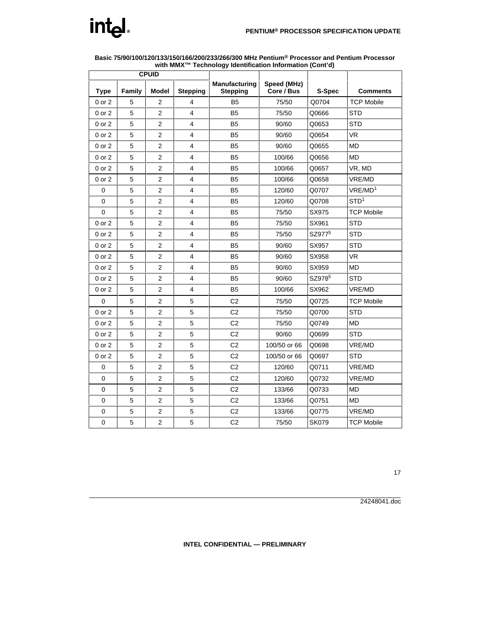| <b>CPUID</b> |        |                |                 |                                  |                           |                    |                     |
|--------------|--------|----------------|-----------------|----------------------------------|---------------------------|--------------------|---------------------|
| <b>Type</b>  | Family | <b>Model</b>   | <b>Stepping</b> | Manufacturing<br><b>Stepping</b> | Speed (MHz)<br>Core / Bus | S-Spec             | <b>Comments</b>     |
| $0$ or $2$   | 5      | $\overline{2}$ | 4               | B <sub>5</sub>                   | 75/50                     | Q0704              | <b>TCP Mobile</b>   |
| $0$ or $2$   | 5      | $\overline{2}$ | 4               | <b>B5</b>                        | 75/50                     | Q0666              | <b>STD</b>          |
| $0$ or $2$   | 5      | $\overline{2}$ | 4               | B <sub>5</sub>                   | 90/60                     | Q0653              | <b>STD</b>          |
| 0 or 2       | 5      | $\overline{2}$ | 4               | B <sub>5</sub>                   | 90/60                     | Q0654              | <b>VR</b>           |
| $0$ or $2$   | 5      | $\overline{2}$ | 4               | <b>B5</b>                        | 90/60                     | Q0655              | <b>MD</b>           |
| $0$ or $2$   | 5      | 2              | 4               | <b>B5</b>                        | 100/66                    | Q0656              | <b>MD</b>           |
| $0$ or $2$   | 5      | $\overline{2}$ | 4               | <b>B5</b>                        | 100/66                    | Q0657              | VR, MD              |
| $0$ or $2$   | 5      | $\overline{2}$ | 4               | B <sub>5</sub>                   | 100/66                    | Q0658              | VRE/MD              |
| 0            | 5      | $\overline{2}$ | 4               | B <sub>5</sub>                   | 120/60                    | Q0707              | VRE/MD <sup>1</sup> |
| 0            | 5      | $\overline{2}$ | 4               | B <sub>5</sub>                   | 120/60                    | Q0708              | STD <sup>1</sup>    |
| 0            | 5      | 2              | 4               | B <sub>5</sub>                   | 75/50                     | SX975              | <b>TCP Mobile</b>   |
| $0$ or $2$   | 5      | $\overline{2}$ | 4               | <b>B5</b>                        | 75/50                     | SX961              | <b>STD</b>          |
| $0$ or $2$   | 5      | $\overline{2}$ | 4               | B <sub>5</sub>                   | 75/50                     | SZ977 <sup>5</sup> | <b>STD</b>          |
| $0$ or $2$   | 5      | $\overline{2}$ | 4               | B <sub>5</sub>                   | 90/60                     | SX957              | <b>STD</b>          |
| $0$ or $2$   | 5      | $\overline{2}$ | 4               | <b>B5</b>                        | 90/60                     | SX958              | <b>VR</b>           |
| 0 or 2       | 5      | 2              | 4               | B <sub>5</sub>                   | 90/60                     | SX959              | <b>MD</b>           |
| 0 or 2       | 5      | 2              | 4               | B <sub>5</sub>                   | 90/60                     | SZ978 <sup>5</sup> | <b>STD</b>          |
| $0$ or $2$   | 5      | $\overline{2}$ | 4               | <b>B5</b>                        | 100/66                    | SX962              | VRE/MD              |
| 0            | 5      | $\overline{2}$ | 5               | C <sub>2</sub>                   | 75/50                     | Q0725              | <b>TCP Mobile</b>   |
| $0$ or $2$   | 5      | $\overline{c}$ | 5               | C <sub>2</sub>                   | 75/50                     | Q0700              | <b>STD</b>          |
| $0$ or $2$   | 5      | 2              | 5               | C <sub>2</sub>                   | 75/50                     | Q0749              | <b>MD</b>           |
| $0$ or $2$   | 5      | $\overline{2}$ | 5               | C <sub>2</sub>                   | 90/60                     | Q0699              | STD                 |
| $0$ or $2$   | 5      | $\overline{2}$ | 5               | C <sub>2</sub>                   | 100/50 or 66              | Q0698              | VRE/MD              |
| $0$ or $2$   | 5      | 2              | 5               | C <sub>2</sub>                   | 100/50 or 66              | Q0697              | <b>STD</b>          |
| 0            | 5      | $\overline{2}$ | 5               | C <sub>2</sub>                   | 120/60                    | Q0711              | VRE/MD              |
| $\mathbf 0$  | 5      | $\overline{2}$ | 5               | C <sub>2</sub>                   | 120/60                    | Q0732              | VRE/MD              |
| 0            | 5      | $\overline{2}$ | 5               | C <sub>2</sub>                   | 133/66                    | Q0733              | <b>MD</b>           |
| 0            | 5      | $\overline{2}$ | 5               | C <sub>2</sub>                   | 133/66                    | Q0751              | MD                  |
| 0            | 5      | $\overline{2}$ | 5               | C <sub>2</sub>                   | 133/66                    | Q0775              | VRE/MD              |
| 0            | 5      | $\overline{2}$ | 5               | C <sub>2</sub>                   | 75/50                     | <b>SK079</b>       | <b>TCP Mobile</b>   |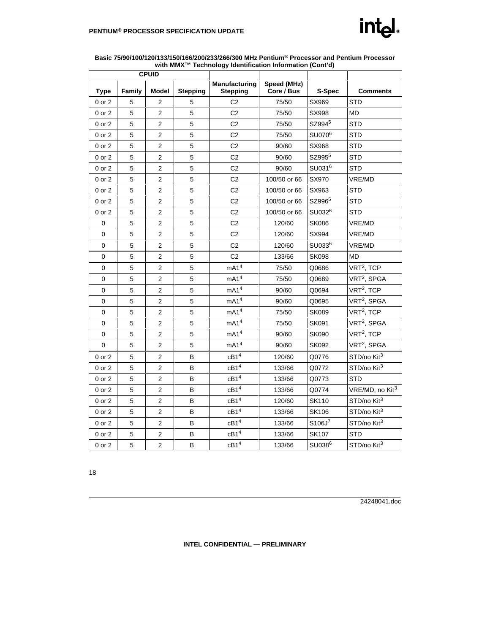

|             | <b>CPUID</b> |                         |                 |                                  |                           |                     |                                     |
|-------------|--------------|-------------------------|-----------------|----------------------------------|---------------------------|---------------------|-------------------------------------|
| <b>Type</b> | Family       | Model                   | <b>Stepping</b> | Manufacturing<br><b>Stepping</b> | Speed (MHz)<br>Core / Bus | S-Spec              | <b>Comments</b>                     |
| 0 or 2      | 5            | $\overline{2}$          | 5               | C <sub>2</sub>                   | 75/50                     | SX969               | <b>STD</b>                          |
| $0$ or $2$  | 5            | $\overline{2}$          | 5               | C <sub>2</sub>                   | 75/50                     | SX998               | <b>MD</b>                           |
| 0 or 2      | 5            | $\overline{c}$          | $\overline{5}$  | C <sub>2</sub>                   | 75/50                     | SZ994 <sup>5</sup>  | <b>STD</b>                          |
| 0 or 2      | 5            | $\overline{2}$          | 5               | C <sub>2</sub>                   | 75/50                     | SU070 <sup>6</sup>  | <b>STD</b>                          |
| 0 or 2      | 5            | $\overline{\mathbf{c}}$ | 5               | C <sub>2</sub>                   | 90/60                     | SX968               | STD                                 |
| 0 or 2      | 5            | $\overline{c}$          | $\mathbf 5$     | C <sub>2</sub>                   | 90/60                     | SZ995 <sup>5</sup>  | <b>STD</b>                          |
| $0$ or $2$  | 5            | $\overline{2}$          | 5               | C <sub>2</sub>                   | 90/60                     | SU031 <sup>6</sup>  | <b>STD</b>                          |
| 0 or 2      | 5            | $\overline{c}$          | 5               | C <sub>2</sub>                   | 100/50 or 66              | SX970               | VRE/MD                              |
| 0 or 2      | 5            | $\overline{c}$          | $\mathbf 5$     | C <sub>2</sub>                   | 100/50 or 66              | SX963               | <b>STD</b>                          |
| 0 or 2      | 5            | $\overline{2}$          | 5               | C <sub>2</sub>                   | 100/50 or 66              | SZ996 <sup>5</sup>  | <b>STD</b>                          |
| $0$ or $2$  | 5            | $\overline{\mathbf{c}}$ | $\mathbf 5$     | C <sub>2</sub>                   | 100/50 or 66              | SU032 <sup>6</sup>  | <b>STD</b>                          |
| 0           | 5            | $\overline{c}$          | 5               | C <sub>2</sub>                   | 120/60                    | <b>SK086</b>        | VRE/MD                              |
| 0           | 5            | $\overline{c}$          | $\mathbf 5$     | C <sub>2</sub>                   | 120/60                    | SX994               | VRE/MD                              |
| 0           | 5            | $\overline{c}$          | 5               | C <sub>2</sub>                   | 120/60                    | SU033 <sup>6</sup>  | VRE/MD                              |
| 0           | 5            | $\overline{2}$          | 5               | C <sub>2</sub>                   | 133/66                    | <b>SK098</b>        | <b>MD</b>                           |
| $\mathsf 0$ | 5            | $\overline{2}$          | 5               | mA1 <sup>4</sup>                 | 75/50                     | Q0686               | VRT <sup>2</sup> , TCP              |
| 0           | 5            | $\overline{c}$          | $\mathbf 5$     | mA1 <sup>4</sup>                 | 75/50                     | Q0689               | VRT <sup>2</sup> , SPGA             |
| 0           | 5            | $\overline{c}$          | 5               | mA1 <sup>4</sup>                 | 90/60                     | Q0694               | VRT <sup>2</sup> , TCP              |
| 0           | 5            | $\overline{2}$          | 5               | mA1 <sup>4</sup>                 | 90/60                     | Q0695               | VRT <sup>2</sup> , SPGA             |
| 0           | 5            | $\overline{c}$          | 5               | mA1 <sup>4</sup>                 | 75/50                     | <b>SK089</b>        | VRT <sup>2</sup> , TCP              |
| $\mathsf 0$ | 5            | $\overline{c}$          | $\overline{5}$  | mA1 <sup>4</sup>                 | 75/50                     | <b>SK091</b>        | VRT <sup>2</sup> , SPGA             |
| 0           | 5            | $\overline{2}$          | 5               | mA1 <sup>4</sup>                 | 90/60                     | <b>SK090</b>        | VRT <sup>2</sup> , TCP              |
| 0           | 5            | 2                       | 5               | mA1 <sup>4</sup>                 | 90/60                     | SK092               | VRT <sup>2</sup> , SPGA             |
| 0 or 2      | 5            | $\overline{c}$          | В               | cB1 <sup>4</sup>                 | 120/60                    | Q0776               | STD/no Kit <sup>3</sup>             |
| 0 or 2      | 5            | $\overline{c}$          | B               | cB1 <sup>4</sup>                 | 133/66                    | Q0772               | STD/no Kit <sup>3</sup>             |
| $0$ or $2$  | 5            | $\overline{2}$          | B               | cB1 <sup>4</sup>                 | 133/66                    | Q0773               | <b>STD</b>                          |
| 0 or 2      | 5            | $\overline{2}$          | B               | cB1 <sup>4</sup>                 | 133/66                    | Q0774               | VRE/MD, no Kit <sup>3</sup>         |
| 0 or 2      | 5            | $\overline{c}$          | В               | cB1 <sup>4</sup>                 | 120/60                    | <b>SK110</b>        | STD/no Kit <sup>3</sup>             |
| $0$ or $2$  | 5            | $\overline{c}$          | B               | cB1 <sup>4</sup>                 | 133/66                    | SK106               | $\mathsf{STD}/\mathsf{no}$ Kit $^3$ |
| 0 or 2      | 5            | $\overline{2}$          | B               | cB1 <sup>4</sup>                 | 133/66                    | \$106J <sup>7</sup> | STD/no Kit <sup>3</sup>             |
| 0 or 2      | 5            | 2                       | B               | cB1 <sup>4</sup>                 | 133/66                    | <b>SK107</b>        | <b>STD</b>                          |
| $0$ or $2$  | 5            | $\overline{c}$          | B               | cB1 <sup>4</sup>                 | 133/66                    | SU038 <sup>6</sup>  | STD/no Kit <sup>3</sup>             |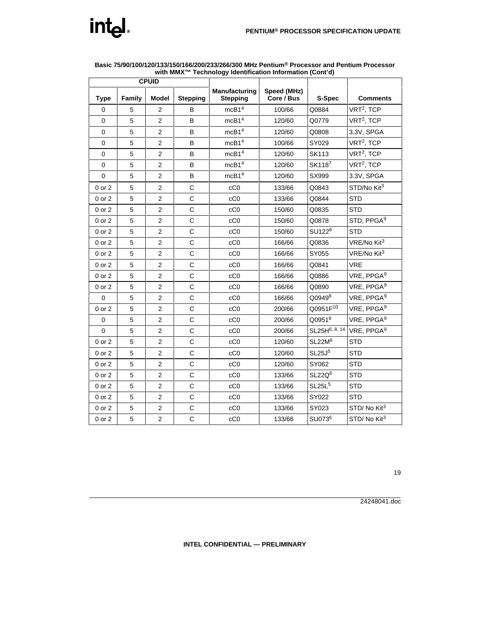## int<sub>el</sub>

|             |        | <b>CPUID</b>   |                 |                                         |                           |                           |                         |
|-------------|--------|----------------|-----------------|-----------------------------------------|---------------------------|---------------------------|-------------------------|
| <b>Type</b> | Family | <b>Model</b>   | <b>Stepping</b> | <b>Manufacturing</b><br><b>Stepping</b> | Speed (MHz)<br>Core / Bus | S-Spec                    | <b>Comments</b>         |
| $\mathbf 0$ | 5      | $\overline{2}$ | B               | mcB1 <sup>4</sup>                       | 100/66                    | Q0884                     | VRT <sup>2</sup> , TCP  |
| $\mathbf 0$ | 5      | $\overline{2}$ | B               | mcB1 <sup>4</sup>                       | 120/60                    | Q0779                     | VRT <sup>2</sup> , TCP  |
| 0           | 5      | $\overline{2}$ | B               | mcB1 <sup>4</sup>                       | 120/60                    | Q0808                     | 3.3V, SPGA              |
| 0           | 5      | $\overline{2}$ | B               | mcB1 <sup>4</sup>                       | 100/66                    | SY029                     | VRT <sup>2</sup> , TCP  |
| 0           | 5      | $\mathbf{2}$   | B               | mcB1 <sup>4</sup>                       | 120/60                    | <b>SK113</b>              | VRT <sup>2</sup> , TCP  |
| $\mathbf 0$ | 5      | 2              | B               | mcB1 <sup>4</sup>                       | 120/60                    | SK1187                    | VRT <sup>2</sup> , TCP  |
| $\mathbf 0$ | 5      | $\overline{2}$ | B               | mcB1 <sup>4</sup>                       | 120/60                    | SX999                     | 3.3V, SPGA              |
| 0 or 2      | 5      | $\overline{2}$ | C               | cC0                                     | 133/66                    | Q0843                     | STD/No Kit <sup>3</sup> |
| 0 or 2      | 5      | $\overline{2}$ | C               | cC0                                     | 133/66                    | Q0844                     | <b>STD</b>              |
| 0 or 2      | 5      | $\overline{2}$ | C               | cC0                                     | 150/60                    | Q0835                     | <b>STD</b>              |
| 0 or 2      | 5      | $\overline{2}$ | C               | cC0                                     | 150/60                    | Q0878                     | STD, PPGA <sup>9</sup>  |
| 0 or 2      | 5      | $\overline{2}$ | C               | cC0                                     | 150/60                    | SU122 <sup>6</sup>        | <b>STD</b>              |
| 0 or 2      | 5      | $\overline{2}$ | C               | cC0                                     | 166/66                    | Q0836                     | VRE/No Kit <sup>3</sup> |
| 0 or 2      | 5      | $\overline{2}$ | C               | cC0                                     | 166/66                    | SY055                     | VRE/No Kit <sup>3</sup> |
| $0$ or $2$  | 5      | $\overline{2}$ | C               | cC0                                     | 166/66                    | Q0841                     | <b>VRE</b>              |
| 0 or 2      | 5      | $\overline{2}$ | C               | cC0                                     | 166/66                    | Q0886                     | VRE, PPGA <sup>9</sup>  |
| $0$ or $2$  | 5      | $\overline{2}$ | $\mathsf{C}$    | cC0                                     | 166/66                    | Q0890                     | VRE, PPGA <sup>9</sup>  |
| 0           | 5      | $\overline{2}$ | C               | cC0                                     | 166/66                    | $\mathsf{Q}0949^8$        | VRE, PPGA <sup>9</sup>  |
| 0 or 2      | 5      | $\overline{2}$ | C               | cC0                                     | 200/66                    | Q0951F <sup>10</sup>      | VRE, PPGA <sup>9</sup>  |
| 0           | 5      | $\mathbf{2}$   | C               | cC0                                     | 200/66                    | $Q0951^8$                 | VRE, PPGA <sup>9</sup>  |
| 0           | 5      | 2              | C               | cC0                                     | 200/66                    | SL25H <sup>6, 8, 14</sup> | VRE, PPGA <sup>9</sup>  |
| $0$ or $2$  | 5      | $\overline{2}$ | C               | cC0                                     | 120/60                    | SL22M <sup>6</sup>        | <b>STD</b>              |
| 0 or 2      | 5      | $\overline{2}$ | C               | cC0                                     | 120/60                    | SL25J <sup>5</sup>        | <b>STD</b>              |
| 0 or 2      | 5      | $\overline{2}$ | C               | cC0                                     | 120/60                    | SY062                     | <b>STD</b>              |
| 0 or 2      | 5      | $\overline{2}$ | C               | cC0                                     | 133/66                    | SL22Q <sup>6</sup>        | <b>STD</b>              |
| 0 or 2      | 5      | $\overline{2}$ | C               | cC0                                     | 133/66                    | SL25L <sup>5</sup>        | <b>STD</b>              |
| 0 or 2      | 5      | $\overline{2}$ | C               | cC0                                     | 133/66                    | SY022                     | <b>STD</b>              |
| 0 or 2      | 5      | $\overline{2}$ | C               | cC0                                     | 133/66                    | SY023                     | STD/No Kit <sup>3</sup> |
| 0 or 2      | 5      | $\overline{2}$ | C               | cC0                                     | 133/66                    | SU073 <sup>6</sup>        | STD/No Kit <sup>3</sup> |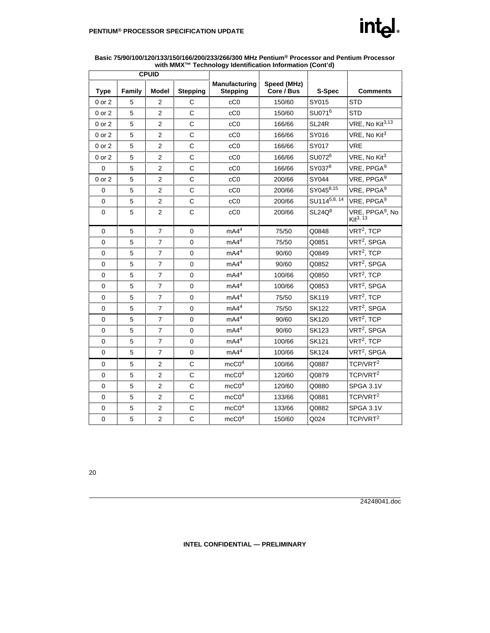

|             |        | <b>CPUID</b>   |                 | Manufacturing     | Speed (MHz) |                    |                                              |
|-------------|--------|----------------|-----------------|-------------------|-------------|--------------------|----------------------------------------------|
| <b>Type</b> | Family | Model          | <b>Stepping</b> | <b>Stepping</b>   | Core / Bus  | S-Spec             | <b>Comments</b>                              |
| 0 or 2      | 5      | $\overline{2}$ | C               | cC0               | 150/60      | SY015              | <b>STD</b>                                   |
| 0 or 2      | 5      | $\overline{2}$ | $\mathsf{C}$    | cC0               | 150/60      | SU071 <sup>6</sup> | <b>STD</b>                                   |
| 0 or 2      | 5      | $\overline{2}$ | C               | cC0               | 166/66      | SL <sub>24</sub> R | VRE, No Kit <sup>3,13</sup>                  |
| 0 or 2      | 5      | $\overline{2}$ | C               | cC0               | 166/66      | SY016              | VRE, No Kit <sup>3</sup>                     |
| 0 or 2      | 5      | $\overline{2}$ | $\mathsf{C}$    | cC0               | 166/66      | SY017              | <b>VRE</b>                                   |
| 0 or 2      | 5      | $\overline{2}$ | $\mathsf{C}$    | cC0               | 166/66      | SU072 <sup>6</sup> | VRE, No Kit <sup>3</sup>                     |
| 0           | 5      | $\overline{2}$ | C               | cC0               | 166/66      | SY0378             | VRE, PPGA <sup>9</sup>                       |
| 0 or 2      | 5      | 2              | C               | cC0               | 200/66      | SY044              | VRE. PPGA <sup>9</sup>                       |
| 0           | 5      | $\overline{2}$ | C               | cC0               | 200/66      | SY0458,15          | VRE, PPGA <sup>9</sup>                       |
| $\mathbf 0$ | 5      | $\mathbf{2}$   | C               | cC0               | 200/66      | SU1145,8, 14       | VRE, PPGA <sup>9</sup>                       |
| $\mathbf 0$ | 5      | $\overline{2}$ | $\mathsf{C}$    | cC0               | 200/66      | $SL24Q^8$          | VRE, PPGA <sup>9</sup> , No<br>$Kit^{3, 13}$ |
| $\mathbf 0$ | 5      | $\overline{7}$ | $\mathbf 0$     | mA4 <sup>4</sup>  | 75/50       | Q0848              | VRT <sup>2</sup> , TCP                       |
| 0           | 5      | $\overline{7}$ | $\Omega$        | mA4 <sup>4</sup>  | 75/50       | Q0851              | VRT <sup>2</sup> , SPGA                      |
| $\mathbf 0$ | 5      | $\overline{7}$ | $\mathbf 0$     | mA4 <sup>4</sup>  | 90/60       | Q0849              | VRT <sup>2</sup> , TCP                       |
| 0           | 5      | $\overline{7}$ | 0               | mA4 <sup>4</sup>  | 90/60       | Q0852              | VRT <sup>2</sup> , SPGA                      |
| 0           | 5      | $\overline{7}$ | 0               | mA4 <sup>4</sup>  | 100/66      | Q0850              | VRT <sup>2</sup> , TCP                       |
| $\mathbf 0$ | 5      | $\overline{7}$ | $\mathbf 0$     | mA4 <sup>4</sup>  | 100/66      | Q0853              | VRT <sup>2</sup> , SPGA                      |
| $\mathbf 0$ | 5      | $\overline{7}$ | $\pmb{0}$       | mA4 <sup>4</sup>  | 75/50       | <b>SK119</b>       | VRT <sup>2</sup> , TCP                       |
| 0           | 5      | $\overline{7}$ | 0               | mA4 <sup>4</sup>  | 75/50       | <b>SK122</b>       | VRT <sup>2</sup> , SPGA                      |
| $\mathbf 0$ | 5      | $\overline{7}$ | $\mathbf 0$     | mA4 <sup>4</sup>  | 90/60       | <b>SK120</b>       | VRT <sup>2</sup> , TCP                       |
| 0           | 5      | $\overline{7}$ | $\mathbf 0$     | mA4 <sup>4</sup>  | 90/60       | <b>SK123</b>       | VRT <sup>2</sup> , SPGA                      |
| 0           | 5      | $\overline{7}$ | 0               | mA4 <sup>4</sup>  | 100/66      | <b>SK121</b>       | VRT <sup>2</sup> , TCP                       |
| 0           | 5      | $\overline{7}$ | $\mathbf 0$     | mA4 <sup>4</sup>  | 100/66      | <b>SK124</b>       | VRT <sup>2</sup> , SPGA                      |
| 0           | 5      | $\overline{2}$ | C               | mcCO <sup>4</sup> | 100/66      | Q0887              | TCP/VRT <sup>2</sup>                         |
| 0           | 5      | $\overline{2}$ | C               | mcCO <sup>4</sup> | 120/60      | Q0879              | TCP/VRT <sup>2</sup>                         |
| $\pmb{0}$   | 5      | $\overline{2}$ | $\mathsf{C}$    | mcCO <sup>4</sup> | 120/60      | Q0880              | SPGA 3.1V                                    |
| 0           | 5      | 2              | $\mathsf{C}$    | mcCO <sup>4</sup> | 133/66      | Q0881              | TCP/VRT <sup>2</sup>                         |
| $\mathbf 0$ | 5      | $\overline{c}$ | C               | mcCO <sup>4</sup> | 133/66      | Q0882              | SPGA 3.1V                                    |
| $\mathbf 0$ | 5      | $\overline{2}$ | $\mathbf C$     | mcCO <sup>4</sup> | 150/60      | Q024               | TCP/VRT <sup>2</sup>                         |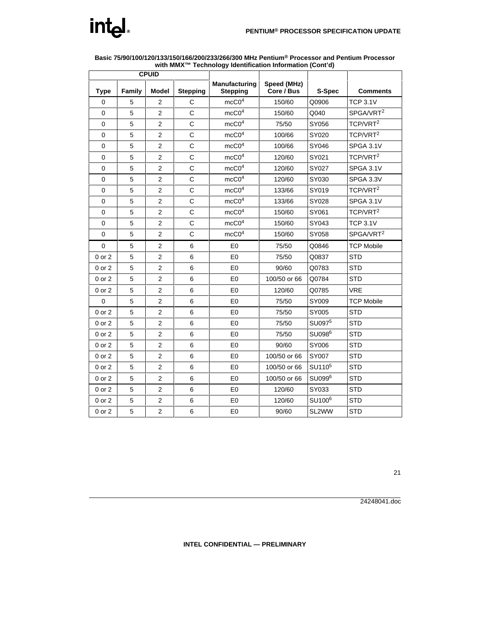|             |        | <b>CPUID</b>   |                 |                                  |                           |                      |                       |
|-------------|--------|----------------|-----------------|----------------------------------|---------------------------|----------------------|-----------------------|
| <b>Type</b> | Family | <b>Model</b>   | <b>Stepping</b> | Manufacturing<br><b>Stepping</b> | Speed (MHz)<br>Core / Bus | S-Spec               | <b>Comments</b>       |
| 0           | 5      | $\overline{2}$ | C               | mcCO <sup>4</sup>                | 150/60                    | Q0906                | <b>TCP 3.1V</b>       |
| 0           | 5      | $\overline{2}$ | C               | mcCO <sup>4</sup>                | 150/60                    | Q040                 | SPGA/VRT <sup>2</sup> |
| 0           | 5      | $\overline{2}$ | C               | mcCO <sup>4</sup>                | 75/50                     | SY056                | TCP/VRT <sup>2</sup>  |
| $\mathbf 0$ | 5      | $\overline{2}$ | C               | mcCO <sup>4</sup>                | 100/66                    | SY020                | TCP/VRT <sup>2</sup>  |
| 0           | 5      | $\overline{2}$ | C               | mcCO <sup>4</sup>                | 100/66                    | SY046                | SPGA 3.1V             |
| $\mathbf 0$ | 5      | 2              | C               | mcCO <sup>4</sup>                | 120/60                    | SY021                | TCP/VRT <sup>2</sup>  |
| $\Omega$    | 5      | $\overline{2}$ | C               | mcCO <sup>4</sup>                | 120/60                    | SY027                | SPGA 3.1V             |
| 0           | 5      | $\overline{2}$ | C               | mcCO <sup>4</sup>                | 120/60                    | SY030                | SPGA 3.3V             |
| $\Omega$    | 5      | $\overline{2}$ | C               | mcCO <sup>4</sup>                | 133/66                    | SY019                | TCP/VRT <sup>2</sup>  |
| 0           | 5      | $\overline{2}$ | C               | mcCO <sup>4</sup>                | 133/66                    | SY028                | SPGA 3.1V             |
| $\mathbf 0$ | 5      | $\overline{2}$ | C               | mcCO <sup>4</sup>                | 150/60                    | SY061                | TCP/VRT <sup>2</sup>  |
| 0           | 5      | $\overline{2}$ | C               | mcCO <sup>4</sup>                | 150/60                    | SY043                | <b>TCP 3.1V</b>       |
| 0           | 5      | $\overline{2}$ | C               | mcCO <sup>4</sup>                | 150/60                    | SY058                | SPGA/VRT <sup>2</sup> |
| $\Omega$    | 5      | $\overline{2}$ | 6               | E <sub>0</sub>                   | 75/50                     | Q0846                | <b>TCP Mobile</b>     |
| 0 or 2      | 5      | $\overline{2}$ | 6               | E <sub>0</sub>                   | 75/50                     | Q0837                | <b>STD</b>            |
| $0$ or $2$  | 5      | $\overline{2}$ | 6               | E <sub>0</sub>                   | 90/60                     | Q0783                | <b>STD</b>            |
| $0$ or $2$  | 5      | $\overline{2}$ | 6               | E <sub>0</sub>                   | 100/50 or 66              | Q0784                | <b>STD</b>            |
| $0$ or $2$  | 5      | $\overline{2}$ | 6               | E <sub>0</sub>                   | 120/60                    | Q0785                | <b>VRE</b>            |
| $\mathbf 0$ | 5      | $\overline{2}$ | 6               | E <sub>0</sub>                   | 75/50                     | SY009                | <b>TCP Mobile</b>     |
| $0$ or $2$  | 5      | $\overline{2}$ | 6               | E <sub>0</sub>                   | 75/50                     | SY005                | <b>STD</b>            |
| 0 or 2      | 5      | $\overline{2}$ | $\,6$           | E <sub>0</sub>                   | 75/50                     | SU097 <sup>5</sup>   | <b>STD</b>            |
| $0$ or $2$  | 5      | $\overline{2}$ | 6               | E <sub>0</sub>                   | 75/50                     | $SU098$ <sup>6</sup> | <b>STD</b>            |
| $0$ or $2$  | 5      | $\overline{2}$ | 6               | E <sub>0</sub>                   | 90/60                     | SY006                | <b>STD</b>            |
| $0$ or $2$  | 5      | $\overline{2}$ | 6               | E <sub>0</sub>                   | 100/50 or 66              | SY007                | <b>STD</b>            |
| $0$ or $2$  | 5      | $\overline{2}$ | 6               | E0                               | 100/50 or 66              | SU110 <sup>5</sup>   | <b>STD</b>            |
| $0$ or $2$  | 5      | $\overline{2}$ | 6               | E <sub>0</sub>                   | 100/50 or 66              | $SU099$ <sup>6</sup> | <b>STD</b>            |
| 0 or 2      | 5      | $\overline{2}$ | 6               | E <sub>0</sub>                   | 120/60                    | SY033                | <b>STD</b>            |
| $0$ or $2$  | 5      | $\overline{2}$ | 6               | E <sub>0</sub>                   | 120/60                    | SU100 <sup>6</sup>   | <b>STD</b>            |
| $0$ or $2$  | 5      | $\overline{2}$ | 6               | E <sub>0</sub>                   | 90/60                     | SL2WW                | <b>STD</b>            |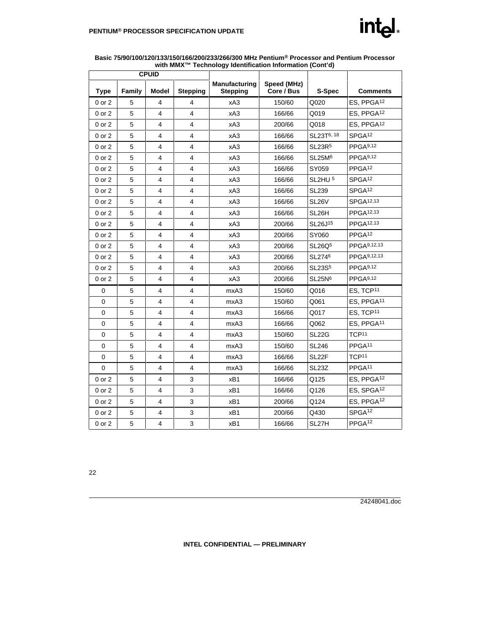

|             |        | <b>CPUID</b>   |                 | <b></b>                          |                           |                                 |                        |
|-------------|--------|----------------|-----------------|----------------------------------|---------------------------|---------------------------------|------------------------|
| <b>Type</b> | Family | <b>Model</b>   | <b>Stepping</b> | Manufacturing<br><b>Stepping</b> | Speed (MHz)<br>Core / Bus | S-Spec                          | <b>Comments</b>        |
| $0$ or $2$  | 5      | 4              | 4               | xA3                              | 150/60                    | Q020                            | ES, PPGA <sup>12</sup> |
| 0 or 2      | 5      | 4              | 4               | xA3                              | 166/66                    | Q019                            | ES, PPGA <sup>12</sup> |
| 0 or 2      | 5      | 4              | 4               | xA3                              | 200/66                    | Q018                            | ES, PPGA <sup>12</sup> |
| 0 or 2      | 5      | 4              | 4               | xA3                              | 166/66                    | SL23T <sup>6, 18</sup>          | SPGA <sup>12</sup>     |
| 0 or 2      | 5      | 4              | 4               | xA3                              | 166/66                    | SL23R <sup>5</sup>              | PPGA <sub>9,12</sub>   |
| 0 or 2      | 5      | 4              | 4               | xA3                              | 166/66                    | SL25M <sup>6</sup>              | PPGA <sub>9,12</sub>   |
| $0$ or $2$  | 5      | 4              | 4               | xA3                              | 166/66                    | SY059                           | PPGA <sup>12</sup>     |
| 0 or 2      | 5      | 4              | 4               | xA3                              | 166/66                    | SL <sub>2</sub> HU <sub>5</sub> | SPGA <sup>12</sup>     |
| 0 or 2      | 5      | 4              | 4               | xA3                              | 166/66                    | <b>SL239</b>                    | SPGA <sup>12</sup>     |
| 0 or 2      | 5      | 4              | 4               | xA3                              | 166/66                    | SL26V                           | SPGA12,13              |
| $0$ or $2$  | 5      | 4              | 4               | xA3                              | 166/66                    | SL26H                           | PPGA <sup>12,13</sup>  |
| 0 or 2      | 5      | $\overline{4}$ | 4               | xA3                              | 200/66                    | SL26J <sup>15</sup>             | PPGA <sup>12,13</sup>  |
| $0$ or $2$  | 5      | 4              | 4               | xA3                              | 200/66                    | SY060                           | PPGA <sup>12</sup>     |
| 0 or 2      | 5      | 4              | 4               | xA3                              | 200/66                    | SL26Q <sup>5</sup>              | PPGA9,12,13            |
| 0 or 2      | 5      | 4              | 4               | xA3                              | 200/66                    | SL2746                          | PPGA9,12,13            |
| $0$ or $2$  | 5      | 4              | 4               | xA3                              | 200/66                    | SL23S <sup>5</sup>              | PPGA <sub>9,12</sub>   |
| $0$ or $2$  | 5      | 4              | $\overline{4}$  | xA3                              | 200/66                    | SL25N <sup>6</sup>              | PPGA <sup>9,12</sup>   |
| 0           | 5      | 4              | 4               | mxA3                             | 150/60                    | Q016                            | ES, TCP <sup>11</sup>  |
| 0           | 5      | 4              | 4               | mxA3                             | 150/60                    | Q061                            | ES, PPGA <sup>11</sup> |
| 0           | 5      | 4              | 4               | mxA3                             | 166/66                    | Q017                            | ES, TCP <sup>11</sup>  |
| $\mathbf 0$ | 5      | $\overline{4}$ | 4               | mxA3                             | 166/66                    | Q062                            | ES, PPGA11             |
| 0           | 5      | 4              | 4               | mxA3                             | 150/60                    | <b>SL22G</b>                    | TCP <sup>11</sup>      |
| 0           | 5      | 4              | $\overline{4}$  | mxA3                             | 150/60                    | <b>SL246</b>                    | PPGA <sup>11</sup>     |
| 0           | 5      | 4              | 4               | mxA3                             | 166/66                    | SL <sub>22</sub> F              | TCP <sub>11</sub>      |
| 0           | 5      | 4              | 4               | mxA3                             | 166/66                    | <b>SL23Z</b>                    | PPGA <sub>11</sub>     |
| 0 or 2      | 5      | $\overline{4}$ | 3               | xB1                              | 166/66                    | Q125                            | ES, PPGA <sup>12</sup> |
| $0$ or $2$  | 5      | 4              | 3               | xB1                              | 166/66                    | Q126                            | ES, SPGA <sup>12</sup> |
| 0 or 2      | 5      | 4              | 3               | xB1                              | 200/66                    | Q124                            | ES, PPGA <sup>12</sup> |
| 0 or 2      | 5      | $\overline{4}$ | 3               | xB1                              | 200/66                    | Q430                            | $SPGA^{12}$            |
| $0$ or $2$  | 5      | 4              | 3               | xB1                              | 166/66                    | SL <sub>27</sub> H              | PPGA <sup>12</sup>     |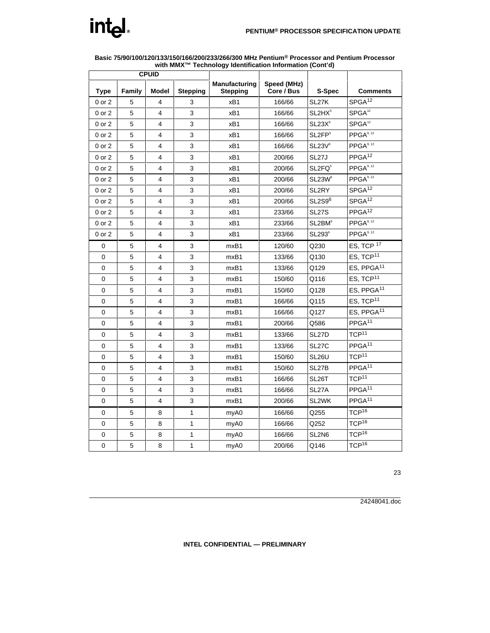|            |        | <b>CPUID</b> |          |                                         |                           |                                        |                                                         |
|------------|--------|--------------|----------|-----------------------------------------|---------------------------|----------------------------------------|---------------------------------------------------------|
| Type       | Family | Model        | Stepping | <b>Manufacturing</b><br><b>Stepping</b> | Speed (MHz)<br>Core / Bus | S-Spec                                 | <b>Comments</b>                                         |
| 0 or 2     | 5      | 4            | 3        | xB1                                     | 166/66                    | SL27K                                  | SPGA <sup>12</sup>                                      |
| $0$ or $2$ | 5      | 4            | 3        | xB1                                     | 166/66                    | $SL2HX^5$                              | SPGA <sup>12</sup>                                      |
| $0$ or $2$ | 5      | 4            | 3        | xB1                                     | 166/66                    | $\sf SL23X^{\rm s}$                    | $\ensuremath{\mathsf{SPGA}}^{\ensuremath{\mathsf{12}}}$ |
| 0 or 2     | 5      | 4            | 3        | xB1                                     | 166/66                    | SL2FP <sup>5</sup>                     | PPGA <sup>9, 12</sup>                                   |
| $0$ or $2$ | 5      | 4            | 3        | xB1                                     | 166/66                    | $SL23V^6$                              | PPGA <sup>9, 12</sup>                                   |
| $0$ or $2$ | 5      | 4            | 3        | xB1                                     | 200/66                    | SL <sub>27</sub> J                     | PPGA <sup>12</sup>                                      |
| $0$ or $2$ | 5      | 4            | 3        | xB1                                     | 200/66                    | SL2FO <sup>5</sup>                     | $PPGA^{9, 12}$                                          |
| $0$ or $2$ | 5      | 4            | 3        | xB1                                     | 200/66                    | $\mathsf{SL}23\mathsf{W}^{\mathsf{s}}$ | $PPGA^{9, 12}$                                          |
| $0$ or $2$ | 5      | 4            | 3        | xB1                                     | 200/66                    | SL2RY                                  | SPGA <sup>12</sup>                                      |
| 0 or 2     | 5      | 4            | 3        | xB1                                     | 200/66                    | SL2S9 <sup>6</sup>                     | $SPGA^{12}$                                             |
| 0 or 2     | 5      | 4            | 3        | xB1                                     | 233/66                    | SL <sub>27</sub> S                     | PPGA <sup>12</sup>                                      |
| $0$ or $2$ | 5      | 4            | 3        | xB1                                     | 233/66                    | SL2BM <sup>5</sup>                     | PPGA <sup>9, 12</sup>                                   |
| $0$ or $2$ | 5      | 4            | 3        | xB1                                     | 233/66                    | $\mathsf{SL}293^\circ$                 | $PPGA^{9, 12}$                                          |
| 0          | 5      | 4            | 3        | mxB1                                    | 120/60                    | Q230                                   | ES, TCP <sup>17</sup>                                   |
| 0          | 5      | 4            | 3        | mxB1                                    | 133/66                    | Q130                                   | ES, TCP <sup>11</sup>                                   |
| 0          | 5      | 4            | 3        | mxB1                                    | 133/66                    | Q129                                   | ES, PPGA <sup>11</sup>                                  |
| 0          | 5      | 4            | 3        | mxB1                                    | 150/60                    | Q116                                   | ES, TCP <sup>11</sup>                                   |
| 0          | 5      | 4            | 3        | mxB1                                    | 150/60                    | Q128                                   | ES, PPGA <sup>11</sup>                                  |
| 0          | 5      | 4            | 3        | mxB1                                    | 166/66                    | Q115                                   | ES, TCP <sup>11</sup>                                   |
| 0          | 5      | 4            | 3        | mxB1                                    | 166/66                    | Q127                                   | ES, PPGA <sup>11</sup>                                  |
| 0          | 5      | 4            | 3        | mxB1                                    | 200/66                    | Q586                                   | PPGA <sup>11</sup>                                      |
| 0          | 5      | 4            | 3        | mxB1                                    | 133/66                    | <b>SL27D</b>                           | TCP <sup>11</sup>                                       |
| 0          | 5      | 4            | 3        | mxB1                                    | 133/66                    | <b>SL27C</b>                           | PPGA <sup>11</sup>                                      |
| 0          | 5      | 4            | 3        | mxB1                                    | 150/60                    | SL26U                                  | TCP <sup>11</sup>                                       |
| 0          | 5      | 4            | 3        | mxB1                                    | 150/60                    | SL <sub>27</sub> B                     | PPGA <sup>11</sup>                                      |
| 0          | 5      | 4            | 3        | mxB1                                    | 166/66                    | SL <sub>26</sub> T                     | TCP <sup>11</sup>                                       |
| 0          | 5      | 4            | 3        | mxB1                                    | 166/66                    | SL <sub>27</sub> A                     | PPGA <sup>11</sup>                                      |
| 0          | 5      | 4            | 3        | mxB1                                    | 200/66                    | SL2WK                                  | PPGA <sup>11</sup>                                      |
| 0          | 5      | 8            | 1        | my <sub>A0</sub>                        | 166/66                    | Q255                                   | TCP <sup>16</sup>                                       |
| 0          | 5      | 8            | 1        | my <sub>A0</sub>                        | 166/66                    | Q252                                   | TCP <sup>16</sup>                                       |
| 0          | 5      | 8            | 1        | myA0                                    | 166/66                    | SL2N6                                  | TCP <sup>16</sup>                                       |
| 0          | 5      | 8            | 1        | my <sub>A0</sub>                        | 200/66                    | Q146                                   | TCP <sup>16</sup>                                       |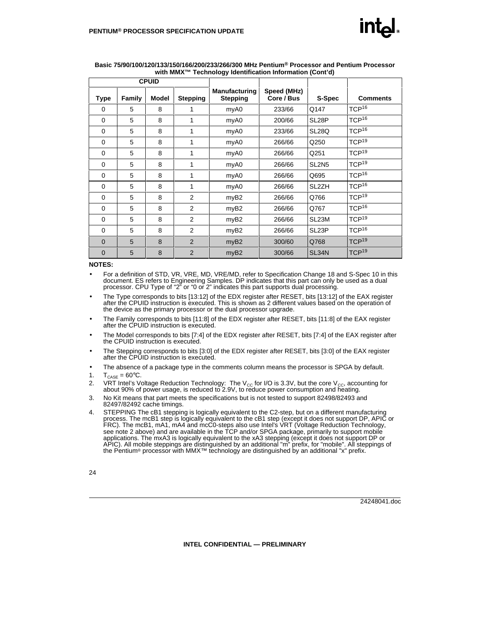

|          |        | <b>CPUID</b> |                 |                                         |                           |                    |                   |
|----------|--------|--------------|-----------------|-----------------------------------------|---------------------------|--------------------|-------------------|
| Type     | Family | Model        | <b>Stepping</b> | <b>Manufacturing</b><br><b>Stepping</b> | Speed (MHz)<br>Core / Bus | S-Spec             | <b>Comments</b>   |
| $\Omega$ | 5      | 8            | 1               | my <sub>A0</sub>                        | 233/66                    | Q147               | TCP <sup>16</sup> |
| 0        | 5      | 8            | 1               | my <sub>A0</sub>                        | 200/66                    | SL <sub>28</sub> P | TCP <sup>16</sup> |
| 0        | 5      | 8            | 1               | my <sub>A0</sub>                        | 233/66                    | SL <sub>28</sub> Q | TCP <sup>16</sup> |
| 0        | 5      | 8            | 1               | my <sub>A0</sub>                        | 266/66                    | Q250               | TCP <sup>19</sup> |
| 0        | 5      | 8            | 1               | my <sub>A0</sub>                        | 266/66                    | Q251               | TCP <sup>19</sup> |
| 0        | 5      | 8            | 1               | my <sub>A0</sub>                        | 266/66                    | SL <sub>2N5</sub>  | TCP <sup>19</sup> |
| $\Omega$ | 5      | 8            | 1               | my <sub>A0</sub>                        | 266/66                    | Q695               | TCP <sup>16</sup> |
| 0        | 5      | 8            | 1               | my <sub>A0</sub>                        | 266/66                    | SL <sub>2</sub> ZH | TCP <sup>16</sup> |
| $\Omega$ | 5      | 8            | $\overline{2}$  | myB <sub>2</sub>                        | 266/66                    | Q766               | TCP <sup>19</sup> |
| $\Omega$ | 5      | 8            | $\overline{2}$  | myB <sub>2</sub>                        | 266/66                    | Q767               | TCP <sup>16</sup> |
| 0        | 5      | 8            | $\overline{2}$  | myB <sub>2</sub>                        | 266/66                    | SL <sub>23</sub> M | TCP <sup>19</sup> |
| $\Omega$ | 5      | 8            | $\overline{2}$  | myB <sub>2</sub>                        | 266/66                    | SL <sub>23</sub> P | TCP <sup>16</sup> |
| $\Omega$ | 5      | 8            | 2               | myB <sub>2</sub>                        | 300/60                    | Q768               | TCP <sup>19</sup> |
| 0        | 5      | 8            | $\overline{2}$  | myB <sub>2</sub>                        | 300/66                    | SL34N              | TCP <sup>19</sup> |

#### **Basic 75/90/100/120/133/150/166/200/233/266/300 MHz Pentium® Processor and Pentium Processor with MMX™ Technology Identification Information (Cont'd)**

#### **NOTES:**

- For a definition of STD, VR, VRE, MD, VRE/MD, refer to Specification Change 18 and S-Spec 10 in this document. ES refers to Engineering Samples. DP indicates that this part can only be used as a dual processor. CPU Type of "2" or "0 or 2" indicates this part supports dual processing.
- The Type corresponds to bits [13:12] of the EDX register after RESET, bits [13:12] of the EAX register after the CPUID instruction is executed. This is shown as 2 different values based on the operation of the device as the primary processor or the dual processor upgrade.
- The Family corresponds to bits [11:8] of the EDX register after RESET, bits [11:8] of the EAX register after the CPUID instruction is executed.
- The Model corresponds to bits [7:4] of the EDX register after RESET, bits [7:4] of the EAX register after the CPUID instruction is executed.
- The Stepping corresponds to bits [3:0] of the EDX register after RESET, bits [3:0] of the EAX register after the CPUID instruction is executed.
- The absence of a package type in the comments column means the processor is SPGA by default.
- 1.  $T_{\text{CASE}} = 60^{\circ}C$ .
- 2. VRT Intel's Voltage Reduction Technology: The V<sub>CC</sub> for I/O is 3.3V, but the core V<sub>CC</sub>, accounting for about 90% of power usage, is reduced to 2.9V, to reduce power consumption and heating.
- 3. No Kit means that part meets the specifications but is not tested to support 82498/82493 and 82497/82492 cache timings.
- 4. STEPPING The cB1 stepping is logically equivalent to the C2-step, but on a different manufacturing process. The mcB1 step is logically equivalent to the cB1 step (except it does not support DP, APIC or FRC). The mcB1, mA1, mA4 and mcC0-steps also use Intel's VRT (Voltage Reduction Technology, see note 2 above) and are available in the TCP and/or SPGA package, primarily to support mobile applications. The mxA3 is logically equivalent to the xA3 stepping (except it does not support DP or APIC). All mobile steppings are distinguished by an additional "m" prefix, for "mobile". All steppings of the Pentium® processor with MMX™ technology are distinguished by an additional "x" prefix.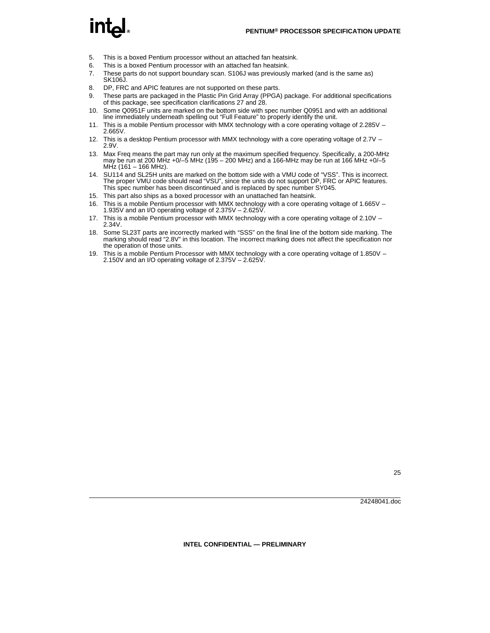## **inte**

- 5. This is a boxed Pentium processor without an attached fan heatsink.
- 6. This is a boxed Pentium processor with an attached fan heatsink.
- 7. These parts do not support boundary scan. S106J was previously marked (and is the same as) SK106J.
- 8. DP, FRC and APIC features are not supported on these parts.
- 9. These parts are packaged in the Plastic Pin Grid Array (PPGA) package. For additional specifications of this package, see specification clarifications 27 and 28.
- 10. Some Q0951F units are marked on the bottom side with spec number Q0951 and with an additional line immediately underneath spelling out "Full Feature" to properly identify the unit.
- 11. This is a mobile Pentium processor with MMX technology with a core operating voltage of 2.285V 2.665V.
- 12. This is a desktop Pentium processor with MMX technology with a core operating voltage of 2.7V 2.9V.
- 13. Max Freq means the part may run only at the maximum specified frequency. Specifically, a 200-MHz may be run at 200 MHz +0/–5 MHz (195 – 200 MHz) and a 166-MHz may be run at 166 MHz +0/–5 MHz (161 – 166 MHz).
- 14. SU114 and SL25H units are marked on the bottom side with a VMU code of "VSS". This is incorrect. The proper VMU code should read "VSU", since the units do not support DP, FRC or APIC features. This spec number has been discontinued and is replaced by spec number SY045.
- 15. This part also ships as a boxed processor with an unattached fan heatsink.
- 16. This is a mobile Pentium processor with MMX technology with a core operating voltage of 1.665V 1.935V and an I/O operating voltage of 2.375V – 2.625V.
- 17. This is a mobile Pentium processor with MMX technology with a core operating voltage of 2.10V 2.34V.
- 18. Some SL23T parts are incorrectly marked with "SSS" on the final line of the bottom side marking. The marking should read "2.8V" in this location. The incorrect marking does not affect the specification nor the operation of those units.
- 19. This is a mobile Pentium Processor with MMX technology with a core operating voltage of 1.850V 2.150V and an I/O operating voltage of 2.375V – 2.625V.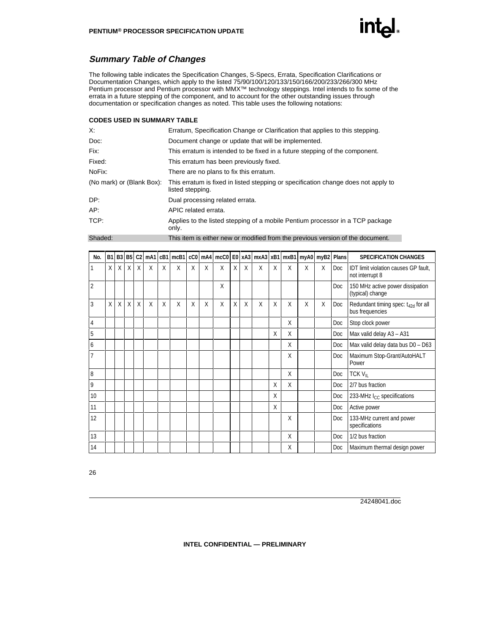

### **Summary Table of Changes**

The following table indicates the Specification Changes, S-Specs, Errata, Specification Clarifications or Documentation Changes, which apply to the listed 75/90/100/120/133/150/166/200/233/266/300 MHz Pentium processor and Pentium processor with MMX™ technology steppings. Intel intends to fix some of the errata in a future stepping of the component, and to account for the other outstanding issues through documentation or specification changes as noted. This table uses the following notations:

#### **CODES USED IN SUMMARY TABLE**

| X:                        | Erratum, Specification Change or Clarification that applies to this stepping.                          |
|---------------------------|--------------------------------------------------------------------------------------------------------|
| Doc:                      | Document change or update that will be implemented.                                                    |
| Fix:                      | This erratum is intended to be fixed in a future stepping of the component.                            |
| Fixed:                    | This erratum has been previously fixed.                                                                |
| NoFix:                    | There are no plans to fix this erratum.                                                                |
| (No mark) or (Blank Box): | This erratum is fixed in listed stepping or specification change does not apply to<br>listed stepping. |
| DP:                       | Dual processing related errata.                                                                        |
| AP:                       | APIC related errata.                                                                                   |
| TCP:                      | Applies to the listed stepping of a mobile Pentium processor in a TCP package<br>only.                 |
| Shaded:                   | This item is either new or modified from the previous version of the document.                         |

| No.            |   |   | <b>B1 B3 B5</b> |   |   |   | C2   mA1   cB1   mcB1   cC0   mA4   mcC0   E0   xA3   mxA3   xB1   mxB1   myA0   myB2 |                           |   |   |   |   |   |   |   |   |   | <b>Plans</b> | <b>SPECIFICATION CHANGES</b>                                       |
|----------------|---|---|-----------------|---|---|---|---------------------------------------------------------------------------------------|---------------------------|---|---|---|---|---|---|---|---|---|--------------|--------------------------------------------------------------------|
| 1              | X | X | $\times$        | X | X | X | X                                                                                     | $\boldsymbol{\mathsf{X}}$ | Χ | X | X | X | Χ | X | X | Χ | X | <b>Doc</b>   | IDT limit violation causes GP fault,<br>not interrupt 8            |
| $\overline{2}$ |   |   |                 |   |   |   |                                                                                       |                           |   | X |   |   |   |   |   |   |   | <b>Doc</b>   | 150 MHz active power dissipation<br>(typical) change               |
| 3              | X | Χ | X               | X | Χ | Χ | χ                                                                                     | X                         | χ | X | χ | X | χ | X | Χ | Χ | X | Doc          | Redundant timing spec: t <sub>42d</sub> for all<br>bus frequencies |
| 4              |   |   |                 |   |   |   |                                                                                       |                           |   |   |   |   |   |   | X |   |   | <b>Doc</b>   | Stop clock power                                                   |
| 5              |   |   |                 |   |   |   |                                                                                       |                           |   |   |   |   |   | X | Χ |   |   | <b>Doc</b>   | Max valid delay A3 - A31                                           |
| 6              |   |   |                 |   |   |   |                                                                                       |                           |   |   |   |   |   |   | Χ |   |   | <b>Doc</b>   | Max valid delay data bus D0 - D63                                  |
| 7              |   |   |                 |   |   |   |                                                                                       |                           |   |   |   |   |   |   | X |   |   | <b>Doc</b>   | Maximum Stop-Grant/AutoHALT<br>Power                               |
| 8              |   |   |                 |   |   |   |                                                                                       |                           |   |   |   |   |   |   | X |   |   | Doc          | TCK $V_{\parallel}$                                                |
| 9              |   |   |                 |   |   |   |                                                                                       |                           |   |   |   |   |   | Χ | X |   |   | <b>Doc</b>   | 2/7 bus fraction                                                   |
| 10             |   |   |                 |   |   |   |                                                                                       |                           |   |   |   |   |   | X |   |   |   | <b>Doc</b>   | 233-MHz $I_{CC}$ speciifications                                   |
| 11             |   |   |                 |   |   |   |                                                                                       |                           |   |   |   |   |   | X |   |   |   | Doc          | Active power                                                       |
| 12             |   |   |                 |   |   |   |                                                                                       |                           |   |   |   |   |   |   | X |   |   | <b>Doc</b>   | 133-MHz current and power<br>specifications                        |
| 13             |   |   |                 |   |   |   |                                                                                       |                           |   |   |   |   |   |   | Χ |   |   | <b>Doc</b>   | 1/2 bus fraction                                                   |
| 14             |   |   |                 |   |   |   |                                                                                       |                           |   |   |   |   |   |   | Χ |   |   | <b>Doc</b>   | Maximum thermal design power                                       |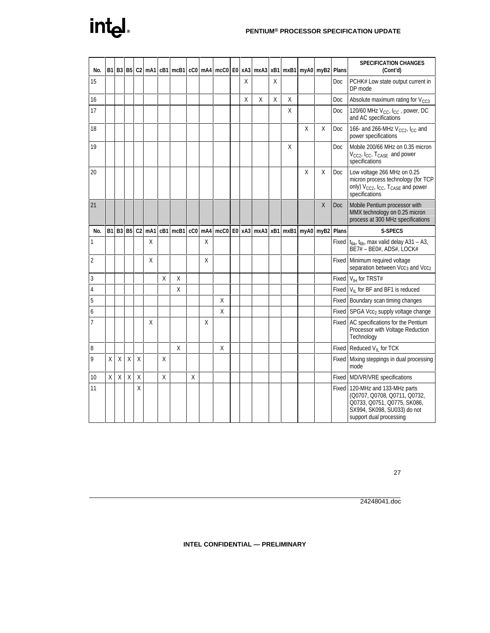| No. |   |         |   |         |                 |   | B1 B3 B5 C2 mA1 cB1 mcB1 cC0 mA4 mcC0 E0 xA3 mxA3 xB1 mxB1 myA0 myB2 |   |   |   |   |   |   |   |                                                                 |   | Plans      | <b>SPECIFICATION CHANGES</b><br>(Cont'd)                                                                                                                      |
|-----|---|---------|---|---------|-----------------|---|----------------------------------------------------------------------|---|---|---|---|---|---|---|-----------------------------------------------------------------|---|------------|---------------------------------------------------------------------------------------------------------------------------------------------------------------|
| 15  |   |         |   |         |                 |   |                                                                      |   |   |   | Χ |   | X |   |                                                                 |   | <b>Doc</b> | PCHK# Low state output current in<br>DP mode                                                                                                                  |
| 16  |   |         |   |         |                 |   |                                                                      |   |   |   | Χ | X | X | X |                                                                 |   | <b>Doc</b> | Absolute maximum rating for $V_{CC3}$                                                                                                                         |
| 17  |   |         |   |         |                 |   |                                                                      |   |   |   |   |   |   | X |                                                                 |   | <b>Doc</b> | 120/60 MHz $V_{CC}$ , $I_{CC}$ , power, DC<br>and AC specifications                                                                                           |
| 18  |   |         |   |         |                 |   |                                                                      |   |   |   |   |   |   |   | Χ                                                               | Χ | <b>Doc</b> | 166- and 266-MHz $V_{CC}$ , I <sub>CC</sub> and<br>power specifications                                                                                       |
| 19  |   |         |   |         |                 |   |                                                                      |   |   |   |   |   |   | X |                                                                 |   | <b>Doc</b> | Mobile 200/66 MHz on 0.35 micron<br>V <sub>CC2</sub> , I <sub>CC</sub> , T <sub>CASE</sub> and power<br>specifications                                        |
| 20  |   |         |   |         |                 |   |                                                                      |   |   |   |   |   |   |   | X                                                               | Χ | Doc        | Low voltage 266 MHz on 0.25<br>micron process technology (for TCP<br>only) V <sub>CC2</sub> , I <sub>CC</sub> , T <sub>CASE</sub> and power<br>specifications |
| 21  |   |         |   |         |                 |   |                                                                      |   |   |   |   |   |   |   |                                                                 | X | <b>Doc</b> | Mobile Pentium processor with<br>MMX technology on 0.25 micron<br>process at 300 MHz specifications                                                           |
| No. |   |         |   |         | B1 B3 B5 C2 mA1 |   | $cB1$ m $cB1$                                                        |   |   |   |   |   |   |   | $ CC0 $ mA4   mcC0   E0   xA3   mxA3   xB1   mxB1   myA0   myB2 |   | Plans      | <b>S-SPECS</b>                                                                                                                                                |
| 1   |   |         |   |         | Χ               |   |                                                                      |   | X |   |   |   |   |   |                                                                 |   | Fixed      | $t_{6a}$ , $t_{6b}$ , max valid delay A31 - A3,<br>BE7# - BE0#, ADS#, LOCK#                                                                                   |
| 2   |   |         |   |         | χ               |   |                                                                      |   | Χ |   |   |   |   |   |                                                                 |   |            | Fixed Minimum required voltage<br>separation between Vcc <sub>3</sub> and Vcc <sub>2</sub>                                                                    |
| 3   |   |         |   |         |                 | X | χ                                                                    |   |   |   |   |   |   |   |                                                                 |   |            | Fixed $V_{\text{IH}}$ for TRST#                                                                                                                               |
| 4   |   |         |   |         |                 |   | Χ                                                                    |   |   |   |   |   |   |   |                                                                 |   |            | Fixed $V_{IL}$ for BF and BF1 is reduced                                                                                                                      |
| 5   |   |         |   |         |                 |   |                                                                      |   |   | X |   |   |   |   |                                                                 |   |            | Fixed   Boundary scan timing changes                                                                                                                          |
| 6   |   |         |   |         |                 |   |                                                                      |   |   | X |   |   |   |   |                                                                 |   |            | Fixed SPGA Vcc <sub>2</sub> supply voltage change                                                                                                             |
| 7   |   |         |   |         | Χ               |   |                                                                      |   | Χ |   |   |   |   |   |                                                                 |   |            | Fixed   AC specifications for the Pentium<br>Processor with Voltage Reduction<br>Technology                                                                   |
| 8   |   |         |   |         |                 |   | X                                                                    |   |   | X |   |   |   |   |                                                                 |   |            | Fixed Reduced V <sub>IL</sub> for TCK                                                                                                                         |
| 9   | Χ | $\sf X$ | χ | $\sf X$ |                 | X |                                                                      |   |   |   |   |   |   |   |                                                                 |   |            | Fixed Mixing steppings in dual processing<br>mode                                                                                                             |
| 10  | X | Χ       | X | Χ       |                 | X |                                                                      | X |   |   |   |   |   |   |                                                                 |   |            | Fixed MD/VR/VRE specifications                                                                                                                                |
| 11  |   |         |   | X       |                 |   |                                                                      |   |   |   |   |   |   |   |                                                                 |   |            | Fixed 120-MHz and 133-MHz parts<br>(Q0707, Q0708, Q0711, Q0732,<br>Q0733, Q0751, Q0775, SK086,<br>SX994, SK098, SU033) do not<br>support dual processing      |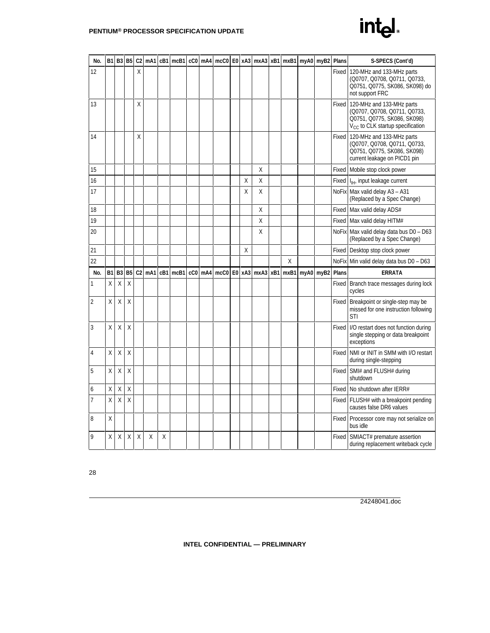| No.            | B <sub>1</sub> | B <sub>3</sub> | B <sub>5</sub> | C <sub>2</sub> | mA1           | cB1 | mcB1 | cC0 mA4 | mcCO         |                |   | $E0$ xA3 mxA3 xB1 mxB1 |   | myA0 myB2 | Plans        | S-SPECS (Cont'd)                                                                                                                  |
|----------------|----------------|----------------|----------------|----------------|---------------|-----|------|---------|--------------|----------------|---|------------------------|---|-----------|--------------|-----------------------------------------------------------------------------------------------------------------------------------|
| 12             |                |                |                | X              |               |     |      |         |              |                |   |                        |   |           | Fixed        | 120-MHz and 133-MHz parts<br>(Q0707, Q0708, Q0711, Q0733,<br>Q0751, Q0775, SK086, SK098) do<br>not support FRC                    |
| 13             |                |                |                | X              |               |     |      |         |              |                |   |                        |   |           | Fixed        | 120-MHz and 133-MHz parts<br>(Q0707, Q0708, Q0711, Q0733,<br>Q0751, Q0775, SK086, SK098)<br>$V_{CC}$ to CLK startup specification |
| 14             |                |                |                | X              |               |     |      |         |              |                |   |                        |   |           | Fixed        | 120-MHz and 133-MHz parts<br>(Q0707, Q0708, Q0711, Q0733,<br>Q0751, Q0775, SK086, SK098)<br>current leakage on PICD1 pin          |
| 15             |                |                |                |                |               |     |      |         |              |                |   | X                      |   |           | Fixed        | Mobile stop clock power                                                                                                           |
| 16             |                |                |                |                |               |     |      |         |              |                | Χ | Χ                      |   |           | Fixed        | I <sub>IH</sub> , input leakage current                                                                                           |
| 17             |                |                |                |                |               |     |      |         |              |                | Χ | X                      |   |           |              | NoFix Max valid delay A3 - A31<br>(Replaced by a Spec Change)                                                                     |
| 18             |                |                |                |                |               |     |      |         |              |                |   | X                      |   |           | Fixed        | Max valid delay ADS#                                                                                                              |
| 19             |                |                |                |                |               |     |      |         |              |                |   | Χ                      |   |           |              | Fixed   Max valid delay HITM#                                                                                                     |
| 20             |                |                |                |                |               |     |      |         |              |                |   | χ                      |   |           |              | NoFix Max valid delay data bus D0 - D63<br>(Replaced by a Spec Change)                                                            |
| 21             |                |                |                |                |               |     |      |         |              |                | Χ |                        |   |           | Fixed        | Desktop stop clock power                                                                                                          |
| 22             |                |                |                |                |               |     |      |         |              |                |   |                        | X |           | NoFix        | Min valid delay data bus D0 - D63                                                                                                 |
| No.            | B <sub>1</sub> | B <sub>3</sub> |                |                | B5 C2 mA1 cB1 |     | mcB1 |         | cC0 mA4 mcC0 | E <sub>0</sub> |   | xA3 mxA3 xB1 mxB1      |   | myA0 myB2 | <b>Plans</b> | <b>ERRATA</b>                                                                                                                     |
| 1              |                |                |                |                |               |     |      |         |              |                |   |                        |   |           |              |                                                                                                                                   |
|                | X              | Χ              | X              |                |               |     |      |         |              |                |   |                        |   |           | Fixed        | Branch trace messages during lock<br>cycles                                                                                       |
| $\overline{2}$ | Χ              | Χ              | χ              |                |               |     |      |         |              |                |   |                        |   |           | Fixed        | Breakpoint or single-step may be<br>missed for one instruction following<br><b>STI</b>                                            |
| 3              | Χ              | X              | χ              |                |               |     |      |         |              |                |   |                        |   |           | Fixed        | I/O restart does not function during<br>single stepping or data breakpoint<br>exceptions                                          |
| 4              | X              | Χ              | X              |                |               |     |      |         |              |                |   |                        |   |           | Fixed        | NMI or INIT in SMM with I/O restart<br>during single-stepping                                                                     |
| 5              | X              | X              | X              |                |               |     |      |         |              |                |   |                        |   |           | Fixed        | SMI# and FLUSH# during<br>shutdown                                                                                                |
| 6              | Χ              | Χ              | $\mathsf{X}$   |                |               |     |      |         |              |                |   |                        |   |           | Fixed        | No shutdown after IERR#                                                                                                           |
| $\overline{7}$ | X              | X              | X              |                |               |     |      |         |              |                |   |                        |   |           | Fixed        | FLUSH# with a breakpoint pending<br>causes false DR6 values                                                                       |
| 8              | Χ              |                |                |                |               |     |      |         |              |                |   |                        |   |           | Fixed        | Processor core may not serialize on<br>bus idle                                                                                   |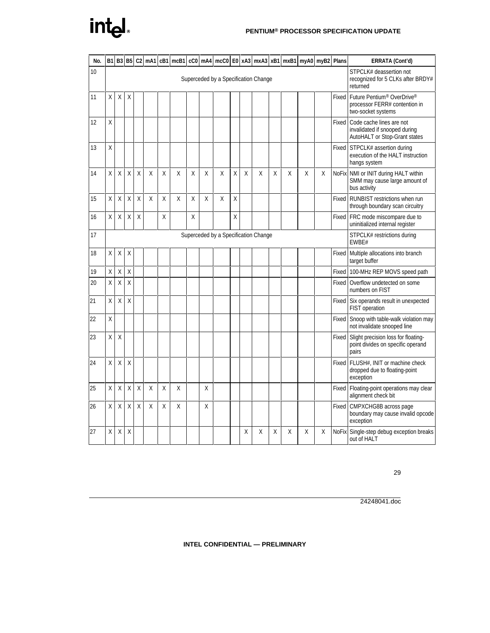| No. | <b>B1</b> |         |   |   |   |   |   |   |   | B3   B5   C2   mA1   cB1   mcB1   cC0   mA4   mcC0   E0   xA3   mxA3   xB1   mxB1   myA0   myB2   Plans |   |   |   |   |   |   |   |              | <b>ERRATA (Cont'd)</b>                                                                                    |
|-----|-----------|---------|---|---|---|---|---|---|---|---------------------------------------------------------------------------------------------------------|---|---|---|---|---|---|---|--------------|-----------------------------------------------------------------------------------------------------------|
| 10  |           |         |   |   |   |   |   |   |   | Superceded by a Specification Change                                                                    |   |   |   |   |   |   |   |              | STPCLK# deassertion not<br>recognized for 5 CLKs after BRDY#<br>returned                                  |
| 11  | X         | X       | χ |   |   |   |   |   |   |                                                                                                         |   |   |   |   |   |   |   | Fixed        | Future Pentium <sup>®</sup> OverDrive <sup>®</sup><br>processor FERR# contention in<br>two-socket systems |
| 12  | Χ         |         |   |   |   |   |   |   |   |                                                                                                         |   |   |   |   |   |   |   | Fixed        | Code cache lines are not<br>invalidated if snooped during<br>AutoHALT or Stop-Grant states                |
| 13  | Χ         |         |   |   |   |   |   |   |   |                                                                                                         |   |   |   |   |   |   |   |              | Fixed STPCLK# assertion during<br>execution of the HALT instruction<br>hangs system                       |
| 14  | Χ         | X       | X | X | X | X | X | X | X | X                                                                                                       | X | X | X | X | X | Χ | X | <b>NoFix</b> | NMI or INIT during HALT within<br>SMM may cause large amount of<br>bus activity                           |
| 15  | X         | Χ       | Χ | X | X | X | Χ | Χ | Χ | X                                                                                                       | X |   |   |   |   |   |   | Fixed        | <b>RUNBIST</b> restrictions when run<br>through boundary scan circuitry                                   |
| 16  | X         | Χ       | Χ | X |   | Χ |   | X |   |                                                                                                         | X |   |   |   |   |   |   | Fixed        | FRC mode miscompare due to<br>uninitialized internal register                                             |
| 17  |           |         |   |   |   |   |   |   |   | Superceded by a Specification Change                                                                    |   |   |   |   |   |   |   |              | STPCLK# restrictions during<br>EWBE#                                                                      |
| 18  | X         | χ       | Χ |   |   |   |   |   |   |                                                                                                         |   |   |   |   |   |   |   | Fixed        | Multiple allocations into branch<br>target buffer                                                         |
| 19  | Χ         | Χ       | Χ |   |   |   |   |   |   |                                                                                                         |   |   |   |   |   |   |   | Fixed        | 100-MHz REP MOVS speed path                                                                               |
| 20  | X         | $\sf X$ | X |   |   |   |   |   |   |                                                                                                         |   |   |   |   |   |   |   | Fixed        | Overflow undetected on some<br>numbers on FIST                                                            |
| 21  | X         | X       | X |   |   |   |   |   |   |                                                                                                         |   |   |   |   |   |   |   | Fixed        | Six operands result in unexpected<br><b>FIST</b> operation                                                |
| 22  | Χ         |         |   |   |   |   |   |   |   |                                                                                                         |   |   |   |   |   |   |   | Fixed        | Snoop with table-walk violation may<br>not invalidate snooped line                                        |
| 23  | X         | X       |   |   |   |   |   |   |   |                                                                                                         |   |   |   |   |   |   |   | Fixed        | Slight precision loss for floating-<br>point divides on specific operand<br>pairs                         |
| 24  | Χ         | X       | X |   |   |   |   |   |   |                                                                                                         |   |   |   |   |   |   |   | Fixed        | FLUSH#, INIT or machine check<br>dropped due to floating-point<br>exception                               |
| 25  | X         | χ       | Χ | X | Χ | χ | Χ |   | Χ |                                                                                                         |   |   |   |   |   |   |   | Fixed        | Floating-point operations may clear<br>alignment check bit                                                |
| 26  | Χ         | Χ       | χ | Χ | Χ | Χ | Χ |   | χ |                                                                                                         |   |   |   |   |   |   |   | Fixed        | CMPXCHG8B across page<br>boundary may cause invalid opcode<br>exception                                   |
| 27  | X         | χ       | Χ |   |   |   |   |   |   |                                                                                                         |   | X | Χ | X | X | X | Χ | <b>NoFix</b> | Single-step debug exception breaks<br>out of HALT                                                         |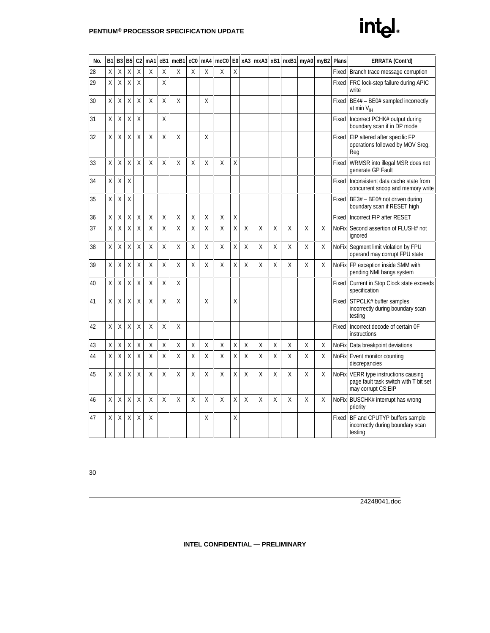

| No. | B <sub>1</sub>     | B <sub>3</sub> | <b>B5</b> | C <sub>2</sub>     | mA1          | cB1         | mcB1 | cC0 |         | mA4 mcC0 | E <sub>0</sub> |                         |         |                    |   | xA3 mxA3 xB1 mxB1 myA0 myB2 |   | Plans        | <b>ERRATA (Cont'd)</b>                                                                        |
|-----|--------------------|----------------|-----------|--------------------|--------------|-------------|------|-----|---------|----------|----------------|-------------------------|---------|--------------------|---|-----------------------------|---|--------------|-----------------------------------------------------------------------------------------------|
| 28  | X                  | Χ              | Χ         | $\mathsf{\chi}$    | X            | X           | X    | X   | X       | Χ        | $\mathsf{X}$   |                         |         |                    |   |                             |   |              | Fixed Branch trace message corruption                                                         |
| 29  | X                  | Χ              | χ         | X                  |              | X           |      |     |         |          |                |                         |         |                    |   |                             |   | Fixed        | FRC lock-step failure during APIC<br>write                                                    |
| 30  | X                  | X              | X         | X                  | X            | X           | X    |     | X       |          |                |                         |         |                    |   |                             |   | Fixed        | BE4# - BE0# sampled incorrectly<br>at min $V_{\text{IH}}$                                     |
| 31  | X                  | χ              | χ         | X                  |              | Χ           |      |     |         |          |                |                         |         |                    |   |                             |   | Fixed        | Incorrect PCHK# output during<br>boundary scan if in DP mode                                  |
| 32  | X                  | X              | Χ         | X                  | χ            | Χ           | X    |     | X       |          |                |                         |         |                    |   |                             |   | Fixed        | EIP altered after specific FP<br>operations followed by MOV Sreg,<br>Reg                      |
| 33  | X                  | Χ              | X         | X                  | χ            | Χ           | Χ    | Χ   | χ       | Χ        | X              |                         |         |                    |   |                             |   | Fixed        | WRMSR into illegal MSR does not<br>generate GP Fault                                          |
| 34  | X                  | X              | X         |                    |              |             |      |     |         |          |                |                         |         |                    |   |                             |   | Fixed        | Inconsistent data cache state from<br>concurrent snoop and memory write                       |
| 35  | X                  | X              | Χ         |                    |              |             |      |     |         |          |                |                         |         |                    |   |                             |   | Fixed        | $BE3# - BE0#$ not driven during<br>boundary scan if RESET high                                |
| 36  | $\pmb{\mathsf{X}}$ | χ              | χ         | $\pmb{\mathsf{X}}$ | Χ            | Χ           | χ    | Χ   | Χ       | Χ        | Χ              |                         |         |                    |   |                             |   | Fixed        | Incorrect FIP after RESET                                                                     |
| 37  | X                  | X              | χ         | X                  | X            | X           | X    | Χ   | X       | Χ        | X              | Χ                       | X       | Χ                  | X | Χ                           | X |              | NoFix Second assertion of FLUSH# not<br>ignored                                               |
| 38  | X                  | Χ              | χ         | Χ                  | Χ            | Χ           | X    | Χ   | X       | X        | Χ              | Χ                       | χ       | Χ                  | X | χ                           | Χ |              | NoFix Segment limit violation by FPU<br>operand may corrupt FPU state                         |
| 39  | X                  | X              | Χ         | X                  | χ            | X           | X    | Χ   | X       | X        | X              | Χ                       | X       | Χ                  | X | Χ                           | χ | <b>NoFix</b> | FP exception inside SMM with<br>pending NMI hangs system                                      |
| 40  | X                  | X              | X         | X                  | χ            | X           | X    |     |         |          |                |                         |         |                    |   |                             |   | Fixed        | Current in Stop Clock state exceeds<br>specification                                          |
| 41  | X                  | X              | Χ         | X                  | χ            | Χ           | X    |     | X       |          | X              |                         |         |                    |   |                             |   |              | Fixed STPCLK# buffer samples<br>incorrectly during boundary scan<br>testing                   |
| 42  | X                  | X              | Χ         | X                  | χ            | χ           | X    |     |         |          |                |                         |         |                    |   |                             |   | Fixed        | Incorrect decode of certain OF<br>instructions                                                |
| 43  | Χ                  | χ              | Χ         | $\pmb{\mathsf{X}}$ | $\mathsf{X}$ | $\mathsf X$ | Χ    | Χ   | $\sf X$ | $\sf X$  | $\mathsf{X}$   | $\mathsf{\overline{X}}$ | $\sf X$ | $\pmb{\mathsf{X}}$ | χ | X                           | Χ | <b>NoFix</b> | Data breakpoint deviations                                                                    |
| 44  | X                  | X              | X         | X                  | χ            | χ           | X    | Χ   | X       | Χ        | X              | Χ                       | X       | X                  | X | X                           | χ |              | NoFix Event monitor counting<br>discrepancies                                                 |
| 45  | X                  | X              | X         | X                  | X            | Χ           | X    | X   | X       | X        | X              | X                       | X       | X                  | X | Χ                           | X | <b>NoFix</b> | VERR type instructions causing<br>page fault task switch with T bit set<br>may corrupt CS:EIP |
| 46  | X                  | Χ              | Χ         | Χ                  | Χ            | Χ           | X    | Χ   | Χ       | X        | X              | Χ                       | X       | Χ                  | X | Χ                           | Χ |              | NoFix BUSCHK# interrupt has wrong<br>priority                                                 |
| 47  | X                  | Χ              | Χ         | X                  | X            |             |      |     | X       |          | X              |                         |         |                    |   |                             |   |              | Fixed BF and CPUTYP buffers sample<br>incorrectly during boundary scan<br>testing             |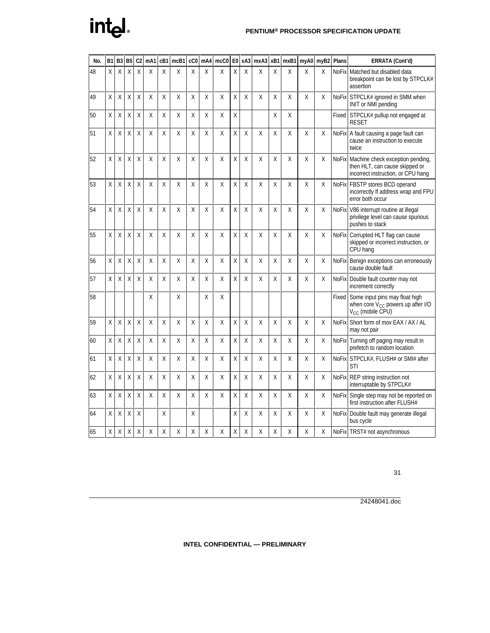#### **PENTIUM® PROCESSOR SPECIFICATION UPDATE**

| No. | B1 | B <sub>3</sub> | <b>B5</b> | C <sub>2</sub> | mA1 | cB1         | mcB1 | cc0 | mA4 | mcC0 | E <sub>0</sub> | xA3 | mxA3 | xB1 | mxB1 | myA0 | myB <sub>2</sub> | <b>Plans</b> | <b>ERRATA (Cont'd)</b>                                                                                         |
|-----|----|----------------|-----------|----------------|-----|-------------|------|-----|-----|------|----------------|-----|------|-----|------|------|------------------|--------------|----------------------------------------------------------------------------------------------------------------|
| 48  | X  | X              | X         | X              | X   | X           | X    | X   | X   | X    | X              | Χ   | X    | Χ   | X    | X    | Χ                |              | NoFix Matched but disabled data<br>breakpoint can be lost by STPCLK#<br>assertion                              |
| 49  | X  | Χ              | χ         | Χ              | Χ   | X           | Χ    | χ   | Χ   | Χ    | X              | Χ   | Χ    | Χ   | X    | Χ    | Χ                |              | NoFix STPCLK# ignored in SMM when<br>INIT or NMI pending                                                       |
| 50  | X  | Χ              | X         | X              | X   | X           | Χ    | X   | Χ   | Χ    | X              |     |      | Χ   | X    |      |                  |              | Fixed STPCLK# pullup not engaged at<br><b>RESET</b>                                                            |
| 51  | X  | Χ              | X         | X              | Χ   | X           | Χ    | X   | Χ   | Χ    | X              | X   | X    | Χ   | X    | Χ    | X                |              | NoFix A fault causing a page fault can<br>cause an instruction to execute<br>twice                             |
| 52  | X  | X              | X         | X              | X   | X           | X    | X   | X   | X    | $\sf X$        | X   | X    | X   | X    | Χ    | X                |              | NoFix Machine check exception pending,<br>then HLT, can cause skipped or<br>incorrect instruction, or CPU hang |
| 53  | X  | X              | Χ         | X              | X   | X           | X    | X   | X   | X    | $\sf X$        | X   | X    | X   | X    | X    | $\sf X$          |              | NoFix FBSTP stores BCD operand<br>incorrectly If address wrap and FPU<br>error both occur                      |
| 54  | Χ  | Χ              | Χ         | X              | X   | X           | Χ    | X   | Χ   | Χ    | X              | X   | X    | Χ   | X    | Χ    | X                |              | NoFix V86 interrupt routine at illegal<br>privilege level can cause spurious<br>pushes to stack                |
| 55  | X  | Χ              | χ         | X              | X   | X           | Χ    | X   | Χ   | Χ    | X              | Χ   | X    | Χ   | X    | Χ    | χ                |              | NoFix Corrupted HLT flag can cause<br>skipped or incorrect instruction, or<br>CPU hang                         |
| 56  | X  | Χ              | χ         | Χ              | Χ   | χ           | Χ    | χ   | χ   | χ    | X              | Χ   | Χ    | Χ   | X    | χ    | Χ                |              | NoFix Benign exceptions can erroneously<br>cause double fault                                                  |
| 57  | X  | X              | $\sf X$   | X              | X   | X           | Χ    | χ   | Χ   | Χ    | X              | Χ   | X    | Χ   | X    | χ    | χ                |              | NoFix Double fault counter may not<br>increment correctly                                                      |
| 58  |    |                |           |                | X   |             | X    |     | X   | X    |                |     |      |     |      |      |                  | Fixed        | Some input pins may float high<br>when core $V_{CC}$ powers up after I/O<br>$V_{CC}$ (mobile CPU)              |
| 59  | X  | Χ              | $\sf X$   | X              | Χ   | $\mathsf X$ | Χ    | Χ   | χ   | Χ    | $\mathsf{X}$   | X   | χ    | Χ   | Χ    | Χ    | Χ                |              | NoFix Short form of mov EAX / AX / AL<br>may not pair                                                          |
| 60  | X  | Χ              | Χ         | X              | Χ   | X           | Χ    | X   | X   | Χ    | X              | Χ   | X    | Χ   | X    | χ    | X                |              | NoFix Turning off paging may result in<br>prefetch to random location                                          |
| 61  | X  | Χ              | Χ         | Χ              | Χ   | χ           | Χ    | χ   | χ   | χ    | χ              | Χ   | Χ    | Χ   | X    | χ    | Χ                |              | NoFix STPCLK#, FLUSH# or SMI# after<br>STI                                                                     |
| 62  | X  | Χ              | X         | X              | Χ   | X           | Χ    | χ   | Χ   | Χ    | X              | Χ   | X    | X   | X    | X    | X                |              | NoFix REP string instruction not<br>interruptable by STPCLK#                                                   |
| 63  | Χ  | X              | X         | X              | Χ   | X           | X    | X   | Χ   | X    | X              | Χ   | X    | Χ   | X    | χ    | X                |              | NoFix Single step may not be reported on<br>first instruction after FLUSH#                                     |
| 64  | X  | Χ              | χ         | X              |     | X           |      | X   |     |      | X              | Χ   | Χ    | Χ   | X    | Χ    | Χ                |              | NoFix Double fault may generate illegal<br>bus cycle                                                           |
| 65  | Χ  | Χ              | Χ         | Χ              | Χ   | Χ           | Χ    | Χ   | χ   | χ    | Χ              | Χ   | Χ    | Χ   | χ    | Χ    | χ                |              | NoFix TRST# not asynchronous                                                                                   |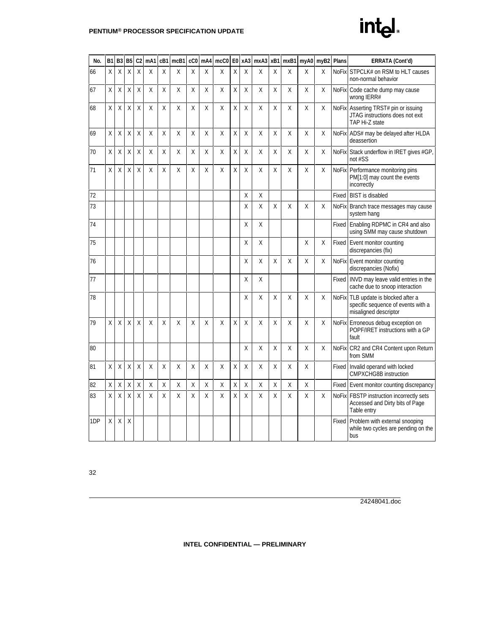| No. | B <sub>1</sub> |         | <b>B3 B5</b> | C <sub>2</sub>  | mA1 |         | cB1 mcB1 |              |   | cC0   mA4   mcC0   E0   xA3   mxA3   xB1   mxB1   myA0   myB2 |              |   |   |   |   |   |   | Plans        | <b>ERRATA (Cont'd)</b>                                                                             |
|-----|----------------|---------|--------------|-----------------|-----|---------|----------|--------------|---|---------------------------------------------------------------|--------------|---|---|---|---|---|---|--------------|----------------------------------------------------------------------------------------------------|
| 66  | Χ              | X       | X            | X               | Χ   | X       | Χ        | X            | Χ | X                                                             | X            | Χ | X | X | X | Χ | X |              | NoFix STPCLK# on RSM to HLT causes<br>non-normal behavior                                          |
| 67  | X              | X       | X            | X               | Χ   | χ       | X        | χ            | X | X                                                             | X            | Χ | X | Χ | X | X | Χ |              | NoFix Code cache dump may cause<br>wrong IERR#                                                     |
| 68  | X              | X       | X            | X               | Χ   | χ       | X        | χ            | X | X                                                             | X            | Χ | X | X | X | χ | χ |              | NoFix Asserting TRST# pin or issuing<br>JTAG instructions does not exit<br>TAP Hi-Z state          |
| 69  | X              | X       | X            | X               | Χ   | χ       | Χ        | χ            | X | X                                                             | X            | Χ | X | X | X | X | χ | <b>NoFix</b> | ADS# may be delayed after HLDA<br>deassertion                                                      |
| 70  | Χ              | Χ       | Χ            | Χ               | Χ   | Χ       | Χ        | Χ            | χ | Χ                                                             | Χ            | Χ | X | Χ | χ | Χ | Χ |              | NoFix Stack underflow in IRET gives #GP,<br>not #SS                                                |
| 71  | Χ              | Χ       | X            | Χ               | Χ   | χ       | χ        | χ            | χ | Χ                                                             | Χ            | Χ | Χ | Χ | X | χ | χ |              | NoFix Performance monitoring pins<br>PM[1:0] may count the events<br>incorrectly                   |
| 72  |                |         |              |                 |     |         |          |              |   |                                                               |              | X | Χ |   |   |   |   | Fixed        | <b>BIST</b> is disabled                                                                            |
| 73  |                |         |              |                 |     |         |          |              |   |                                                               |              | X | X | X | X | Χ | X |              | NoFix Branch trace messages may cause<br>system hang                                               |
| 74  |                |         |              |                 |     |         |          |              |   |                                                               |              | Χ | X |   |   |   |   |              | Fixed Enabling RDPMC in CR4 and also<br>using SMM may cause shutdown                               |
| 75  |                |         |              |                 |     |         |          |              |   |                                                               |              | Χ | X |   |   | X | Χ | Fixed        | Event monitor counting<br>discrepancies (fix)                                                      |
| 76  |                |         |              |                 |     |         |          |              |   |                                                               |              | X | χ | Χ | X | Χ | X |              | NoFix Event monitor counting<br>discrepancies (Nofix)                                              |
| 77  |                |         |              |                 |     |         |          |              |   |                                                               |              | X | X |   |   |   |   | Fixed        | INVD may leave valid entries in the<br>cache due to snoop interaction                              |
| 78  |                |         |              |                 |     |         |          |              |   |                                                               |              | X | X | Χ | X | X | Χ |              | NoFix TLB update is blocked after a<br>specific sequence of events with a<br>misaligned descriptor |
| 79  | X              | X       | X            | X               | X   | X       | X        | X            | X | X                                                             | X            | X | X | Χ | X | Χ | X |              | NoFix Erroneous debug exception on<br>POPF/IRET instructions with a GP<br>fault                    |
| 80  |                |         |              |                 |     |         |          |              |   |                                                               |              | Χ | χ | Χ | X | Χ | X |              | NoFix CR2 and CR4 Content upon Return<br>from SMM                                                  |
| 81  | X              | X       | X            | X               | Χ   | X       | Χ        | X            | Χ | Χ                                                             | X            | Χ | X | Χ | X | χ |   | Fixed        | Invalid operand with locked<br><b>CMPXCHG8B instruction</b>                                        |
| 82  | $\mathsf X$    | $\sf X$ | $\mathsf X$  | $\mathsf{\chi}$ | Χ   | $\sf X$ | Χ        | $\mathsf{X}$ | Χ | $\sf X$                                                       | $\mathsf{X}$ | X | χ | Χ | Χ | χ |   |              | Fixed Event monitor counting discrepancy                                                           |
| 83  | X              | X       | X            | X               | X   | χ       | Χ        | X            | Χ | X                                                             | X            | X | X | X | X | Χ | X |              | NoFix FBSTP instruction incorrectly sets<br>Accessed and Dirty bits of Page<br>Table entry         |
| 1DP | X              | X       | X            |                 |     |         |          |              |   |                                                               |              |   |   |   |   |   |   | Fixed        | Problem with external snooping<br>while two cycles are pending on the<br>bus                       |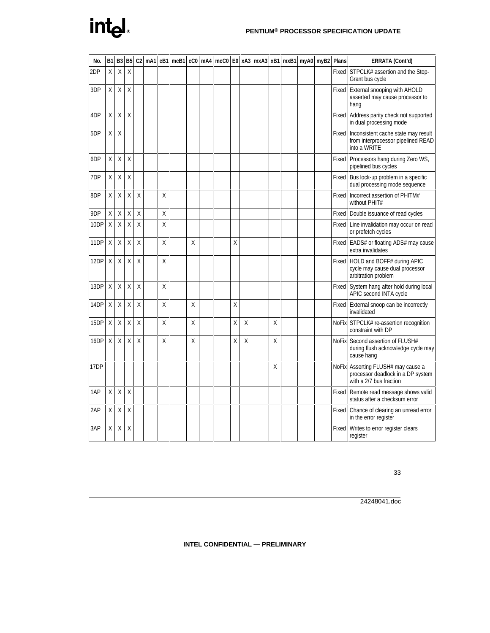### **PENTIUM® PROCESSOR SPECIFICATION UPDATE**

| No.  | B <sub>1</sub> | B <sub>3</sub> | <b>B5</b> |                         |   |   | C2  mA1 cB1  mcB1 cC0  mA4  mcC0  E0  xA3  mxA3  xB1  mxB1  myA0  myB2  Plans |   |   |   |  |       | <b>ERRATA (Cont'd)</b>                                                                             |
|------|----------------|----------------|-----------|-------------------------|---|---|-------------------------------------------------------------------------------|---|---|---|--|-------|----------------------------------------------------------------------------------------------------|
| 2DP  | Χ              | X              | X         |                         |   |   |                                                                               |   |   |   |  |       | Fixed STPCLK# assertion and the Stop-<br>Grant bus cycle                                           |
| 3DP  | X              | X              | X         |                         |   |   |                                                                               |   |   |   |  |       | Fixed External snooping with AHOLD<br>asserted may cause processor to<br>hang                      |
| 4DP  | Χ              | Χ              | Χ         |                         |   |   |                                                                               |   |   |   |  |       | Fixed   Address parity check not supported<br>in dual processing mode                              |
| 5DP  | X              | X              |           |                         |   |   |                                                                               |   |   |   |  |       | Fixed Inconsistent cache state may result<br>from interprocessor pipelined READ<br>into a WRITE    |
| 6DP  | X              | X              | χ         |                         |   |   |                                                                               |   |   |   |  |       | Fixed Processors hang during Zero WS,<br>pipelined bus cycles                                      |
| 7DP  | X              | X              | χ         |                         |   |   |                                                                               |   |   |   |  |       | Fixed Bus lock-up problem in a specific<br>dual processing mode sequence                           |
| 8DP  | X              | X              | X         | X                       | X |   |                                                                               |   |   |   |  | Fixed | Incorrect assertion of PHITM#<br>without PHIT#                                                     |
| 9DP  | Χ              | χ              | Χ         | χ                       | Χ |   |                                                                               |   |   |   |  |       | Fixed Double issuance of read cycles                                                               |
| 10DP | $\mathsf X$    | X              | $\sf X$   | X                       | X |   |                                                                               |   |   |   |  |       | Fixed Line invalidation may occur on read<br>or prefetch cycles                                    |
| 11DP | Χ              | X              | Χ         | $\mathsf{\overline{X}}$ | χ | Χ |                                                                               | X |   |   |  | Fixed | EADS# or floating ADS# may cause<br>extra invalidates                                              |
| 12DP | X              | X              | X         | X                       | X |   |                                                                               |   |   |   |  |       | Fixed HOLD and BOFF# during APIC<br>cycle may cause dual processor<br>arbitration problem          |
| 13DP | Χ              | Χ              | Χ         | $\sf X$                 | X |   |                                                                               |   |   |   |  |       | Fixed System hang after hold during local<br>APIC second INTA cycle                                |
| 14DP | Χ              | χ              | Χ         | X                       | X | χ |                                                                               | X |   |   |  |       | Fixed External snoop can be incorrectly<br>invalidated                                             |
| 15DP | Χ              | Χ              | Χ         | X                       | χ | X |                                                                               | X | X | Χ |  |       | NoFix STPCLK# re-assertion recognition<br>constraint with DP                                       |
| 16DP | X              | X              | X         | Χ                       | X | X |                                                                               | X | Χ | Χ |  |       | NoFix Second assertion of FLUSH#<br>during flush acknowledge cycle may<br>cause hang               |
| 17DP |                |                |           |                         |   |   |                                                                               |   |   | Χ |  |       | NoFix Asserting FLUSH# may cause a<br>processor deadlock in a DP system<br>with a 2/7 bus fraction |
| 1AP  | X              | X              | X         |                         |   |   |                                                                               |   |   |   |  | Fixed | Remote read message shows valid<br>status after a checksum error                                   |
| 2AP  | X              | $\mathsf X$    | X         |                         |   |   |                                                                               |   |   |   |  | Fixed | Chance of clearing an unread error<br>in the error register                                        |
| 3AP  | X              | χ              | X         |                         |   |   |                                                                               |   |   |   |  |       | Fixed Writes to error register clears<br>register                                                  |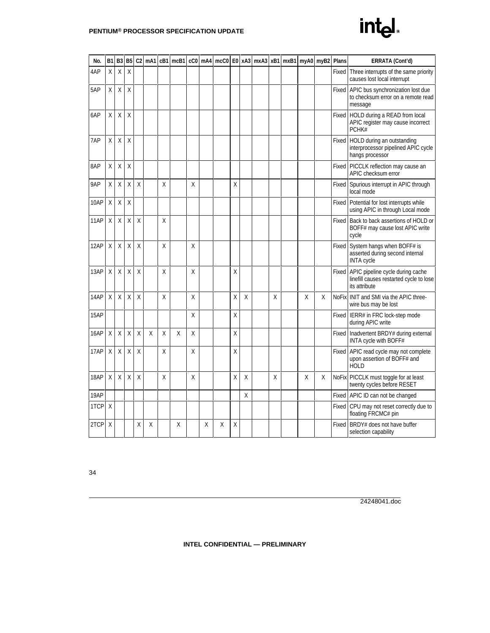

| No.  | B1                 | B <sub>3</sub> | <b>B5</b> | C <sub>2</sub> | $mA1$ cB1       |   | mcB1 |   | cC0 mA4 | mcC <sub>0</sub> | E <sub>0</sub> | xA3 | mxA3 xB1 |   | mxB1 |   | myA0 myB2 | Plans | <b>ERRATA (Cont'd)</b>                                                                             |
|------|--------------------|----------------|-----------|----------------|-----------------|---|------|---|---------|------------------|----------------|-----|----------|---|------|---|-----------|-------|----------------------------------------------------------------------------------------------------|
| 4AP  | Χ                  | Χ              | Χ         |                |                 |   |      |   |         |                  |                |     |          |   |      |   |           | Fixed | Three interrupts of the same priority<br>causes lost local interrupt                               |
| 5AP  | X                  | X              | X         |                |                 |   |      |   |         |                  |                |     |          |   |      |   |           |       | Fixed APIC bus synchronization lost due<br>to checksum error on a remote read<br>message           |
| 6AP  | X                  | X              | X         |                |                 |   |      |   |         |                  |                |     |          |   |      |   |           |       | Fixed   HOLD during a READ from local<br>APIC register may cause incorrect<br>PCHK#                |
| 7AP  | X                  | X              | X         |                |                 |   |      |   |         |                  |                |     |          |   |      |   |           |       | Fixed   HOLD during an outstanding<br>interprocessor pipelined APIC cycle<br>hangs processor       |
| 8AP  | X                  | Χ              | Χ         |                |                 |   |      |   |         |                  |                |     |          |   |      |   |           |       | Fixed   PICCLK reflection may cause an<br>APIC checksum error                                      |
| 9AP  | X                  | χ              | X         | X              |                 | X |      | X |         |                  | X              |     |          |   |      |   |           | Fixed | Spurious interrupt in APIC through<br>local mode                                                   |
| 10AP | $\pmb{\mathsf{X}}$ | Χ              | Χ         |                |                 |   |      |   |         |                  |                |     |          |   |      |   |           | Fixed | Potential for lost interrupts while<br>using APIC in through Local mode                            |
| 11AP | $\sf X$            | $\mathsf{X}$   | X         | X              |                 | X |      |   |         |                  |                |     |          |   |      |   |           |       | Fixed Back to back assertions of HOLD or<br>BOFF# may cause lost APIC write<br>cycle               |
| 12AP | X                  | X              | X         | X              |                 | X |      | X |         |                  |                |     |          |   |      |   |           |       | Fixed System hangs when BOFF# is<br>asserted during second internal<br><b>INTA cycle</b>           |
| 13AP | X                  | X              | X         | X              |                 | X |      | X |         |                  | X              |     |          |   |      |   |           |       | Fixed APIC pipeline cycle during cache<br>linefill causes restarted cycle to lose<br>its attribute |
| 14AP | X                  | X              | X         | X              |                 | X |      | X |         |                  | X              | X   |          | X |      | Χ | Χ         |       | NoFix INIT and SMI via the APIC three-<br>wire bus may be lost                                     |
| 15AP |                    |                |           |                |                 |   |      | X |         |                  | X              |     |          |   |      |   |           |       | Fixed IERR# in FRC lock-step mode<br>during APIC write                                             |
| 16AP | $\sf X$            | $\mathsf X$    | X         | $\mathsf{x}$   | $\mathsf{\chi}$ | Χ | X    | Χ |         |                  | $\sf X$        |     |          |   |      |   |           |       | Fixed Inadvertent BRDY# during external<br>INTA cycle with BOFF#                                   |
| 17AP | $\pmb{\mathsf{X}}$ | X              | Χ         | X              |                 | Χ |      | Χ |         |                  | X              |     |          |   |      |   |           | Fixed | APIC read cycle may not complete<br>upon assertion of BOFF# and<br>HOLD                            |
| 18AP | X                  | X              | Χ         | $\mathsf{x}$   |                 | Χ |      | Χ |         |                  | X              | Χ   |          | Χ |      | Χ | X         |       | NoFix PICCLK must toggle for at least<br>twenty cycles before RESET                                |
| 19AP |                    |                |           |                |                 |   |      |   |         |                  |                | Χ   |          |   |      |   |           |       | Fixed   APIC ID can not be changed                                                                 |
| 1TCP | X                  |                |           |                |                 |   |      |   |         |                  |                |     |          |   |      |   |           | Fixed | CPU may not reset correctly due to<br>floating FRCMC# pin                                          |
| 2TCP | X                  |                |           | Χ              | Χ               |   | X    |   | Χ       | Χ                | χ              |     |          |   |      |   |           |       | Fixed   BRDY# does not have buffer<br>selection capability                                         |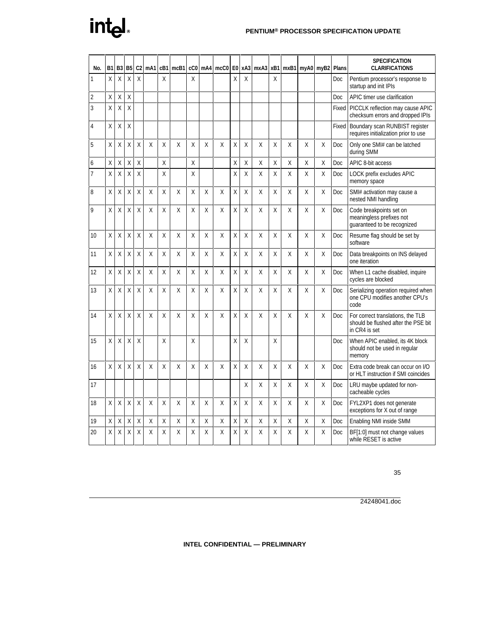### **PENTIUM® PROCESSOR SPECIFICATION UPDATE**

| No.            | <b>B1</b> | B <sub>3</sub>     | <b>B5</b> | C <sub>2</sub> | mA1 | cB1 | mcB1 | cC0 | mA4 | mcC0 | E <sub>0</sub> | xA3 | mxA3 xB1 |   | mxB1 | myA0 | myB <sub>2</sub> | <b>Plans</b> | <b>SPECIFICATION</b><br><b>CLARIFICATIONS</b>                                             |
|----------------|-----------|--------------------|-----------|----------------|-----|-----|------|-----|-----|------|----------------|-----|----------|---|------|------|------------------|--------------|-------------------------------------------------------------------------------------------|
| $\vert$ 1      | X         | X                  | X         | X              |     | X   |      | X   |     |      | X              | X   |          | X |      |      |                  | Doc          | Pentium processor's response to<br>startup and init IPIs                                  |
| $\overline{2}$ | Χ         | χ                  | Χ         |                |     |     |      |     |     |      |                |     |          |   |      |      |                  | <b>Doc</b>   | APIC timer use clarification                                                              |
| $\overline{3}$ | $\sf X$   | X                  | X         |                |     |     |      |     |     |      |                |     |          |   |      |      |                  | Fixed        | PICCLK reflection may cause APIC<br>checksum errors and dropped IPIs                      |
| 4              | X         | X                  | Χ         |                |     |     |      |     |     |      |                |     |          |   |      |      |                  | Fixed        | Boundary scan RUNBIST register<br>requires initialization prior to use                    |
| 5              | X         | X                  | X         | X              | X   | X   | X    | X   | X   | X    | X              | X   | X        | X | X    | X    | X                | <b>Doc</b>   | Only one SMI# can be latched<br>during SMM                                                |
| 6              | Χ         | χ                  | Χ         | $\sf X$        |     | X   |      | X   |     |      | Χ              | Χ   | Χ        | X | Χ    | Χ    | Χ                | <b>Doc</b>   | APIC 8-bit access                                                                         |
| $\overline{7}$ | X         | Χ                  | Χ         | Χ              |     | Χ   |      | χ   |     |      | Χ              | Χ   | Χ        | Χ | Χ    | X    | Χ                | Doc          | <b>LOCK prefix excludes APIC</b><br>memory space                                          |
| 8              | X         | X                  | X         | X              | X   | X   | X    | X   | X   | X    | X              | X   | Χ        | X | Χ    | X    | Χ                | <b>Doc</b>   | SMI# activation may cause a<br>nested NMI handling                                        |
| $\overline{9}$ | X         | X                  | X         | X              | X   | X   | X    | X   | X   | Χ    | X              | X   | X        | X | Χ    | X    | X                | <b>Doc</b>   | Code breakpoints set on<br>meaningless prefixes not<br>quaranteed to be recognized        |
| 10             | Χ         | Χ                  | Χ         | Χ              | χ   | Χ   | Χ    | Χ   | χ   | Χ    | Χ              | Χ   | χ        | Χ | Χ    | X    | Χ                | Doc          | Resume flag should be set by<br>software                                                  |
| 11             | X         | Χ                  | Χ         | Χ              | X   | X   | X    | Χ   | X   | Χ    | X              | X   | Χ        | X | Χ    | X    | X                | <b>Doc</b>   | Data breakpoints on INS delayed<br>one iteration                                          |
| 12             | X         | X                  | X         | X              | X   | χ   | X    | Χ   | X   | X    | X              | Χ   | Χ        | X | Χ    | X    | X                | Doc          | When L1 cache disabled, inquire<br>cycles are blocked                                     |
| 13             | X         | X                  | X         | $\sf X$        | X   | X   | X    | X   | X   | X    | X              | X   | X        | X | X    | X    | X                | Doc          | Serializing operation required when<br>one CPU modifies another CPU's<br>code             |
| 14             | X         | χ                  | Χ         | Χ              | χ   | Χ   | X    | Χ   | X   | Χ    | X              | X   | Χ        | Χ | Χ    | X    | Χ                | Doc          | For correct translations, the TLB<br>should be flushed after the PSE bit<br>in CR4 is set |
| 15             | X         | X                  | X         | X              |     | χ   |      | χ   |     |      | X              | Χ   |          | X |      |      |                  | <b>Doc</b>   | When APIC enabled, its 4K block<br>should not be used in regular<br>memory                |
| 16             | X         | X                  | Χ         | X              | X   | X   | X    | Χ   | X   | Χ    | X              | X   | X        | X | Χ    | X    | X                | <b>Doc</b>   | Extra code break can occur on I/O<br>or HLT instruction if SMI coincides                  |
| 17             |           |                    |           |                |     |     |      |     |     |      |                | X   | Χ        | X | X    | X    | X                | <b>Doc</b>   | LRU maybe updated for non-<br>cacheable cycles                                            |
| 18             | X         | X                  | X         | X              | X   | X   | X    | X   | X   | Χ    | X              | X   | Χ        | X | Χ    | X    | X                | <b>Doc</b>   | FYL2XP1 does not generate<br>exceptions for X out of range                                |
| 19             | X         | $\pmb{\mathsf{X}}$ | χ         | Χ              | χ   | X   | X    | X   | X   | Χ    | Χ              | X   | Χ        | X | Χ    | X    | X                | <b>Doc</b>   | Enabling NMI inside SMM                                                                   |
| 20             | X         | X                  | Χ         | X              | X   | X   | X    | X   | X   | X    | X              | X   | X        | X | X    | X    | Χ                | Doc          | BF[1:0] must not change values<br>while RESET is active                                   |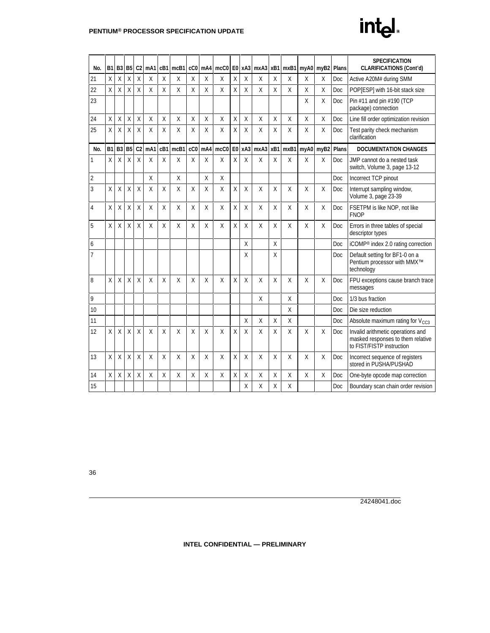| No.            |   | <b>B1 B3</b> | B <sub>5</sub> | C <sub>2</sub> | mA1          |     | cB1 mcB1 |     | cC0 mA4 | mcC0   E0   xA3   mxA3   xB1   mxB1   myA0   myB2 |                |   |   |   |   |                                   |   | Plans      | <b>SPECIFICATION</b><br><b>CLARIFICATIONS (Cont'd)</b>                                              |
|----------------|---|--------------|----------------|----------------|--------------|-----|----------|-----|---------|---------------------------------------------------|----------------|---|---|---|---|-----------------------------------|---|------------|-----------------------------------------------------------------------------------------------------|
| 21             | X | Χ            | X              | X              | X            | X   | X        | X   | X       | X                                                 | X              | X | X | X | X | X                                 | X | <b>Doc</b> | Active A20M# during SMM                                                                             |
| 22             | X | X            | $\sf X$        | Χ              | χ            | X   | X        | X   | Χ       | X                                                 | X              | Χ | X | X | X | Χ                                 | Χ | <b>Doc</b> | POP[ESP] with 16-bit stack size                                                                     |
| 23             |   |              |                |                |              |     |          |     |         |                                                   |                |   |   |   |   | X                                 | X | <b>Doc</b> | Pin #11 and pin #190 (TCP<br>package) connection                                                    |
| 24             | X | Χ            | $\mathsf{X}$   | $\pmb{\chi}$   | X            | X   | Χ        | X   | Χ       | X                                                 | X              | Χ | X | X | X | Χ                                 | X | <b>Doc</b> | Line fill order optimization revision                                                               |
| 25             | Χ | X            | $\sf X$        | X              | χ            | X   | X        | X   | X       | X                                                 | $\sf X$        | Χ | X | X | X | Χ                                 | X | <b>Doc</b> | Test parity check mechanism<br>clarification                                                        |
| No.            |   | <b>B1 B3</b> | <b>B5</b>      | C <sub>2</sub> | mA1          | cB1 | mcB1     | cc0 | mA4     | mcC <sub>0</sub>                                  | E <sub>0</sub> |   |   |   |   | xA3 mxA3 xB1 mxB1 myA0 myB2 Plans |   |            | <b>DOCUMENTATION CHANGES</b>                                                                        |
| 1              | X | X            | X              | X              | X            | X   | X        | X   | X       | Χ                                                 | X              | X | X | Χ | X | X                                 | X | Doc        | JMP cannot do a nested task<br>switch, Volume 3, page 13-12                                         |
| $\sqrt{2}$     |   |              |                |                | X            |     | X        |     | X       | X                                                 |                |   |   |   |   |                                   |   | <b>Doc</b> | Incorrect TCP pinout                                                                                |
| 3              | X | X            | X              | X              | X            | X   | X        | X   | X       | X                                                 | X              | X | X | X | X | X                                 | X | Doc        | Interrupt sampling window,<br>Volume 3, page 23-39                                                  |
| 4              | X | X            | X              | X              | X            | X   | X        | X   | X       | X                                                 | X              | X | X | Χ | X | X                                 | X | <b>Doc</b> | FSETPM is like NOP, not like<br><b>FNOP</b>                                                         |
| 5              | X | X            | $\sf X$        | X              | Χ            | X   | X        | X   | X       | Χ                                                 | X              | X | X | X | Χ | X                                 | X | <b>Doc</b> | Errors in three tables of special<br>descriptor types                                               |
| 6              |   |              |                |                |              |     |          |     |         |                                                   |                | X |   | χ |   |                                   |   | Doc        | iCOMP <sup>®</sup> index 2.0 rating correction                                                      |
| $\overline{1}$ |   |              |                |                |              |     |          |     |         |                                                   |                | Χ |   | X |   |                                   |   | <b>Doc</b> | Default setting for BF1-0 on a<br>Pentium processor with MMX™<br>technology                         |
| 8              | X | Χ            | X              | X              | Χ            | X   | X        | X   | X       | Χ                                                 | X              | Χ | X | X | X | Χ                                 | Χ | Doc        | FPU exceptions cause branch trace<br>messages                                                       |
| 9              |   |              |                |                |              |     |          |     |         |                                                   |                |   | X |   | X |                                   |   | Doc        | 1/3 bus fraction                                                                                    |
| 10             |   |              |                |                |              |     |          |     |         |                                                   |                |   |   |   | X |                                   |   | Doc        | Die size reduction                                                                                  |
| 11             |   |              |                |                |              |     |          |     |         |                                                   |                | Χ | X | Χ | X |                                   |   | <b>Doc</b> | Absolute maximum rating for $V_{CC3}$                                                               |
| 12             | X | X            | X              | X              | X            | X   | X        | X   | X       | X                                                 | X              | X | X | X | X | X                                 | X | <b>Doc</b> | Invalid arithmetic operations and<br>masked responses to them relative<br>to FIST/FISTP instruction |
| 13             | X | X            | $\sf X$        | X              | $\mathsf{x}$ | X   | X        | X   | X       | X                                                 | X              | X | X | X | X | X                                 | X | <b>Doc</b> | Incorrect sequence of registers<br>stored in PUSHA/PUSHAD                                           |
| 14             | Χ | Χ            | Χ              | Χ              | χ            | Χ   | Χ        | χ   | Χ       | Χ                                                 | X              | Χ | Χ | Χ | X | Χ                                 | Χ | Doc        | One-byte opcode map correction                                                                      |
| 15             |   |              |                |                |              |     |          |     |         |                                                   |                | Χ | χ | Χ | Χ |                                   |   | <b>Doc</b> | Boundary scan chain order revision                                                                  |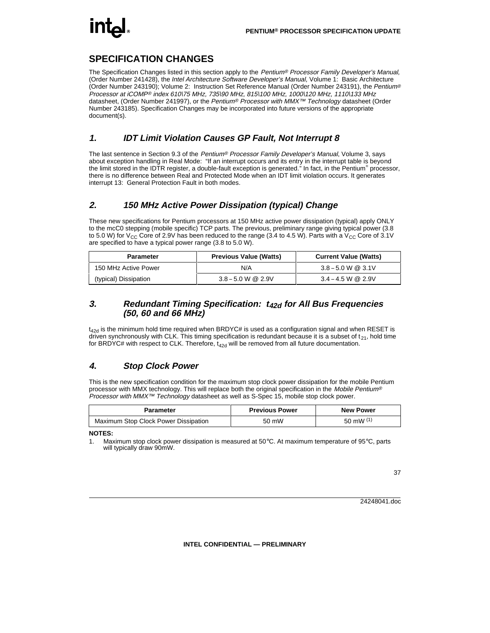# **SPECIFICATION CHANGES**

The Specification Changes listed in this section apply to the Pentium® Processor Family Developer's Manual, (Order Number 241428), the Intel Architecture Software Developer's Manual, Volume 1: Basic Architecture (Order Number 243190); Volume 2: Instruction Set Reference Manual (Order Number 243191), the Pentium® Processor at iCOMP® index 610\75 MHz, 735\90 MHz, 815\100 MHz, 1000\120 MHz, 1110\133 MHz datasheet, (Order Number 241997), or the Pentium<sup>®</sup> Processor with MMX<sup>™</sup> Technology datasheet (Order Number 243185). Specification Changes may be incorporated into future versions of the appropriate document(s).

# **1. IDT Limit Violation Causes GP Fault, Not Interrupt 8**

The last sentence in Section 9.3 of the Pentium<sup>®</sup> Processor Family Developer's Manual, Volume 3, says about exception handling in Real Mode: "If an interrupt occurs and its entry in the interrupt table is beyond the limit stored in the IDTR register, a double-fault exception is generated." In fact, in the Pentium® processor, there is no difference between Real and Protected Mode when an IDT limit violation occurs. It generates interrupt 13: General Protection Fault in both modes.

# **2. 150 MHz Active Power Dissipation (typical) Change**

These new specifications for Pentium processors at 150 MHz active power dissipation (typical) apply ONLY to the mcC0 stepping (mobile specific) TCP parts. The previous, preliminary range giving typical power (3.8 to 5.0 W) for  $V_{CC}$  Core of 2.9V has been reduced to the range (3.4 to 4.5 W). Parts with a  $V_{CC}$  Core of 3.1V are specified to have a typical power range (3.8 to 5.0 W).

| <b>Parameter</b>      | <b>Previous Value (Watts)</b> | <b>Current Value (Watts)</b> |
|-----------------------|-------------------------------|------------------------------|
| 150 MHz Active Power  | N/A                           | $3.8 - 5.0$ W @ $3.1$ V      |
| (typical) Dissipation | $3.8 - 5.0$ W @ 2.9V          | $3.4 - 4.5$ W @ 2.9V         |

# **3. Redundant Timing Specification: t42d for All Bus Frequencies (50, 60 and 66 MHz)**

 $t_{42d}$  is the minimum hold time required when BRDYC# is used as a configuration signal and when RESET is driven synchronously with CLK. This timing specification is redundant because it is a subset of  $t_{21}$ , hold time for BRDYC# with respect to CLK. Therefore,  $t_{42d}$  will be removed from all future documentation.

# **4. Stop Clock Power**

This is the new specification condition for the maximum stop clock power dissipation for the mobile Pentium processor with MMX technology. This will replace both the original specification in the Mobile Pentium<sup>®</sup> Processor with MMX<sup>™</sup> Technology datasheet as well as S-Spec 15, mobile stop clock power.

| <b>Parameter</b>                     | <b>Previous Power</b> | <b>New Power</b> |
|--------------------------------------|-----------------------|------------------|
| Maximum Stop Clock Power Dissipation | 50 mW                 | 50 mW $(1)$      |

**NOTES:**

1. Maximum stop clock power dissipation is measured at  $50^{\circ}$ C. At maximum temperature of 95 $^{\circ}$ C, parts will typically draw 90mW.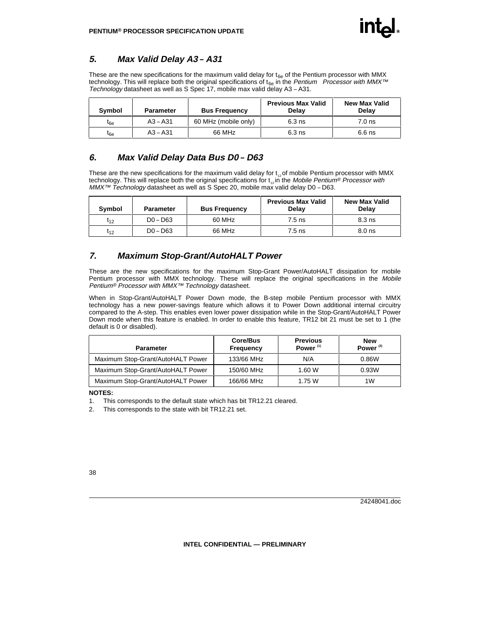# **5. Max Valid Delay A3** *–* **A31**

These are the new specifications for the maximum valid delay for  $t_{6e}$  of the Pentium processor with MMX technology. This will replace both the original specifications of t<sub>6e</sub> in the Pentium<sup>®</sup> Processor with MMX<sup>™</sup> Technology datasheet as well as S Spec 17, mobile max valid delay A3 – A31.

| Symbol          | <b>Parameter</b> | <b>Bus Frequency</b> | <b>Previous Max Valid</b><br>Delay | <b>New Max Valid</b><br>Delay |
|-----------------|------------------|----------------------|------------------------------------|-------------------------------|
| t <sub>6e</sub> | $A3 - A31$       | 60 MHz (mobile only) | $6.3$ ns                           | 7.0 ns                        |
| $t_{6e}$        | $A3 - A31$       | 66 MHz               | $6.3$ ns                           | 6.6 ns                        |

# **6. Max Valid Delay Data Bus D0** *–* **D63**

These are the new specifications for the maximum valid delay for  $t_{12}$  of mobile Pentium processor with MMX technology. This will replace both the original specifications for  $t_{12}$  in the Mobile Pentium® Processor with  $MMX^{TM}$  Technology datasheet as well as S Spec 20, mobile max valid delay D0 - D63.

| <b>Symbol</b>   | <b>Parameter</b> | <b>Bus Frequency</b> | <b>Previous Max Valid</b><br>Delay | <b>New Max Valid</b><br>Delav |
|-----------------|------------------|----------------------|------------------------------------|-------------------------------|
| ւ <sub>12</sub> | $D0 - D63$       | 60 MHz               | $7.5$ ns                           | $8.3$ ns                      |
| ւ <sub>12</sub> | $D0 - D63$       | 66 MHz               | $7.5$ ns                           | $8.0$ ns                      |

# **7. Maximum Stop-Grant/AutoHALT Power**

These are the new specifications for the maximum Stop-Grant Power/AutoHALT dissipation for mobile Pentium processor with MMX technology. These will replace the original specifications in the Mobile Pentium<sup>®</sup> Processor with MMX<sup>™</sup> Technology datasheet.

When in Stop-Grant/AutoHALT Power Down mode, the B-step mobile Pentium processor with MMX technology has a new power-savings feature which allows it to Power Down additional internal circuitry compared to the A-step. This enables even lower power dissipation while in the Stop-Grant/AutoHALT Power Down mode when this feature is enabled. In order to enable this feature, TR12 bit 21 must be set to 1 (the default is 0 or disabled).

| <b>Parameter</b>                  | Core/Bus<br><b>Frequency</b> | <b>Previous</b><br>Power <sup>(1)</sup> | <b>New</b><br>Power $^{(2)}$ |
|-----------------------------------|------------------------------|-----------------------------------------|------------------------------|
| Maximum Stop-Grant/AutoHALT Power | 133/66 MHz                   | N/A                                     | 0.86W                        |
| Maximum Stop-Grant/AutoHALT Power | 150/60 MHz                   | 1.60 W                                  | 0.93W                        |
| Maximum Stop-Grant/AutoHALT Power | 166/66 MHz                   | 1.75 W                                  | 1 <sub>W</sub>               |

#### **NOTES:**

- 1. This corresponds to the default state which has bit TR12.21 cleared.
- 2. This corresponds to the state with bit TR12.21 set.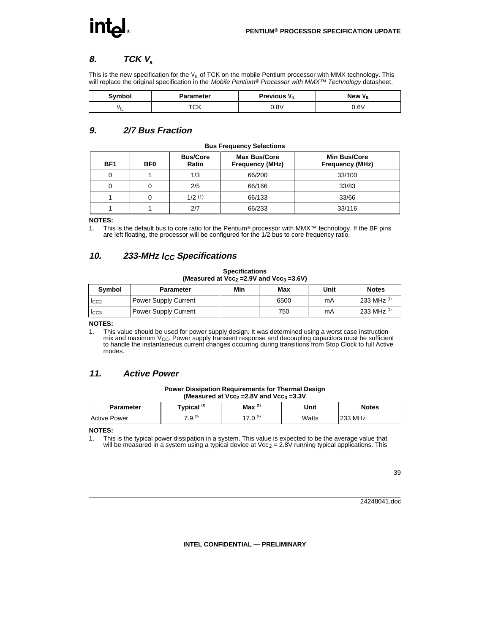# <u>int</u>

# **8. TCK VIL**

This is the new specification for the  $V_{II}$  of TCK on the mobile Pentium processor with MMX technology. This will replace the original specification in the Mobile Pentium® Processor with MMX™ Technology datasheet.

| <b>Symbol</b> | <b>Parameter</b> | Previous $V_{IL}$ | New V <sub>IL</sub> |
|---------------|------------------|-------------------|---------------------|
| VIL           | $T\cap V$<br>◡∩  | $0.8\vee$         | 0.6V                |

# **9. 2/7 Bus Fraction**

| BF <sub>1</sub> | <b>BF0</b> | <b>Bus/Core</b><br>Ratio | <b>Max Bus/Core</b><br><b>Frequency (MHz)</b> | <b>Min Bus/Core</b><br><b>Frequency (MHz)</b> |  |  |
|-----------------|------------|--------------------------|-----------------------------------------------|-----------------------------------------------|--|--|
|                 |            | 1/3                      | 66/200                                        | 33/100                                        |  |  |
| 0               | 0          | 2/5                      | 66/166                                        | 33/83                                         |  |  |
|                 | 0          | 1/2(1)                   | 66/133                                        | 33/66                                         |  |  |
|                 |            | 2/7                      | 66/233                                        | 33/116                                        |  |  |

#### **Bus Frequency Selections**

#### **NOTES:**

1. This is the default bus to core ratio for the Pentium® processor with MMX™ technology. If the BF pins are left floating, the processor will be configured for the 1/2 bus to core frequency ratio.

# **10. 233-MHz ICC Specifications**

#### **Specifications** (Measured at  $Vcc_2 = 2.9V$  and  $Vcc_3 = 3.6V$ )

| Symbol           | <b>Parameter</b>            | Min | Max  | Unit | <b>Notes</b>           |
|------------------|-----------------------------|-----|------|------|------------------------|
| $_{\text{ICC2}}$ | Power Supply Current        |     | 6500 | mA   | 233 MHz <sup>(1)</sup> |
| I <sub>CC3</sub> | <b>Power Supply Current</b> |     | 750  | mA   | 233 MHz $(1)$          |

#### **NOTES:**

1. This value should be used for power supply design. It was determined using a worst case instruction mix and maximum  $V_{\text{CC}}$ . Power supply transient response and decoupling capacitors must be sufficient to handle the instantaneous current changes occurring during transitions from Stop Clock to full Active modes.

# **11. Active Power**

| <b>Power Dissipation Requirements for Thermal Design</b>     |
|--------------------------------------------------------------|
| (Measured at $\text{Vcc}_2$ = 2.8V and $\text{Vcc}_3$ = 3.3V |

| Parameter           | Typical <sup>(1)</sup>            | $Max^{(2)}$ | Unit  | <b>Notes</b> |
|---------------------|-----------------------------------|-------------|-------|--------------|
| <b>Active Power</b> | $\mathbf{z}$ $\bigcap$ $(3)$<br>ర | $7.0^{(4)}$ | Watts | 233 MHz      |

#### **NOTES:**

1. This is the typical power dissipation in a system. This value is expected to be the average value that will be measured in a system using a typical device at  $Vcc<sub>2</sub> = 2.8V$  running typical applications. This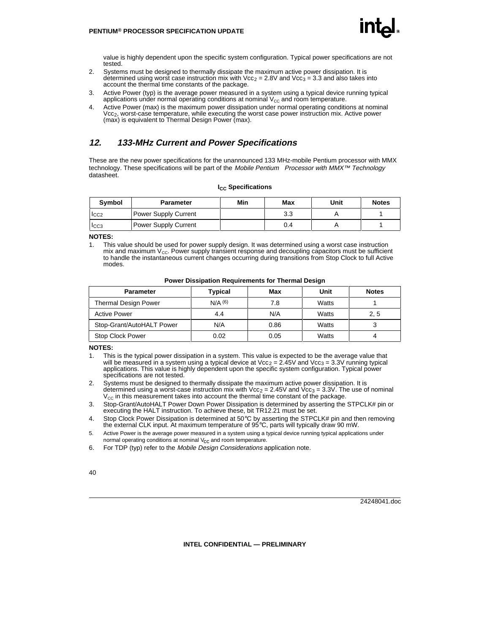

value is highly dependent upon the specific system configuration. Typical power specifications are not tested.

- 2. Systems must be designed to thermally dissipate the maximum active power dissipation. It is determined using worst case instruction mix with  $Vcc_2 = 2.8V$  and  $Vcc_3 = 3.3$  and also takes into account the thermal time constants of the package.
- 3. Active Power (typ) is the average power measured in a system using a typical device running typical applications under normal operating conditions at nominal  $V_{CC}$  and room temperature.
- 4. Active Power (max) is the maximum power dissipation under normal operating conditions at nominal Vcc2, worst-case temperature, while executing the worst case power instruction mix. Active power (max) is equivalent to Thermal Design Power (max).

# **12. 133-MHz Current and Power Specifications**

These are the new power specifications for the unannounced 133 MHz-mobile Pentium processor with MMX technology. These specifications will be part of the *Mobile Pentium<sup>®</sup> Processor with MMX<sup>™</sup> Technology* datasheet.

|  | I <sub>CC</sub> Specifications |
|--|--------------------------------|
|--|--------------------------------|

| Symbol           | <b>Parameter</b>            | Min | Max | Unit | <b>Notes</b> |
|------------------|-----------------------------|-----|-----|------|--------------|
| I <sub>CC2</sub> | <b>Power Supply Current</b> |     | 3.3 |      |              |
| ICC <sub>3</sub> | <b>Power Supply Current</b> |     | 0.4 |      |              |

#### **NOTES:**

1. This value should be used for power supply design. It was determined using a worst case instruction mix and maximum  $V_{\text{CC}}$ . Power supply transient response and decoupling capacitors must be sufficient to handle the instantaneous current changes occurring during transitions from Stop Clock to full Active modes.

| <b>Parameter</b>            | <b>Typical</b> | Max  | Unit  | <b>Notes</b> |
|-----------------------------|----------------|------|-------|--------------|
| <b>Thermal Design Power</b> | $N/A$ (6)      | 7.8  | Watts |              |
| <b>Active Power</b>         | 4.4            | N/A  | Watts | 2, 5         |
| Stop-Grant/AutoHALT Power   | N/A            | 0.86 | Watts |              |
| Stop Clock Power            | 0.02           | 0.05 | Watts |              |

#### **Power Dissipation Requirements for Thermal Design**

#### **NOTES:**

- 1. This is the typical power dissipation in a system. This value is expected to be the average value that will be measured in a system using a typical device at  $Vcc_2 = 2.45V$  and  $Vcc_3 = 3.3V$  running typical applications. This value is highly dependent upon the specific system configuration. Typical power specifications are not tested.
- 2. Systems must be designed to thermally dissipate the maximum active power dissipation. It is determined using a worst-case instruction mix with  $Vcc_2 = 2.45V$  and  $Vcc_3 = 3.3V$ . The use of nominal  $V_{\text{cc}}$  in this measurement takes into account the thermal time constant of the package.
- 3. Stop-Grant/AutoHALT Power Down Power Dissipation is determined by asserting the STPCLK# pin or executing the HALT instruction. To achieve these, bit TR12.21 must be set.
- 4. Stop Clock Power Dissipation is determined at 50°C by asserting the STPCLK# pin and then removing the external CLK input. At maximum temperature of 95°C, parts will typically draw 90 mW.
- 5. Active Power is the average power measured in a system using a typical device running typical applications under normal operating conditions at nominal  $V_{CC}$  and room temperature.
- 6. For TDP (typ) refer to the Mobile Design Considerations application note.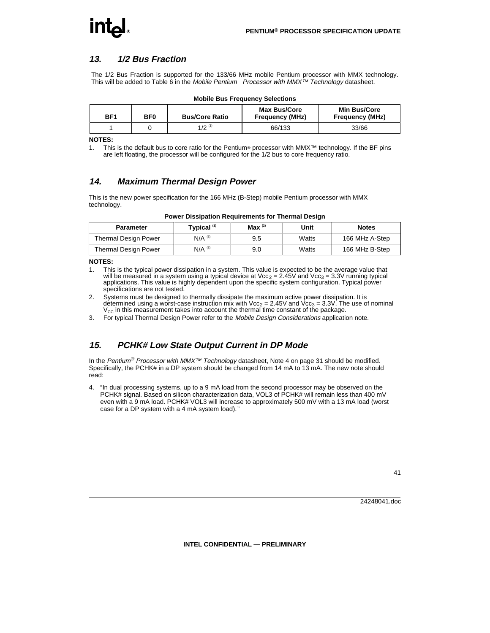# **13. 1/2 Bus Fraction**

The 1/2 Bus Fraction is supported for the 133/66 MHz mobile Pentium processor with MMX technology. This will be added to Table 6 in the Mobile Pentium<sup>®</sup> Processor with MMX<sup>TM</sup> Technology datasheet.

#### **Mobile Bus Frequency Selections**

| BF <sub>1</sub> | BF <sub>0</sub> | <b>Bus/Core Ratio</b> | <b>Max Bus/Core</b><br><b>Frequency (MHz)</b> | <b>Min Bus/Core</b><br><b>Frequency (MHz)</b> |
|-----------------|-----------------|-----------------------|-----------------------------------------------|-----------------------------------------------|
|                 |                 | $1/2^{(1)}$           | 66/133                                        | 33/66                                         |

#### **NOTES:**

1. This is the default bus to core ratio for the Pentium® processor with MMX™ technology. If the BF pins are left floating, the processor will be configured for the 1/2 bus to core frequency ratio.

# **14. Maximum Thermal Design Power**

This is the new power specification for the 166 MHz (B-Step) mobile Pentium processor with MMX technology.

| <b>Parameter</b>            | Typical <sup>(1)</sup> | $Max^{(2)}$ | Unit  | <b>Notes</b>   |
|-----------------------------|------------------------|-------------|-------|----------------|
| <b>Thermal Design Power</b> | $N/A$ <sup>(3)</sup>   | 9.5         | Watts | 166 MHz A-Step |
| <b>Thermal Design Power</b> | $N/A$ <sup>(3)</sup>   | 9.0         | Watts | 166 MHz B-Step |

#### **Power Dissipation Requirements for Thermal Design**

#### **NOTES:**

- 1. This is the typical power dissipation in a system. This value is expected to be the average value that will be measured in a system using a typical device at  $Vcc_2 = 2.45V$  and  $Vcc_3 = 3.3V$  running typical applications. This value is highly dependent upon the specific system configuration. Typical power specifications are not tested.
- 2. Systems must be designed to thermally dissipate the maximum active power dissipation. It is determined using a worst-case instruction mix with  $Vcc_2 = 2.45V$  and  $Vcc_3 = 3.3V$ . The use of nominal  $V_{CG}$  in this measurement takes into account the thermal time constant of the package.
- 3. For typical Thermal Design Power refer to the Mobile Design Considerations application note.

# **15. PCHK# Low State Output Current in DP Mode**

In the Pentium<sup>®</sup> Processor with MMX<sup>™</sup> Technology datasheet, Note 4 on page 31 should be modified. Specifically, the PCHK# in a DP system should be changed from 14 mA to 13 mA. The new note should read:

4. "In dual processing systems, up to a 9 mA load from the second processor may be observed on the PCHK# signal. Based on silicon characterization data, VOL3 of PCHK# will remain less than 400 mV even with a 9 mA load. PCHK# VOL3 will increase to approximately 500 mV with a 13 mA load (worst case for a DP system with a 4 mA system load)."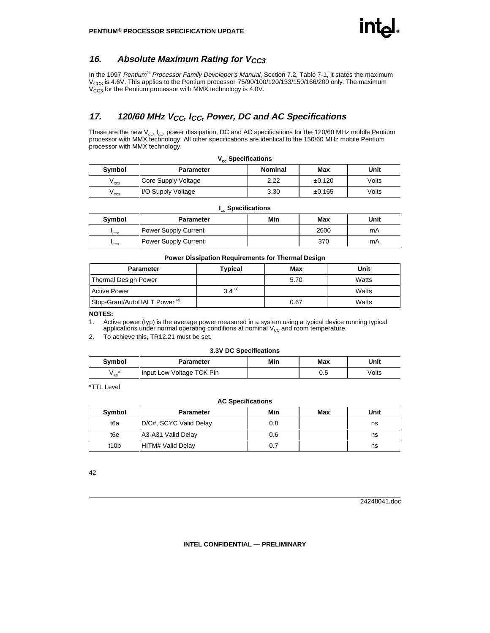# **16.** Absolute Maximum Rating for V<sub>CC3</sub>

In the 1997 Pentium<sup>®</sup> Processor Family Developer's Manual, Section 7.2, Table 7-1, it states the maximum  $V<sub>CC3</sub>$  is 4.6V. This applies to the Pentium processor 75/90/100/120/133/150/166/200 only. The maximum  $V_{CC3}$  for the Pentium processor with MMX technology is 4.0V.

# **17. 120/60 MHz VCC, ICC, Power, DC and AC Specifications**

These are the new  $V_{\text{cc}}$ ,  $I_{\text{cc}}$ , power dissipation, DC and AC specifications for the 120/60 MHz mobile Pentium processor with MMX technology. All other specifications are identical to the 150/60 MHz mobile Pentium processor with MMX technology.

| Symbol          | <b>Parameter</b>    | <b>Nominal</b> | Max    | Unit  |
|-----------------|---------------------|----------------|--------|-------|
| CC <sub>2</sub> | Core Supply Voltage | 2.22           | ±0.120 | Volts |
| $^\circ$ CC3    | I/O Supply Voltage  | 3.30           | ±0.165 | Volts |

#### **V** Specifications

#### **I<sub>cc</sub>** Specifications

| Symbol          | <b>Parameter</b>            | Min | Max  | Unit |
|-----------------|-----------------------------|-----|------|------|
| CC <sub>2</sub> | <b>Power Supply Current</b> |     | 2600 | mA   |
| "CC3            | <b>Power Supply Current</b> |     | 370  | mA   |

#### **Power Dissipation Requirements for Thermal Design**

| <b>Parameter</b>                         | Typical     | Max  | Unit  |
|------------------------------------------|-------------|------|-------|
| Thermal Design Power                     |             | 5.70 | Watts |
| <b>Active Power</b>                      | $3.4^{(1)}$ |      | Watts |
| Stop-Grant/AutoHALT Power <sup>(2)</sup> |             | 0.67 | Watts |

#### **NOTES:**

1. Active power (typ) is the average power measured in a system using a typical device running typical applications under normal operating conditions at nominal  $V_{CC}$  and room temperature.

2. To achieve this, TR12.21 must be set.

#### **3.3V DC Specifications**

| Symbol        | Parameter                 | Min | Max | Unit  |
|---------------|---------------------------|-----|-----|-------|
| $\ast$<br>IL3 | Input Low Voltage TCK Pin |     | U.J | Volts |

\*TTL Level

#### **AC Specifications**

| Symbol            | <b>Parameter</b>       | Min | Max | Unit |
|-------------------|------------------------|-----|-----|------|
| t6a               | D/C#, SCYC Valid Delay | 0.8 |     | ns   |
| t6e               | A3-A31 Valid Delay     | 0.6 |     | ns   |
| t <sub>10</sub> b | HITM# Valid Delay      | 0.7 |     | ns   |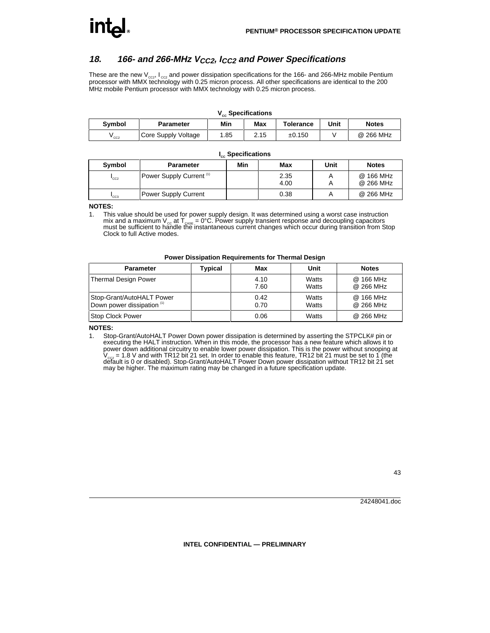# **18. 166- and 266-MHz VCC2, ICC2 and Power Specifications**

These are the new V<sub>cc2</sub>, I<sub>cc2</sub> and power dissipation specifications for the 166- and 266-MHz mobile Pentium<br>processor with MMX technology with 0.25 micron process. All other specifications are identical to the 200 MHz mobile Pentium processor with MMX technology with 0.25 micron process.

| $V_{\rm ce}$ Specifications                                   |                     |  |      |        |  |              |  |
|---------------------------------------------------------------|---------------------|--|------|--------|--|--------------|--|
| Min<br>Unit<br>Max<br>Symbol<br><b>Tolerance</b><br>Parameter |                     |  |      |        |  | <b>Notes</b> |  |
| $^{\prime}$ CC <sub>2</sub>                                   | Core Supply Voltage |  | 2.15 | ±0.150 |  | @ 266 MHz    |  |

#### **I<sub>cc</sub>** Specifications **Symbol Parameter Min Max Unit Notes**  $I_{cc2}$  Power Supply Current (1)  $\vert$  2.35 4.00 A A @ 166 MHz @ 266 MHz  $I_{\text{cc3}}$  Power Supply Current  $I_{\text{cc3}}$  0.38 A @ 266 MHz

### **V<sub>cc</sub> Specifications**

#### **NOTES:**

1. This value should be used for power supply design. It was determined using a worst case instruction mix and a maximum V<sub>cc</sub> at T<sub>case</sub> = 0°C. Power supply transient response and decoupling capacitors<br>must be sufficient to handle the instantaneous current changes which occur during transition from Stop Clock to full Active modes.

#### **Power Dissipation Requirements for Thermal Design**

| <b>Parameter</b>                                        | Typical | Max          | Unit           | <b>Notes</b>           |
|---------------------------------------------------------|---------|--------------|----------------|------------------------|
| <b>Thermal Design Power</b>                             |         | 4.10<br>7.60 | Watts<br>Watts | @ 166 MHz<br>@ 266 MHz |
| Stop-Grant/AutoHALT Power<br>Down power dissipation (1) |         | 0.42<br>0.70 | Watts<br>Watts | @ 166 MHz<br>@ 266 MHz |
| <b>Stop Clock Power</b>                                 |         | 0.06         | Watts          | @ 266 MHz              |

#### **NOTES:**

1. Stop-Grant/AutoHALT Power Down power dissipation is determined by asserting the STPCLK# pin or executing the HALT instruction. When in this mode, the processor has a new feature which allows it to power down additional circuitry to enable lower power dissipation. This is the power without snooping at  $\rm V_{ccc2}$  = 1.8 V and with TR12 bit 21 set. In order to enable this feature, TR12 bit 21 must be set to 1 (the<br>default is 0 or disabled). Stop-Grant/AutoHALT Power Down power dissipation without TR12 bit 21 set may be higher. The maximum rating may be changed in a future specification update.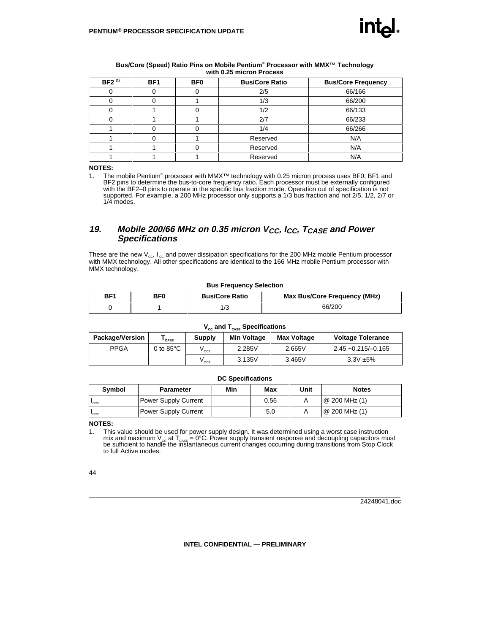

| BF2 <sup>(1)</sup> | BF <sub>1</sub> | BF <sub>0</sub> | <b>Bus/Core Ratio</b> | <b>Bus/Core Frequency</b> |
|--------------------|-----------------|-----------------|-----------------------|---------------------------|
|                    |                 |                 | 2/5                   | 66/166                    |
|                    |                 |                 | 1/3                   | 66/200                    |
|                    |                 |                 | 1/2                   | 66/133                    |
|                    |                 |                 | 2/7                   | 66/233                    |
|                    |                 |                 | 1/4                   | 66/266                    |
|                    |                 |                 | Reserved              | N/A                       |
|                    |                 |                 | Reserved              | N/A                       |
|                    |                 |                 | Reserved              | N/A                       |

#### **Bus/Core (Speed) Ratio Pins on Mobile Pentium® Processor with MMX™ Technology with 0.25 micron Process**

#### **NOTES:**

1. The mobile Pentium® processor with MMX<sup>™</sup> technology with 0.25 micron process uses BF0, BF1 and BF2 pins to determine the bus-to-core frequency ratio. Each processor must be externally configured with the BF2–0 pins to operate in the specific bus fraction mode. Operation out of specification is not supported. For example, a 200 MHz processor only supports a 1/3 bus fraction and not 2/5, 1/2, 2/7 or  $1/\dot{4}$  modes.

### **19. Mobile 200/66 MHz on 0.35 micron VCC, ICC, TCASE and Power Specifications**

These are the new  $V_{\text{cc}}$ ,  $I_{\text{cc}}$  and power dissipation specifications for the 200 MHz mobile Pentium processor with MMX technology. All other specifications are identical to the 166 MHz mobile Pentium processor with MMX technology.

#### **Bus Frequency Selection**

| BF′ | BF0 | <b>Bus/Core Ratio</b> | Max Bus/Core Frequency (MHz) |
|-----|-----|-----------------------|------------------------------|
|     |     |                       | 66/200                       |

#### **V<sub>cc</sub>** and T<sub>CASE</sub> Specifications

| Package/Version | CASE                | Supply                    | <b>Min Voltage</b> | <b>Max Voltage</b> | <b>Voltage Tolerance</b> |
|-----------------|---------------------|---------------------------|--------------------|--------------------|--------------------------|
| <b>PPGA</b>     | 0 to $85^{\circ}$ C | $\mathsf{v}_{\text{cc2}}$ | 2.285V             | 2.665V             | $2.45 + 0.215/- 0.165$   |
|                 |                     | $^{\prime}$ CC3           | 3.135V             | 3.465V             | $3.3V + 5%$              |

#### **DC Specifications**

| Symbol              | <b>Parameter</b>     | Min | Max  | Unit | <b>Notes</b>    |
|---------------------|----------------------|-----|------|------|-----------------|
| $1$ CC <sub>3</sub> | Power Supply Current |     | 0.56 |      | $@$ 200 MHz (1) |
| $\mathsf{CC}2$      | Power Supply Current |     | 5.0  |      | $@$ 200 MHz (1) |

#### **NOTES:**

1. This value should be used for power supply design. It was determined using a worst case instruction mix and maximum V<sub>cc</sub> at T<sub>case</sub> = 0°C. Power supply transient response and decoupling capacitors must<br>be sufficient to handle the instantaneous current changes occurring during transitions from Stop Clock to full Active modes.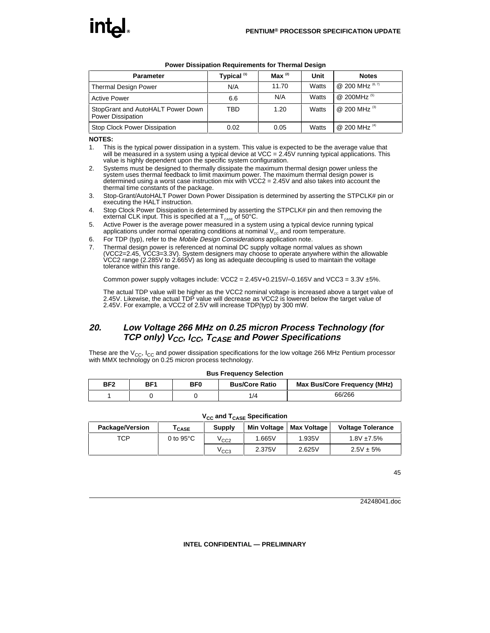| i ower Dissipation Requirements for Thermal Design            |               |             |       |                    |  |  |
|---------------------------------------------------------------|---------------|-------------|-------|--------------------|--|--|
| <b>Parameter</b>                                              | Typical $(1)$ | $Max^{(2)}$ | Unit  | <b>Notes</b>       |  |  |
| <b>Thermal Design Power</b>                                   | N/A           | 11.70       | Watts | @ 200 MHz $(6, 7)$ |  |  |
| <b>Active Power</b>                                           | 6.6           | N/A         | Watts | @ 200MHz $(5)$     |  |  |
| StopGrant and AutoHALT Power Down<br><b>Power Dissipation</b> | TBD           | 1.20        | Watts | @ 200 MHz $^{(3)}$ |  |  |
| Stop Clock Power Dissipation                                  | 0.02          | 0.05        | Watts | @ 200 MHz $(4)$    |  |  |

#### **Power Dissipation Requirements for Thermal Design**

#### **NOTES:**

- 1. This is the typical power dissipation in a system. This value is expected to be the average value that will be measured in a system using a typical device at VCC = 2.45V running typical applications. This value is highly dependent upon the specific system configuration.
- 2. Systems must be designed to thermally dissipate the maximum thermal design power unless the system uses thermal feedback to limit maximum power. The maximum thermal design power is determined using a worst case instruction mix with VCC2 = 2.45V and also takes into account the thermal time constants of the package.
- 3. Stop-Grant/AutoHALT Power Down Power Dissipation is determined by asserting the STPCLK# pin or executing the HALT instruction.
- 4. Stop Clock Power Dissipation is determined by asserting the STPCLK# pin and then removing the external CLK input. This is specified at a  $T_{\text{case}}$  of 50°C.
- 5. Active Power is the average power measured in a system using a typical device running typical applications under normal operating conditions at nominal  $\mathsf{V}_{\mathrm{cc}}$  and room temperature.
- 6. For TDP (typ), refer to the Mobile Design Considerations application note.
- 7. Thermal design power is referenced at nominal DC supply voltage normal values as shown (VCC2=2.45, VCC3=3.3V). System designers may choose to operate anywhere within the allowable VCC2 range (2.285V to 2.665V) as long as adequate decoupling is used to maintain the voltage tolerance within this range.

Common power supply voltages include:  $VCC2 = 2.45V + 0.215V - 0.165V$  and  $VCC3 = 3.3V + 5%$ .

The actual TDP value will be higher as the VCC2 nominal voltage is increased above a target value of 2.45V. Likewise, the actual TDP value will decrease as VCC2 is lowered below the target value of 2.45V. For example, a VCC2 of 2.5V will increase TDP(typ) by 300 mW.

# **20. Low Voltage 266 MHz on 0.25 micron Process Technology (for TCP only) VCC, ICC, TCASE and Power Specifications**

These are the  $V_{CC}$ ,  $I_{CC}$  and power dissipation specifications for the low voltage 266 MHz Pentium processor with MMX technology on 0.25 micron process technology.

#### **Bus Frequency Selection**

| BF2 | BF1 | BF0 | <b>Bus/Core Ratio</b> | Max Bus/Core Frequency (MHz) |
|-----|-----|-----|-----------------------|------------------------------|
|     |     |     |                       | 66/266                       |

| ີ<br><u>urul</u>       |                     |              |        |                           |                          |  |  |
|------------------------|---------------------|--------------|--------|---------------------------|--------------------------|--|--|
| <b>Package/Version</b> | <sup>I</sup> CASE   | Supply       |        | Min Voltage   Max Voltage | <b>Voltage Tolerance</b> |  |  |
| TCP                    | 0 to $95^{\circ}$ C | $\rm ^v$ CC2 | 1.665V | 1.935V                    | $1.8V + 7.5%$            |  |  |
|                        |                     | ∨ссз         | 2.375V | 2.625V                    | $2.5V \pm 5%$            |  |  |

#### **V<sub>cc</sub> and T<sub>oAse</sub> Specification**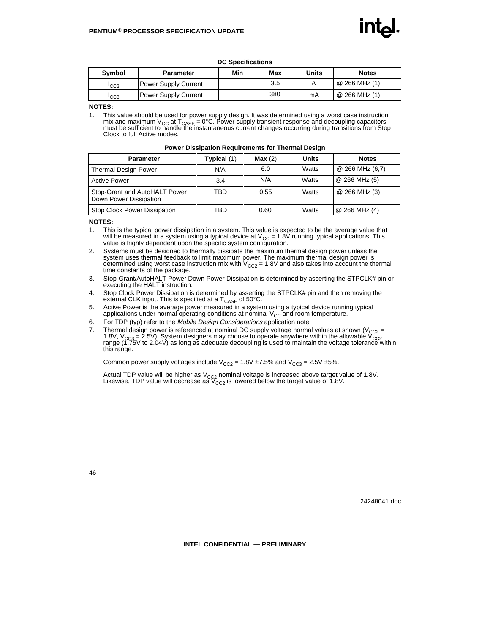

#### **DC Specifications**

| Symbol           | <b>Parameter</b>     | Min | Max | Units | <b>Notes</b>  |
|------------------|----------------------|-----|-----|-------|---------------|
| <sup>I</sup> CC2 | Power Supply Current |     | 3.5 |       | @ 266 MHz (1) |
| 'cсз             | Power Supply Current |     | 380 | mA    | @ 266 MHz (1) |

#### **NOTES:**

1. This value should be used for power supply design. It was determined using a worst case instruction mix and maximum V $_{\rm CC}$  at T $_{\rm CASE}$  = 0°C. Power supply transient response and decoupling capacitors<br>must be sufficient to handle the instantaneous current changes occurring during transitions from Stop Clock to full Active modes.

| <b>Parameter</b>                                        | Typical (1) | Max(2) | <b>Units</b> | <b>Notes</b>    |
|---------------------------------------------------------|-------------|--------|--------------|-----------------|
| <b>Thermal Design Power</b>                             | N/A         | 6.0    | Watts        | @ 266 MHz (6,7) |
| <b>Active Power</b>                                     | 3.4         | N/A    | Watts        | @ 266 MHz (5)   |
| Stop-Grant and AutoHALT Power<br>Down Power Dissipation | TBD         | 0.55   | Watts        | @ 266 MHz (3)   |
| Stop Clock Power Dissipation                            | TBD         | 0.60   | Watts        | @ 266 MHz (4)   |

#### **Power Dissipation Requirements for Thermal Design**

#### **NOTES:**

- 1. This is the typical power dissipation in a system. This value is expected to be the average value that will be measured in a system using a typical device at V<sub>CC</sub> = 1.8V running typical applications. This value is highly dependent upon the specific system configuration.
- 2. Systems must be designed to thermally dissipate the maximum thermal design power unless the system uses thermal feedback to limit maximum power. The maximum thermal design power is determined using worst case instruction mix with  $\rm V_{CC2}$  = 1.8V and also takes into account the thermal time constants of the package.
- 3. Stop-Grant/AutoHALT Power Down Power Dissipation is determined by asserting the STPCLK# pin or executing the HALT instruction.
- 4. Stop Clock Power Dissipation is determined by asserting the STPCLK# pin and then removing the external CLK input. This is specified at a  $T_{CASF}$  of 50°C.
- 5. Active Power is the average power measured in a system using a typical device running typical applications under normal operating conditions at nominal  $\mathsf{V}_{\mathsf{CC}}$  and room temperature.
- 6. For TDP (typ) refer to the Mobile Design Considerations application note.
- 7. Thermal design power is referenced at nominal DC supply voltage normal values at shown (V<sub>CC2</sub> = 1.8V, V<sub>CC3</sub> = 2.5V). System designers may choose to operate anywhere within the allowable V<sub>CC2</sub><br>range (1.75V to 2.04V) as long as adequate decoupling is used to maintain the voltage tolerance within this range.

Common power supply voltages include  $V_{CC2} = 1.8V \pm 7.5\%$  and  $V_{CC3} = 2.5V \pm 5\%$ .

Actual TDP value will be higher as  $V_{CC2}$  nominal voltage is increased above target value of 1.8V. Likewise, TDP value will decrease as  $\mathbb{V}_{\text{CC2}}$  is lowered below the target value of 1.8V.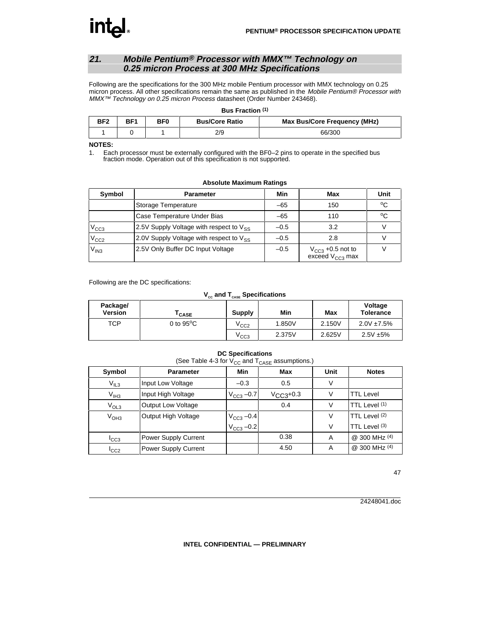# int

### **21. Mobile Pentium® Processor with MMX™ Technology on 0.25 micron Process at 300 MHz Specifications**

Following are the specifications for the 300 MHz mobile Pentium processor with MMX technology on 0.25 micron process. All other specifications remain the same as published in the Mobile Pentium® Processor with MMX<sup>™</sup> Technology on 0.25 micron Process datasheet (Order Number 243468).

#### **Bus Fraction (1)**

| BF <sub>2</sub> | BF1 | <b>BF0</b> | <b>Bus/Core Ratio</b> | Max Bus/Core Frequency (MHz) |
|-----------------|-----|------------|-----------------------|------------------------------|
|                 |     |            | 2/9                   | 66/300                       |

#### **NOTES:**

1. Each processor must be externally configured with the BF0–2 pins to operate in the specified bus fraction mode. Operation out of this specification is not supported.

| Symbol           | <b>Parameter</b>                                    | Min    | Max                                           | Unit |
|------------------|-----------------------------------------------------|--------|-----------------------------------------------|------|
|                  | Storage Temperature                                 | $-65$  | 150                                           | °C   |
|                  | Case Temperature Under Bias                         | $-65$  | 110                                           | °C   |
| V <sub>CC3</sub> | 2.5V Supply Voltage with respect to $V_{\text{eq}}$ | $-0.5$ | 3.2                                           |      |
| V <sub>CC2</sub> | 2.0V Supply Voltage with respect to Vss             | $-0.5$ | 2.8                                           |      |
| $V_{IN3}$        | 2.5V Only Buffer DC Input Voltage                   | $-0.5$ | $V_{CC3}$ +0.5 not to<br>exceed $V_{CC3}$ max |      |

#### **Absolute Maximum Ratings**

Following are the DC specifications:

#### **V<sub>cc</sub>** and T<sub>case</sub> Specifications

| Package/<br><b>Version</b> | CASE                | <b>Supply</b>    | Min    | Max    | Voltage<br><b>Tolerance</b> |
|----------------------------|---------------------|------------------|--------|--------|-----------------------------|
| TCP                        | 0 to $95^{\circ}$ C | V <sub>CC2</sub> | 1.850V | 2.150V | $2.0V + 7.5%$               |
|                            |                     | V <sub>CC3</sub> | 2.375V | 2.625V | $2.5V + 5%$                 |

#### **DC Specifications**

(See Table 4-3 for  $V_{CC}$  and  $T_{CASE}$  assumptions.)

| Symbol           | <b>Parameter</b>            | Min             | Max        | Unit | <b>Notes</b>     |
|------------------|-----------------------------|-----------------|------------|------|------------------|
| $V_{IL3}$        | Input Low Voltage           | $-0.3$          | 0.5        | V    |                  |
| $V_{IH3}$        | Input High Voltage          | $V_{CC3} - 0.7$ | $VCC3+0.3$ | V    | <b>TTL Level</b> |
| $V_{OL3}$        | <b>Output Low Voltage</b>   |                 | 0.4        | V    | TTL Level (1)    |
| V <sub>OH3</sub> | Output High Voltage         | $V_{CC3} -0.4$  |            | V    | TTL Level (2)    |
|                  |                             | $V_{CC3} - 0.2$ |            | V    | TTL Level $(3)$  |
| ICC3             | <b>Power Supply Current</b> |                 | 0.38       | A    | @ 300 MHz (4)    |
| ICC2             | Power Supply Current        |                 | 4.50       | A    | @ 300 MHz (4)    |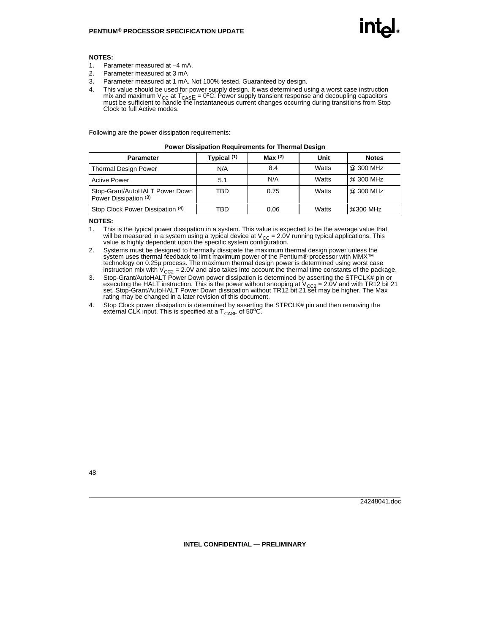#### **NOTES:**

- 1. Parameter measured at –4 mA.
- 2. Parameter measured at 3 mA
- 3. Parameter measured at 1 mA. Not 100% tested. Guaranteed by design.
- 4. This value should be used for power supply design. It was determined using a worst case instruction mix and maximum  $V_{CC}$  at  $T_{CAS}E = 0$ <sup>o</sup>C. Power supply transient response and decoupling capacitors must be sufficient to handle the instantaneous current changes occurring during transitions from Stop Clock to full Active modes.

Following are the power dissipation requirements:

#### **Parameter Typical (1) Max (2) Unit Notes** Thermal Design Power N/A | 8.4 | Watts | @ 300 MHz Active Power 5.1 N/A Watts @ 300 MHz Stop-Grant/AutoHALT Power Down Power Dissipation (3) TBD 0.75 Watts @ 300 MHz Stop Clock Power Dissipation (4) TBD 0.06 Watts @300 MHz

#### **Power Dissipation Requirements for Thermal Design**

#### **NOTES:**

- 1. This is the typical power dissipation in a system. This value is expected to be the average value that will be measured in a system using a typical device at V<sub>CC</sub> = 2.0V running typical applications. This<br>value is highly dependent upon the specific system configuration.
- 2. Systems must be designed to thermally dissipate the maximum thermal design power unless the system uses thermal feedback to limit maximum power of the Pentium® processor with MMX™ technology on 0.25µ process. The maximum thermal design power is determined using worst case instruction mix with V $_{\rm CC2}$  = 2.0V and also takes into account the thermal time constants of the package.
- 3. Stop-Grant/AutoHALT Power Down power dissipation is determined by asserting the STPCLK# pin or executing the HALT instruction. This is the power without snooping at V<sub>CC2</sub> = 2.0V and with TR12 bit 21<br>set. Stop-Grant/AutoHALT Power Down dissipation without TR12 bit 21 set may be higher. The Max rating may be changed in a later revision of this document.
- 4. Stop Clock power dissipation is determined by asserting the STPCLK# pin and then removing the external CLK input. This is specified at a  $T_{\text{CASE}}$  of 50°C.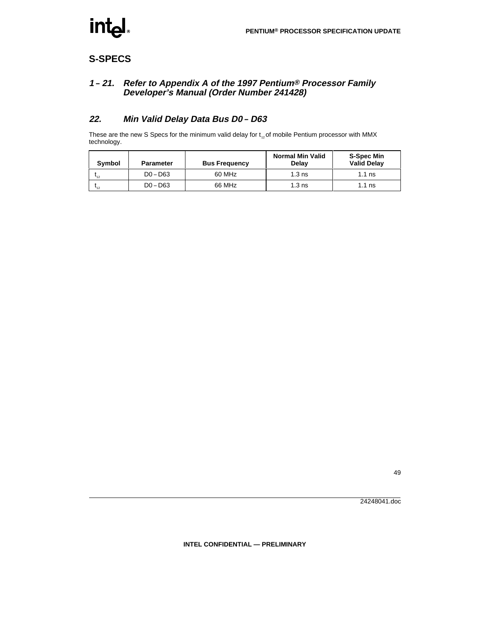# **S-SPECS**

# **1** *–* **21. Refer to Appendix A of the 1997 Pentium® Processor Family Developer's Manual (Order Number 241428)**

# **22. Min Valid Delay Data Bus D0** *–* **D63**

These are the new S Specs for the minimum valid delay for  $t_{12}$  of mobile Pentium processor with MMX technology.

| Symbol        | <b>Parameter</b> | <b>Bus Frequency</b> | <b>Normal Min Valid</b><br>Delay | <b>S-Spec Min</b><br><b>Valid Delav</b> |
|---------------|------------------|----------------------|----------------------------------|-----------------------------------------|
| •12           | $D0 - D63$       | 60 MHz               | $1.3$ ns                         | $1.1$ ns                                |
| $\frac{1}{2}$ | $D0 - D63$       | 66 MHz               | $1.3$ ns                         | 1.1 ns                                  |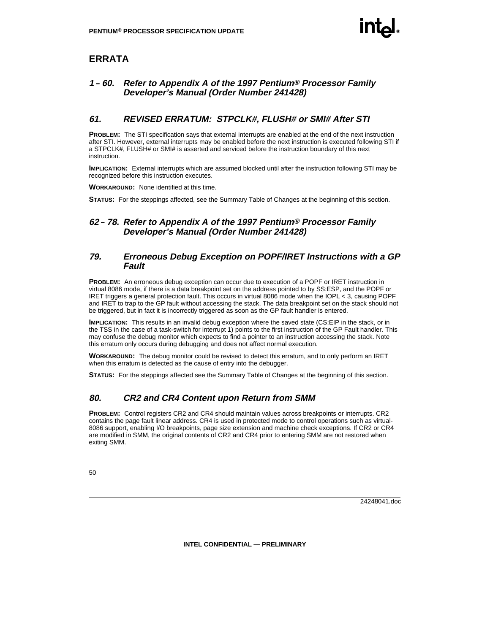# **ERRATA**

### **1** *–* **60. Refer to Appendix A of the 1997 Pentium® Processor Family Developer's Manual (Order Number 241428)**

# **61. REVISED ERRATUM: STPCLK#, FLUSH# or SMI# After STI**

**PROBLEM:** The STI specification says that external interrupts are enabled at the end of the next instruction after STI. However, external interrupts may be enabled before the next instruction is executed following STI if a STPCLK#, FLUSH# or SMI# is asserted and serviced before the instruction boundary of this next instruction.

**IMPLICATION:** External interrupts which are assumed blocked until after the instruction following STI may be recognized before this instruction executes.

**WORKAROUND:** None identified at this time.

**STATUS:** For the steppings affected, see the Summary Table of Changes at the beginning of this section.

### **62** *–* **78. Refer to Appendix A of the 1997 Pentium® Processor Family Developer's Manual (Order Number 241428)**

#### **79. Erroneous Debug Exception on POPF/IRET Instructions with a GP Fault**

**PROBLEM:** An erroneous debug exception can occur due to execution of a POPF or IRET instruction in virtual 8086 mode, if there is a data breakpoint set on the address pointed to by SS:ESP, and the POPF or IRET triggers a general protection fault. This occurs in virtual 8086 mode when the IOPL < 3, causing POPF and IRET to trap to the GP fault without accessing the stack. The data breakpoint set on the stack should not be triggered, but in fact it is incorrectly triggered as soon as the GP fault handler is entered.

**IMPLICATION:** This results in an invalid debug exception where the saved state (CS:EIP in the stack, or in the TSS in the case of a task-switch for interrupt 1) points to the first instruction of the GP Fault handler. This may confuse the debug monitor which expects to find a pointer to an instruction accessing the stack. Note this erratum only occurs during debugging and does not affect normal execution.

**WORKAROUND:** The debug monitor could be revised to detect this erratum, and to only perform an IRET when this erratum is detected as the cause of entry into the debugger.

**STATUS:** For the steppings affected see the Summary Table of Changes at the beginning of this section.

# **80. CR2 and CR4 Content upon Return from SMM**

**PROBLEM:** Control registers CR2 and CR4 should maintain values across breakpoints or interrupts. CR2 contains the page fault linear address. CR4 is used in protected mode to control operations such as virtual-8086 support, enabling I/O breakpoints, page size extension and machine check exceptions. If CR2 or CR4 are modified in SMM, the original contents of CR2 and CR4 prior to entering SMM are not restored when exiting SMM.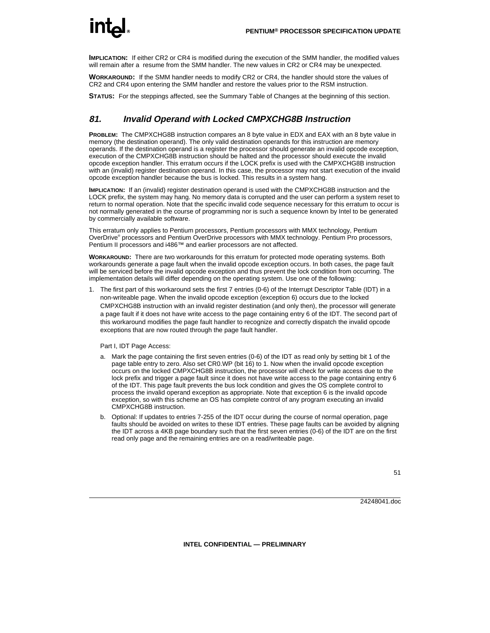# **inte**

**IMPLICATION:** If either CR2 or CR4 is modified during the execution of the SMM handler, the modified values will remain after a resume from the SMM handler. The new values in CR2 or CR4 may be unexpected.

**WORKAROUND:** If the SMM handler needs to modify CR2 or CR4, the handler should store the values of CR2 and CR4 upon entering the SMM handler and restore the values prior to the RSM instruction.

**STATUS:** For the steppings affected, see the Summary Table of Changes at the beginning of this section.

# **81. Invalid Operand with Locked CMPXCHG8B Instruction**

**PROBLEM:** The CMPXCHG8B instruction compares an 8 byte value in EDX and EAX with an 8 byte value in memory (the destination operand). The only valid destination operands for this instruction are memory operands. If the destination operand is a register the processor should generate an invalid opcode exception, execution of the CMPXCHG8B instruction should be halted and the processor should execute the invalid opcode exception handler. This erratum occurs if the LOCK prefix is used with the CMPXCHG8B instruction with an (invalid) register destination operand. In this case, the processor may not start execution of the invalid opcode exception handler because the bus is locked. This results in a system hang.

**IMPLICATION:** If an (invalid) register destination operand is used with the CMPXCHG8B instruction and the LOCK prefix, the system may hang. No memory data is corrupted and the user can perform a system reset to return to normal operation. Note that the specific invalid code sequence necessary for this erratum to occur is not normally generated in the course of programming nor is such a sequence known by Intel to be generated by commercially available software.

This erratum only applies to Pentium processors, Pentium processors with MMX technology, Pentium OverDrive® processors and Pentium OverDrive processors with MMX technology. Pentium Pro processors, Pentium II processors and i486<sup>™</sup> and earlier processors are not affected.

**WORKAROUND:** There are two workarounds for this erratum for protected mode operating systems. Both workarounds generate a page fault when the invalid opcode exception occurs. In both cases, the page fault will be serviced before the invalid opcode exception and thus prevent the lock condition from occurring. The implementation details will differ depending on the operating system. Use one of the following:

1. The first part of this workaround sets the first 7 entries (0-6) of the Interrupt Descriptor Table (IDT) in a non-writeable page. When the invalid opcode exception (exception 6) occurs due to the locked CMPXCHG8B instruction with an invalid register destination (and only then), the processor will generate a page fault if it does not have write access to the page containing entry 6 of the IDT. The second part of this workaround modifies the page fault handler to recognize and correctly dispatch the invalid opcode exceptions that are now routed through the page fault handler.

Part I, IDT Page Access:

- a. Mark the page containing the first seven entries (0-6) of the IDT as read only by setting bit 1 of the page table entry to zero. Also set CR0.WP (bit 16) to 1. Now when the invalid opcode exception occurs on the locked CMPXCHG8B instruction, the processor will check for write access due to the lock prefix and trigger a page fault since it does not have write access to the page containing entry 6 of the IDT. This page fault prevents the bus lock condition and gives the OS complete control to process the invalid operand exception as appropriate. Note that exception 6 is the invalid opcode exception, so with this scheme an OS has complete control of any program executing an invalid CMPXCHG8B instruction.
- b. Optional: If updates to entries 7-255 of the IDT occur during the course of normal operation, page faults should be avoided on writes to these IDT entries. These page faults can be avoided by aligning the IDT across a 4KB page boundary such that the first seven entries (0-6) of the IDT are on the first read only page and the remaining entries are on a read/writeable page.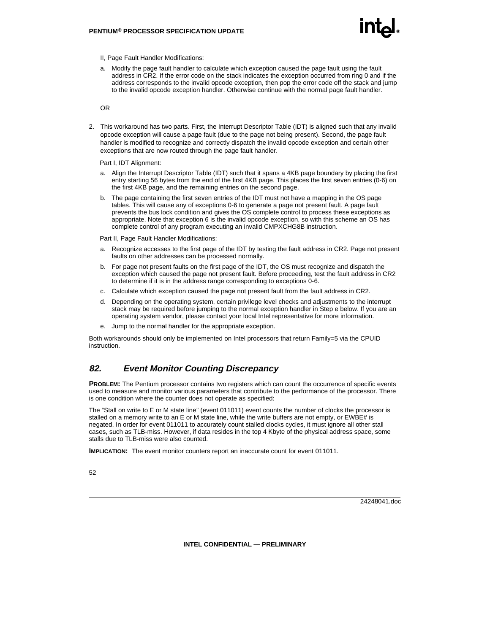- II, Page Fault Handler Modifications:
- a. Modify the page fault handler to calculate which exception caused the page fault using the fault address in CR2. If the error code on the stack indicates the exception occurred from ring 0 and if the address corresponds to the invalid opcode exception, then pop the error code off the stack and jump to the invalid opcode exception handler. Otherwise continue with the normal page fault handler.

OR

2. This workaround has two parts. First, the Interrupt Descriptor Table (IDT) is aligned such that any invalid opcode exception will cause a page fault (due to the page not being present). Second, the page fault handler is modified to recognize and correctly dispatch the invalid opcode exception and certain other exceptions that are now routed through the page fault handler.

Part I, IDT Alignment:

- a. Align the Interrupt Descriptor Table (IDT) such that it spans a 4KB page boundary by placing the first entry starting 56 bytes from the end of the first 4KB page. This places the first seven entries (0-6) on the first 4KB page, and the remaining entries on the second page.
- b. The page containing the first seven entries of the IDT must not have a mapping in the OS page tables. This will cause any of exceptions 0-6 to generate a page not present fault. A page fault prevents the bus lock condition and gives the OS complete control to process these exceptions as appropriate. Note that exception 6 is the invalid opcode exception, so with this scheme an OS has complete control of any program executing an invalid CMPXCHG8B instruction.

Part II, Page Fault Handler Modifications:

- a. Recognize accesses to the first page of the IDT by testing the fault address in CR2. Page not present faults on other addresses can be processed normally.
- b. For page not present faults on the first page of the IDT, the OS must recognize and dispatch the exception which caused the page not present fault. Before proceeding, test the fault address in CR2 to determine if it is in the address range corresponding to exceptions 0-6.
- c. Calculate which exception caused the page not present fault from the fault address in CR2.
- d. Depending on the operating system, certain privilege level checks and adjustments to the interrupt stack may be required before jumping to the normal exception handler in Step e below. If you are an operating system vendor, please contact your local Intel representative for more information.
- e. Jump to the normal handler for the appropriate exception.

Both workarounds should only be implemented on Intel processors that return Family=5 via the CPUID instruction.

# **82. Event Monitor Counting Discrepancy**

**PROBLEM:** The Pentium processor contains two registers which can count the occurrence of specific events used to measure and monitor various parameters that contribute to the performance of the processor. There is one condition where the counter does not operate as specified:

The "Stall on write to E or M state line" (event 011011) event counts the number of clocks the processor is stalled on a memory write to an E or M state line, while the write buffers are not empty, or EWBE# is negated. In order for event 011011 to accurately count stalled clocks cycles, it must ignore all other stall cases, such as TLB-miss. However, if data resides in the top 4 Kbyte of the physical address space, some stalls due to TLB-miss were also counted.

**IMPLICATION:** The event monitor counters report an inaccurate count for event 011011.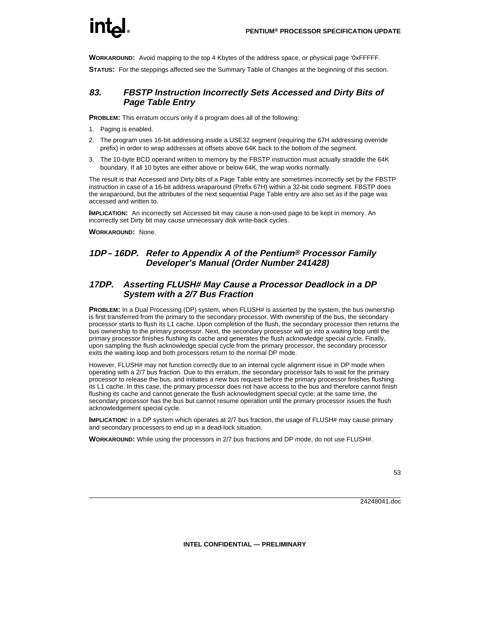# **inte**

**WORKAROUND:** Avoid mapping to the top 4 Kbytes of the address space, or physical page '0xFFFFF.

**STATUS:** For the steppings affected see the Summary Table of Changes at the beginning of this section.

# **83. FBSTP Instruction Incorrectly Sets Accessed and Dirty Bits of Page Table Entry**

**PROBLEM:** This erratum occurs only if a program does all of the following:

- 1. Paging is enabled.
- 2. The program uses 16-bit addressing inside a USE32 segment (requiring the 67H addressing override prefix) in order to wrap addresses at offsets above 64K back to the bottom of the segment.
- 3. The 10-byte BCD operand written to memory by the FBSTP instruction must actually straddle the 64K boundary. If all 10 bytes are either above or below 64K, the wrap works normally.

The result is that Accessed and Dirty bits of a Page Table entry are sometimes incorrectly set by the FBSTP instruction in case of a 16-bit address wraparound (Prefix 67H) within a 32-bit code segment. FBSTP does the wraparound, but the attributes of the next sequential Page Table entry are also set as if the page was accessed and written to.

**IMPLICATION:** An incorrectly set Accessed bit may cause a non-used page to be kept in memory. An incorrectly set Dirty bit may cause unnecessary disk write-back cycles.

**WORKAROUND:** None.

# **1DP** *–* **16DP. Refer to Appendix A of the Pentium® Processor Family Developer's Manual (Order Number 241428)**

# **17DP. Asserting FLUSH# May Cause a Processor Deadlock in a DP System with a 2/7 Bus Fraction**

**PROBLEM:** In a Dual Processing (DP) system, when FLUSH# is asserted by the system, the bus ownership is first transferred from the primary to the secondary processor. With ownership of the bus, the secondary processor starts to flush its L1 cache. Upon completion of the flush, the secondary processor then returns the bus ownership to the primary processor. Next, the secondary processor will go into a waiting loop until the primary processor finishes flushing its cache and generates the flush acknowledge special cycle. Finally, upon sampling the flush acknowledge special cycle from the primary processor, the secondary processor exits the waiting loop and both processors return to the normal DP mode.

However, FLUSH# may not function correctly due to an internal cycle alignment issue in DP mode when operating with a 2/7 bus fraction. Due to this erratum, the secondary processor fails to wait for the primary processor to release the bus, and initiates a new bus request before the primary processor finishes flushing its L1 cache. In this case, the primary processor does not have access to the bus and therefore cannot finish flushing its cache and cannot generate the flush acknowledgment special cycle; at the same time, the secondary processor has the bus but cannot resume operation until the primary processor issues the flush acknowledgement special cycle.

**IMPLICATION:** In a DP system which operates at 2/7 bus fraction, the usage of FLUSH# may cause primary and secondary processors to end up in a dead-lock situation.

**WORKAROUND:** While using the processors in 2/7 bus fractions and DP mode, do not use FLUSH#.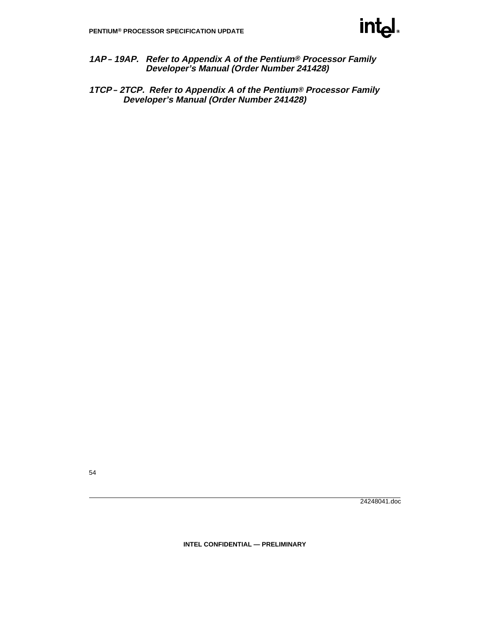

- **1AP** **19AP. Refer to Appendix A of the Pentium® Processor Family Developer's Manual (Order Number 241428)**
- **1TCP** **2TCP. Refer to Appendix A of the Pentium® Processor Family Developer's Manual (Order Number 241428)**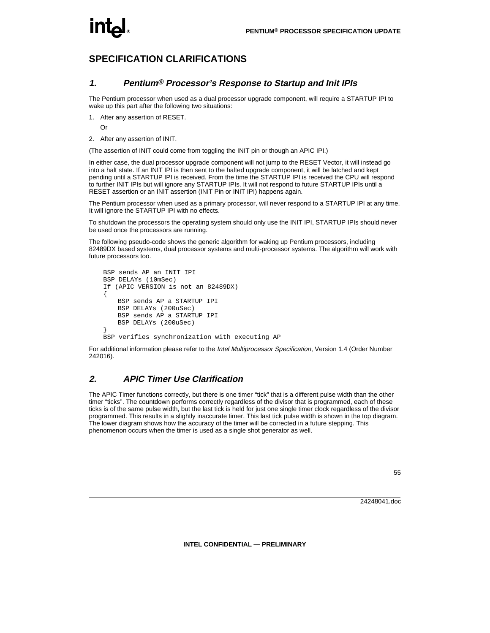# **SPECIFICATION CLARIFICATIONS**

# **1. Pentium® Processor's Response to Startup and Init IPIs**

The Pentium processor when used as a dual processor upgrade component, will require a STARTUP IPI to wake up this part after the following two situations:

1. After any assertion of RESET.

Or

2. After any assertion of INIT.

(The assertion of INIT could come from toggling the INIT pin or though an APIC IPI.)

In either case, the dual processor upgrade component will not jump to the RESET Vector, it will instead go into a halt state. If an INIT IPI is then sent to the halted upgrade component, it will be latched and kept pending until a STARTUP IPI is received. From the time the STARTUP IPI is received the CPU will respond to further INIT IPIs but will ignore any STARTUP IPIs. It will not respond to future STARTUP IPIs until a RESET assertion or an INIT assertion (INIT Pin or INIT IPI) happens again.

The Pentium processor when used as a primary processor, will never respond to a STARTUP IPI at any time. It will ignore the STARTUP IPI with no effects.

To shutdown the processors the operating system should only use the INIT IPI, STARTUP IPIs should never be used once the processors are running.

The following pseudo-code shows the generic algorithm for waking up Pentium processors, including 82489DX based systems, dual processor systems and multi-processor systems. The algorithm will work with future processors too.

```
BSP sends AP an INIT IPI
BSP DELAYs (10mSec)
If (APIC VERSION is not an 82489DX)
{
   BSP sends AP a STARTUP IPI
   BSP DELAYs (200uSec)
   BSP sends AP a STARTUP IPI
   BSP DELAYs (200uSec)
}
BSP verifies synchronization with executing AP
```
For additional information please refer to the Intel Multiprocessor Specification, Version 1.4 (Order Number 242016).

# **2. APIC Timer Use Clarification**

The APIC Timer functions correctly, but there is one timer "tick" that is a different pulse width than the other timer "ticks". The countdown performs correctly regardless of the divisor that is programmed, each of these ticks is of the same pulse width, but the last tick is held for just one single timer clock regardless of the divisor programmed. This results in a slightly inaccurate timer. This last tick pulse width is shown in the top diagram. The lower diagram shows how the accuracy of the timer will be corrected in a future stepping. This phenomenon occurs when the timer is used as a single shot generator as well.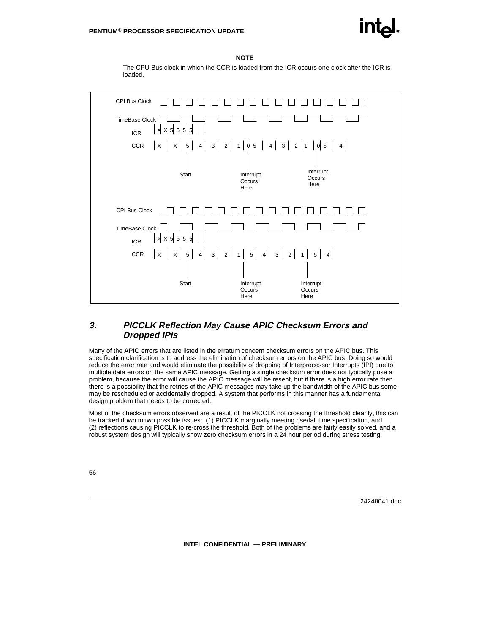

#### **NOTE**

The CPU Bus clock in which the CCR is loaded from the ICR occurs one clock after the ICR is loaded.



# **3. PICCLK Reflection May Cause APIC Checksum Errors and Dropped IPIs**

Many of the APIC errors that are listed in the erratum concern checksum errors on the APIC bus. This specification clarification is to address the elimination of checksum errors on the APIC bus. Doing so would reduce the error rate and would eliminate the possibility of dropping of Interprocessor Interrupts (IPI) due to multiple data errors on the same APIC message. Getting a single checksum error does not typically pose a problem, because the error will cause the APIC message will be resent, but if there is a high error rate then there is a possibility that the retries of the APIC messages may take up the bandwidth of the APIC bus some may be rescheduled or accidentally dropped. A system that performs in this manner has a fundamental design problem that needs to be corrected.

Most of the checksum errors observed are a result of the PICCLK not crossing the threshold cleanly, this can be tracked down to two possible issues: (1) PICCLK marginally meeting rise/fall time specification, and (2) reflections causing PICCLK to re-cross the threshold. Both of the problems are fairly easily solved, and a robust system design will typically show zero checksum errors in a 24 hour period during stress testing.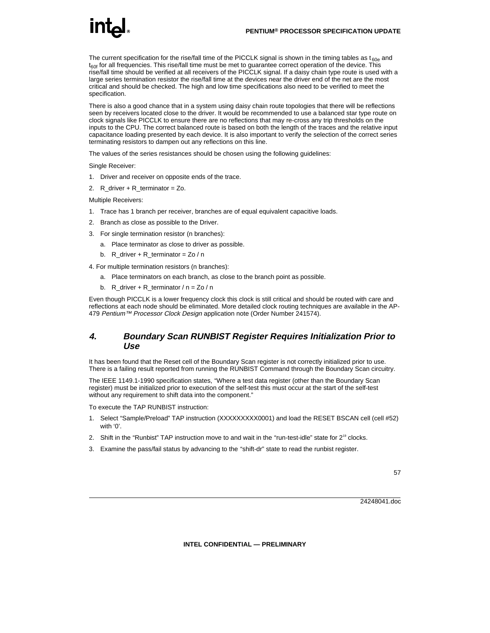The current specification for the rise/fall time of the PICCLK signal is shown in the timing tables as t<sub>60e</sub> and  $t_{\alpha}$  for all frequencies. This rise/fall time must be met to quarantee correct operation of the device. This rise/fall time should be verified at all receivers of the PICCLK signal. If a daisy chain type route is used with a large series termination resistor the rise/fall time at the devices near the driver end of the net are the most critical and should be checked. The high and low time specifications also need to be verified to meet the specification.

There is also a good chance that in a system using daisy chain route topologies that there will be reflections seen by receivers located close to the driver. It would be recommended to use a balanced star type route on clock signals like PICCLK to ensure there are no reflections that may re-cross any trip thresholds on the inputs to the CPU. The correct balanced route is based on both the length of the traces and the relative input capacitance loading presented by each device. It is also important to verify the selection of the correct series terminating resistors to dampen out any reflections on this line.

The values of the series resistances should be chosen using the following guidelines:

Single Receiver:

- 1. Driver and receiver on opposite ends of the trace.
- 2. R driver + R terminator =  $Z_0$ .

#### Multiple Receivers:

- 1. Trace has 1 branch per receiver, branches are of equal equivalent capacitive loads.
- 2. Branch as close as possible to the Driver.
- 3. For single termination resistor (n branches):
	- a. Place terminator as close to driver as possible.
	- b. R driver + R terminator =  $Zo / n$

4. For multiple termination resistors (n branches):

- a. Place terminators on each branch, as close to the branch point as possible.
- b.  $R_d$ river + R\_terminator / n = Zo / n

Even though PICCLK is a lower frequency clock this clock is still critical and should be routed with care and reflections at each node should be eliminated. More detailed clock routing techniques are available in the AP-479 Pentium™ Processor Clock Design application note (Order Number 241574).

#### **4. Boundary Scan RUNBIST Register Requires Initialization Prior to Use**

It has been found that the Reset cell of the Boundary Scan register is not correctly initialized prior to use. There is a failing result reported from running the RUNBIST Command through the Boundary Scan circuitry.

The IEEE 1149.1-1990 specification states, "Where a test data register (other than the Boundary Scan register) must be initialized prior to execution of the self-test this must occur at the start of the self-test without any requirement to shift data into the component."

To execute the TAP RUNBIST instruction:

- 1. Select "Sample/Preload" TAP instruction (XXXXXXXXX0001) and load the RESET BSCAN cell (cell #52) with '0'.
- 2. Shift in the "Runbist" TAP instruction move to and wait in the "run-test-idle" state for 2<sup>19</sup> clocks.
- 3. Examine the pass/fail status by advancing to the "shift-dr" state to read the runbist register.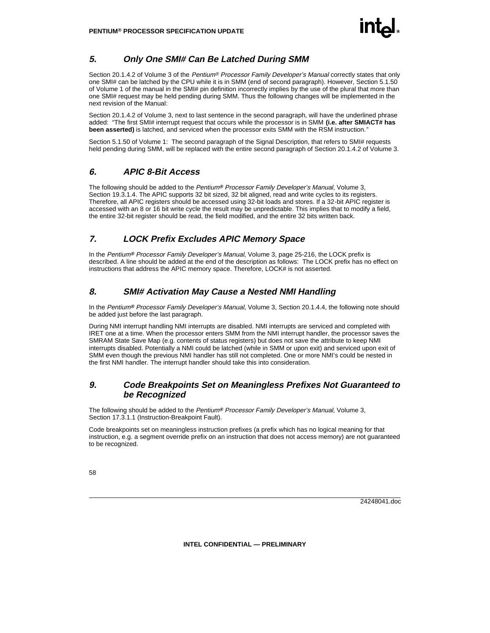

# **5. Only One SMI# Can Be Latched During SMM**

Section 20.1.4.2 of Volume 3 of the Pentium® Processor Family Developer's Manual correctly states that only one SMI# can be latched by the CPU while it is in SMM (end of second paragraph). However, Section 5.1.50 of Volume 1 of the manual in the SMI# pin definition incorrectly implies by the use of the plural that more than one SMI# request may be held pending during SMM. Thus the following changes will be implemented in the next revision of the Manual:

Section 20.1.4.2 of Volume 3, next to last sentence in the second paragraph, will have the underlined phrase added: "The first SMI# interrupt request that occurs while the processor is in SMM **(i.e. after SMIACT# has been asserted)** is latched, and serviced when the processor exits SMM with the RSM instruction."

Section 5.1.50 of Volume 1: The second paragraph of the Signal Description, that refers to SMI# requests held pending during SMM, will be replaced with the entire second paragraph of Section 20.1.4.2 of Volume 3.

# **6. APIC 8-Bit Access**

The following should be added to the Pentium**®** Processor Family Developer's Manual, Volume 3, Section 19.3.1.4. The APIC supports 32 bit sized, 32 bit aligned, read and write cycles to its registers. Therefore, all APIC registers should be accessed using 32-bit loads and stores. If a 32-bit APIC register is accessed with an 8 or 16 bit write cycle the result may be unpredictable. This implies that to modify a field, the entire 32-bit register should be read, the field modified, and the entire 32 bits written back.

# **7. LOCK Prefix Excludes APIC Memory Space**

In the Pentium**®** Processor Family Developer's Manual, Volume 3, page 25-216, the LOCK prefix is described. A line should be added at the end of the description as follows: The LOCK prefix has no effect on instructions that address the APIC memory space. Therefore, LOCK# is not asserted.

# **8. SMI# Activation May Cause a Nested NMI Handling**

In the Pentium**®** Processor Family Developer's Manual, Volume 3, Section 20.1.4.4, the following note should be added just before the last paragraph.

During NMI interrupt handling NMI interrupts are disabled. NMI interrupts are serviced and completed with IRET one at a time. When the processor enters SMM from the NMI interrupt handler, the processor saves the SMRAM State Save Map (e.g. contents of status registers) but does not save the attribute to keep NMI interrupts disabled. Potentially a NMI could be latched (while in SMM or upon exit) and serviced upon exit of SMM even though the previous NMI handler has still not completed. One or more NMI's could be nested in the first NMI handler. The interrupt handler should take this into consideration.

### **9. Code Breakpoints Set on Meaningless Prefixes Not Guaranteed to be Recognized**

The following should be added to the Pentium**®** Processor Family Developer's Manual, Volume 3, Section 17.3.1.1 (Instruction-Breakpoint Fault).

Code breakpoints set on meaningless instruction prefixes (a prefix which has no logical meaning for that instruction, e.g. a segment override prefix on an instruction that does not access memory) are not guaranteed to be recognized.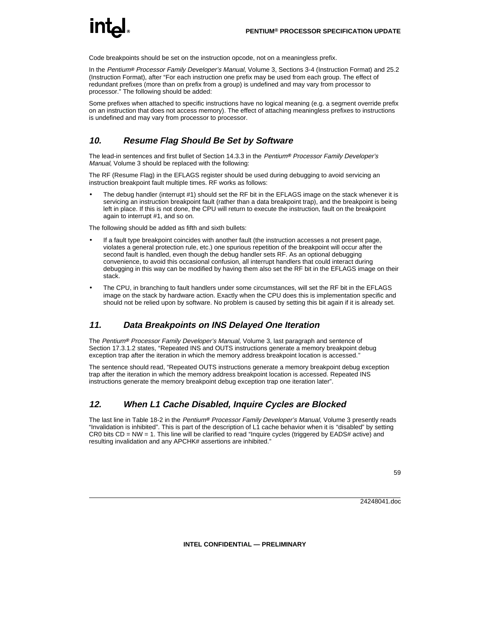Code breakpoints should be set on the instruction opcode, not on a meaningless prefix.

In the Pentium**®** Processor Family Developer's Manual, Volume 3, Sections 3-4 (Instruction Format) and 25.2 (Instruction Format), after "For each instruction one prefix may be used from each group. The effect of redundant prefixes (more than on prefix from a group) is undefined and may vary from processor to processor." The following should be added:

Some prefixes when attached to specific instructions have no logical meaning (e.g. a segment override prefix on an instruction that does not access memory). The effect of attaching meaningless prefixes to instructions is undefined and may vary from processor to processor.

# **10. Resume Flag Should Be Set by Software**

The lead-in sentences and first bullet of Section 14.3.3 in the Pentium**®** Processor Family Developer's Manual, Volume 3 should be replaced with the following:

The RF (Resume Flag) in the EFLAGS register should be used during debugging to avoid servicing an instruction breakpoint fault multiple times. RF works as follows:

The debug handler (interrupt #1) should set the RF bit in the EFLAGS image on the stack whenever it is servicing an instruction breakpoint fault (rather than a data breakpoint trap), and the breakpoint is being left in place. If this is not done, the CPU will return to execute the instruction, fault on the breakpoint again to interrupt #1, and so on.

The following should be added as fifth and sixth bullets:

- If a fault type breakpoint coincides with another fault (the instruction accesses a not present page, violates a general protection rule, etc.) one spurious repetition of the breakpoint will occur after the second fault is handled, even though the debug handler sets RF. As an optional debugging convenience, to avoid this occasional confusion, all interrupt handlers that could interact during debugging in this way can be modified by having them also set the RF bit in the EFLAGS image on their stack<sup>-</sup>
- The CPU, in branching to fault handlers under some circumstances, will set the RF bit in the EFLAGS image on the stack by hardware action. Exactly when the CPU does this is implementation specific and should not be relied upon by software. No problem is caused by setting this bit again if it is already set.

# **11. Data Breakpoints on INS Delayed One Iteration**

The Pentium**®** Processor Family Developer's Manual, Volume 3, last paragraph and sentence of Section 17.3.1.2 states, "Repeated INS and OUTS instructions generate a memory breakpoint debug exception trap after the iteration in which the memory address breakpoint location is accessed."

The sentence should read, "Repeated OUTS instructions generate a memory breakpoint debug exception trap after the iteration in which the memory address breakpoint location is accessed. Repeated INS instructions generate the memory breakpoint debug exception trap one iteration later".

# **12. When L1 Cache Disabled, Inquire Cycles are Blocked**

The last line in Table 18-2 in the Pentium**®** Processor Family Developer's Manual, Volume 3 presently reads "Invalidation is inhibited". This is part of the description of L1 cache behavior when it is "disabled" by setting CR0 bits CD = NW = 1. This line will be clarified to read "Inquire cycles (triggered by EADS# active) and resulting invalidation and any APCHK# assertions are inhibited."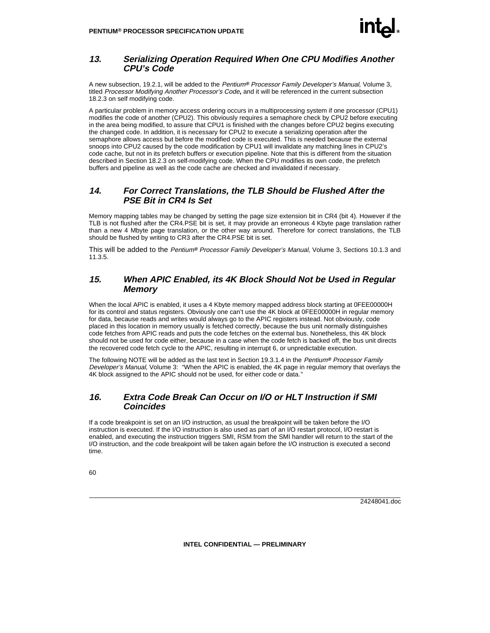### **13. Serializing Operation Required When One CPU Modifies Another CPU's Code**

A new subsection, 19.2.1, will be added to the Pentium**®** Processor Family Developer's Manual, Volume 3, titled Processor Modifying Another Processor's Code**,** and it will be referenced in the current subsection 18.2.3 on self modifying code.

A particular problem in memory access ordering occurs in a multiprocessing system if one processor (CPU1) modifies the code of another (CPU2). This obviously requires a semaphore check by CPU2 before executing in the area being modified, to assure that CPU1 is finished with the changes before CPU2 begins executing the changed code. In addition, it is necessary for CPU2 to execute a serializing operation after the semaphore allows access but before the modified code is executed. This is needed because the external snoops into CPU2 caused by the code modification by CPU1 will invalidate any matching lines in CPU2's code cache, but not in its prefetch buffers or execution pipeline. Note that this is different from the situation described in Section 18.2.3 on self-modifying code. When the CPU modifies its own code, the prefetch buffers and pipeline as well as the code cache are checked and invalidated if necessary.

### **14. For Correct Translations, the TLB Should be Flushed After the PSE Bit in CR4 Is Set**

Memory mapping tables may be changed by setting the page size extension bit in CR4 (bit 4). However if the TLB is not flushed after the CR4.PSE bit is set, it may provide an erroneous 4 Kbyte page translation rather than a new 4 Mbyte page translation, or the other way around. Therefore for correct translations, the TLB should be flushed by writing to CR3 after the CR4.PSE bit is set.

This will be added to the Pentium**®** Processor Family Developer's Manual, Volume 3, Sections 10.1.3 and 11.3.5.

### **15. When APIC Enabled, its 4K Block Should Not be Used in Regular Memory**

When the local APIC is enabled, it uses a 4 Kbyte memory mapped address block starting at 0FEE00000H for its control and status registers. Obviously one can't use the 4K block at 0FEE00000H in regular memory for data, because reads and writes would always go to the APIC registers instead. Not obviously, code placed in this location in memory usually is fetched correctly, because the bus unit normally distinguishes code fetches from APIC reads and puts the code fetches on the external bus. Nonetheless, this 4K block should not be used for code either, because in a case when the code fetch is backed off, the bus unit directs the recovered code fetch cycle to the APIC, resulting in interrupt 6, or unpredictable execution.

The following NOTE will be added as the last text in Section 19.3.1.4 in the Pentium**®** Processor Family Developer's Manual, Volume 3: "When the APIC is enabled, the 4K page in regular memory that overlays the 4K block assigned to the APIC should not be used, for either code or data."

### **16. Extra Code Break Can Occur on I/O or HLT Instruction if SMI Coincides**

If a code breakpoint is set on an I/O instruction, as usual the breakpoint will be taken before the I/O instruction is executed. If the I/O instruction is also used as part of an I/O restart protocol, I/O restart is enabled, and executing the instruction triggers SMI, RSM from the SMI handler will return to the start of the I/O instruction, and the code breakpoint will be taken again before the I/O instruction is executed a second time.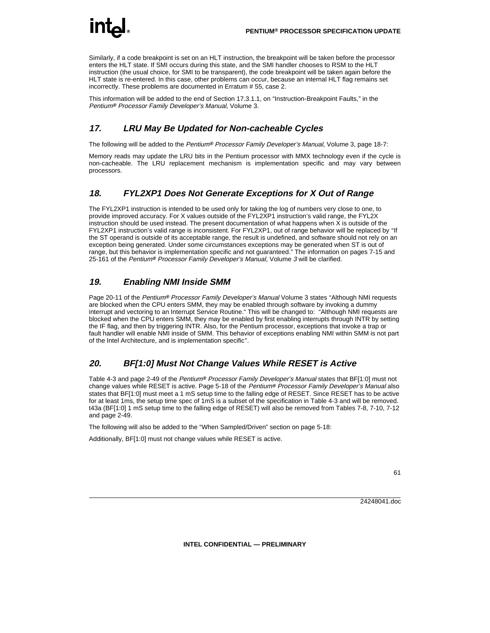Similarly, if a code breakpoint is set on an HLT instruction, the breakpoint will be taken before the processor enters the HLT state. If SMI occurs during this state, and the SMI handler chooses to RSM to the HLT instruction (the usual choice, for SMI to be transparent), the code breakpoint will be taken again before the HLT state is re-entered. In this case, other problems can occur, because an internal HLT flag remains set incorrectly. These problems are documented in Erratum # 55, case 2.

This information will be added to the end of Section 17.3.1.1, on "Instruction-Breakpoint Faults," in the Pentium**®** Processor Family Developer's Manual, Volume 3.

# **17. LRU May Be Updated for Non-cacheable Cycles**

The following will be added to the Pentium**®** Processor Family Developer's Manual, Volume 3, page 18-7:

Memory reads may update the LRU bits in the Pentium processor with MMX technology even if the cycle is non-cacheable. The LRU replacement mechanism is implementation specific and may vary between processors.

# **18. FYL2XP1 Does Not Generate Exceptions for X Out of Range**

The FYL2XP1 instruction is intended to be used only for taking the log of numbers very close to one, to provide improved accuracy. For X values outside of the FYL2XP1 instruction's valid range, the FYL2X instruction should be used instead. The present documentation of what happens when  $\bar{X}$  is outside of the FYL2XP1 instruction's valid range is inconsistent. For FYL2XP1, out of range behavior will be replaced by "If the ST operand is outside of its acceptable range, the result is undefined, and software should not rely on an exception being generated. Under some circumstances exceptions may be generated when ST is out of range, but this behavior is implementation specific and not guaranteed." The information on pages 7-15 and 25-161 of the Pentium**®** Processor Family Developer's Manual, Volume 3 will be clarified.

# **19. Enabling NMI Inside SMM**

Page 20-11 of the Pentium**®** Processor Family Developer's Manual Volume 3 states "Although NMI requests are blocked when the CPU enters SMM, they may be enabled through software by invoking a dummy interrupt and vectoring to an Interrupt Service Routine." This will be changed to: "Although NMI requests are blocked when the CPU enters SMM, they may be enabled by first enabling interrupts through INTR by setting the IF flag, and then by triggering INTR. Also, for the Pentium processor, exceptions that invoke a trap or fault handler will enable NMI inside of SMM. This behavior of exceptions enabling NMI within SMM is not part of the Intel Architecture, and is implementation specific".

# **20. BF[1:0] Must Not Change Values While RESET is Active**

Table 4-3 and page 2-49 of the Pentium**®** Processor Family Developer's Manual states that BF[1:0] must not change values while RESET is active. Page 5-18 of the Pentium**®** Processor Family Developer's Manual also states that BF[1:0] must meet a 1 mS setup time to the falling edge of RESET. Since RESET has to be active for at least 1ms, the setup time spec of 1mS is a subset of the specification in Table 4-3 and will be removed. t43a (BF[1:0] 1 mS setup time to the falling edge of RESET) will also be removed from Tables 7-8, 7-10, 7-12 and page 2-49.

The following will also be added to the "When Sampled/Driven" section on page 5-18:

Additionally, BF[1:0] must not change values while RESET is active.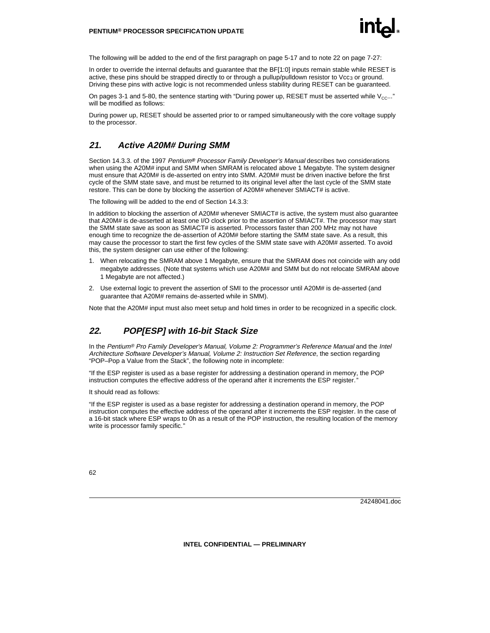

The following will be added to the end of the first paragraph on page 5-17 and to note 22 on page 7-27:

In order to override the internal defaults and guarantee that the BF[1:0] inputs remain stable while RESET is active, these pins should be strapped directly to or through a pullup/pulldown resistor to Vcc<sub>3</sub> or ground. Driving these pins with active logic is not recommended unless stability during RESET can be guaranteed.

On pages 3-1 and 5-80, the sentence starting with "During power up, RESET must be asserted while  $V_{cc}$ ..." will be modified as follows:

During power up, RESET should be asserted prior to or ramped simultaneously with the core voltage supply to the processor.

### **21. Active A20M# During SMM**

Section 14.3.3. of the 1997 Pentium**®** Processor Family Developer's Manual describes two considerations when using the A20M# input and SMM when SMRAM is relocated above 1 Megabyte. The system designer must ensure that A20M# is de-asserted on entry into SMM. A20M# must be driven inactive before the first cycle of the SMM state save, and must be returned to its original level after the last cycle of the SMM state restore. This can be done by blocking the assertion of A20M# whenever SMIACT# is active.

The following will be added to the end of Section 14.3.3:

In addition to blocking the assertion of A20M# whenever SMIACT# is active, the system must also quarantee that A20M# is de-asserted at least one I/O clock prior to the assertion of SMIACT#. The processor may start the SMM state save as soon as SMIACT# is asserted. Processors faster than 200 MHz may not have enough time to recognize the de-assertion of A20M# before starting the SMM state save. As a result, this may cause the processor to start the first few cycles of the SMM state save with A20M# asserted. To avoid this, the system designer can use either of the following:

- 1. When relocating the SMRAM above 1 Megabyte, ensure that the SMRAM does not coincide with any odd megabyte addresses. (Note that systems which use A20M# and SMM but do not relocate SMRAM above 1 Megabyte are not affected.)
- 2. Use external logic to prevent the assertion of SMI to the processor until A20M# is de-asserted (and guarantee that A20M# remains de-asserted while in SMM).

Note that the A20M# input must also meet setup and hold times in order to be recognized in a specific clock.

# **22. POP[ESP] with 16-bit Stack Size**

In the Pentium<sup>®</sup> Pro Family Developer's Manual, Volume 2: Programmer's Reference Manual and the Intel Architecture Software Developer's Manual, Volume 2: Instruction Set Reference, the section regarding "POP–Pop a Value from the Stack", the following note in incomplete:

"If the ESP register is used as a base register for addressing a destination operand in memory, the POP instruction computes the effective address of the operand after it increments the ESP register."

It should read as follows:

"If the ESP register is used as a base register for addressing a destination operand in memory, the POP instruction computes the effective address of the operand after it increments the ESP register. In the case of a 16-bit stack where ESP wraps to 0h as a result of the POP instruction, the resulting location of the memory write is processor family specific."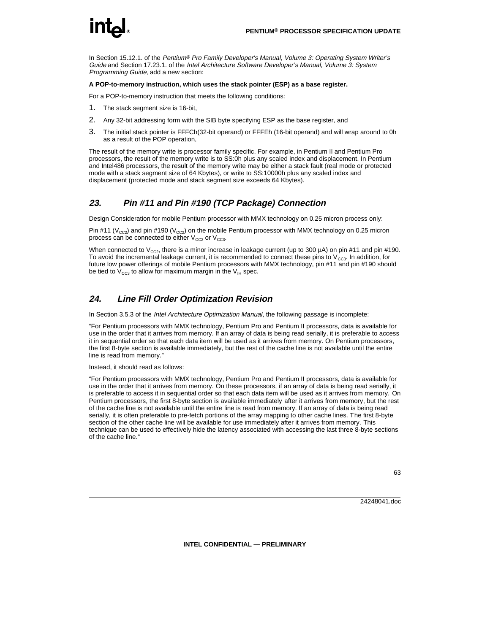# **inte**

In Section 15.12.1. of the Pentium® Pro Family Developer's Manual, Volume 3: Operating System Writer's Guide and Section 17.23.1. of the Intel Architecture Software Developer's Manual, Volume 3: System Programming Guide, add a new section:

#### **A POP-to-memory instruction, which uses the stack pointer (ESP) as a base register.**

For a POP-to-memory instruction that meets the following conditions:

- 1. The stack segment size is 16-bit,
- 2. Any 32-bit addressing form with the SIB byte specifying ESP as the base register, and
- 3. The initial stack pointer is FFFCh(32-bit operand) or FFFEh (16-bit operand) and will wrap around to 0h as a result of the POP operation,

The result of the memory write is processor family specific. For example, in Pentium II and Pentium Pro processors, the result of the memory write is to SS:0h plus any scaled index and displacement. In Pentium and Intel486 processors, the result of the memory write may be either a stack fault (real mode or protected mode with a stack segment size of 64 Kbytes), or write to SS:10000h plus any scaled index and displacement (protected mode and stack segment size exceeds 64 Kbytes).

# **23. Pin #11 and Pin #190 (TCP Package) Connection**

Design Consideration for mobile Pentium processor with MMX technology on 0.25 micron process only:

Pin #11 ( $V_{CC2}$ ) and pin #190 ( $V_{CC2}$ ) on the mobile Pentium processor with MMX technology on 0.25 micron process can be connected to either  $V_{CC2}$  or  $V_{CC3}$ .

When connected to  $V_{CC2}$ , there is a minor increase in leakage current (up to 300 µA) on pin #11 and pin #190. To avoid the incremental leakage current, it is recommended to connect these pins to  $V_{cc3}$ . In addition, for future low power offerings of mobile Pentium processors with MMX technology, pin #11 and pin #190 should be tied to  $V_{CC3}$  to allow for maximum margin in the  $V_{\text{H}}$  spec.

# **24. Line Fill Order Optimization Revision**

In Section 3.5.3 of the *Intel Architecture Optimization Manual*, the following passage is incomplete:

"For Pentium processors with MMX technology, Pentium Pro and Pentium II processors, data is available for use in the order that it arrives from memory. If an array of data is being read serially, it is preferable to access it in sequential order so that each data item will be used as it arrives from memory. On Pentium processors, the first 8-byte section is available immediately, but the rest of the cache line is not available until the entire line is read from memory."

Instead, it should read as follows:

"For Pentium processors with MMX technology, Pentium Pro and Pentium II processors, data is available for use in the order that it arrives from memory. On these processors, if an array of data is being read serially, it is preferable to access it in sequential order so that each data item will be used as it arrives from memory. On Pentium processors, the first 8-byte section is available immediately after it arrives from memory, but the rest of the cache line is not available until the entire line is read from memory. If an array of data is being read serially, it is often preferable to pre-fetch portions of the array mapping to other cache lines. The first 8-byte section of the other cache line will be available for use immediately after it arrives from memory. This technique can be used to effectively hide the latency associated with accessing the last three 8-byte sections of the cache line."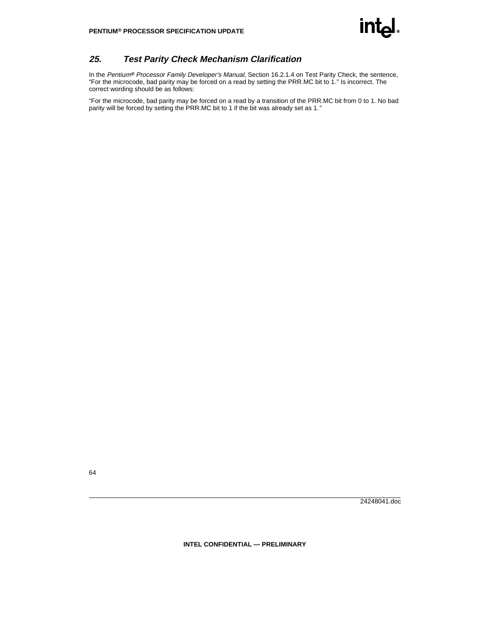# **25. Test Parity Check Mechanism Clarification**

In the Pentium**®** Processor Family Developer's Manual, Section 16.2.1.4 on Test Parity Check, the sentence, "For the microcode, bad parity may be forced on a read by setting the PRR.MC bit to 1." Is incorrect. The correct wording should be as follows:

"For the microcode, bad parity may be forced on a read by a transition of the PRR.MC bit from 0 to 1. No bad parity will be forced by setting the PRR.MC bit to 1 if the bit was already set as 1."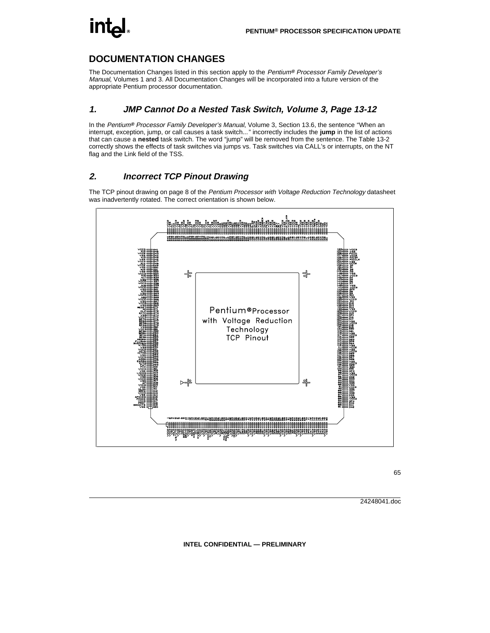# inte

## **DOCUMENTATION CHANGES**

The Documentation Changes listed in this section apply to the Pentium**®** Processor Family Developer's Manual, Volumes 1 and 3. All Documentation Changes will be incorporated into a future version of the appropriate Pentium processor documentation.

## **1. JMP Cannot Do a Nested Task Switch, Volume 3, Page 13-12**

In the Pentium**®** Processor Family Developer's Manual, Volume 3, Section 13.6, the sentence "When an interrupt, exception, jump, or call causes a task switch..." incorrectly includes the **jump** in the list of actions that can cause a **nested** task switch. The word "jump" will be removed from the sentence. The Table 13-2 correctly shows the effects of task switches via jumps vs. Task switches via CALL's or interrupts, on the NT flag and the Link field of the TSS.

## **2. Incorrect TCP Pinout Drawing**

The TCP pinout drawing on page 8 of the Pentium Processor with Voltage Reduction Technology datasheet was inadvertently rotated. The correct orientation is shown below.

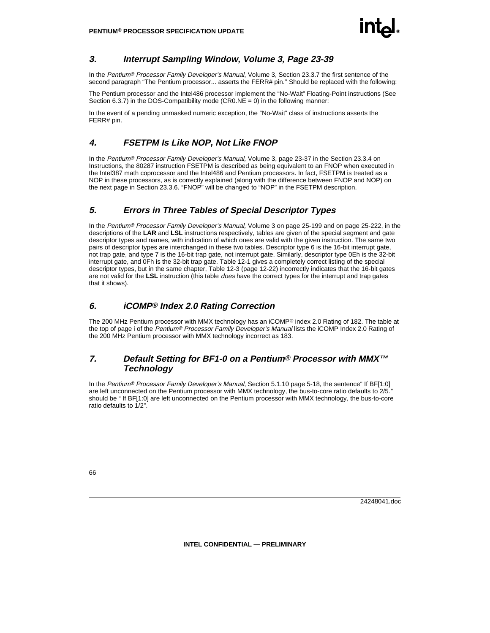

## **3. Interrupt Sampling Window, Volume 3, Page 23-39**

In the Pentium**®** Processor Family Developer's Manual, Volume 3, Section 23.3.7 the first sentence of the second paragraph "The Pentium processor... asserts the FERR# pin." Should be replaced with the following:

The Pentium processor and the Intel486 processor implement the "No-Wait" Floating-Point instructions (See Section 6.3.7) in the DOS-Compatibility mode  $(CRO.NE = 0)$  in the following manner:

In the event of a pending unmasked numeric exception, the "No-Wait" class of instructions asserts the FERR# pin.

## **4. FSETPM Is Like NOP, Not Like FNOP**

In the Pentium**®** Processor Family Developer's Manual, Volume 3, page 23-37 in the Section 23.3.4 on Instructions, the 80287 instruction FSETPM is described as being equivalent to an FNOP when executed in the Intel387 math coprocessor and the Intel486 and Pentium processors. In fact, FSETPM is treated as a NOP in these processors, as is correctly explained (along with the difference between FNOP and NOP) on the next page in Section 23.3.6. "FNOP" will be changed to "NOP" in the FSETPM description.

## **5. Errors in Three Tables of Special Descriptor Types**

In the Pentium**®** Processor Family Developer's Manual, Volume 3 on page 25-199 and on page 25-222, in the descriptions of the **LAR** and **LSL** instructions respectively, tables are given of the special segment and gate descriptor types and names, with indication of which ones are valid with the given instruction. The same two pairs of descriptor types are interchanged in these two tables. Descriptor type 6 is the 16-bit interrupt gate, not trap gate, and type 7 is the 16-bit trap gate, not interrupt gate. Similarly, descriptor type 0Eh is the 32-bit interrupt gate, and 0Fh is the 32-bit trap gate. Table 12-1 gives a completely correct listing of the special descriptor types, but in the same chapter, Table 12-3 (page 12-22) incorrectly indicates that the 16-bit gates are not valid for the **LSL** instruction (this table does have the correct types for the interrupt and trap gates that it shows).

## **6. iCOMP® Index 2.0 Rating Correction**

The 200 MHz Pentium processor with MMX technology has an iCOMP® index 2.0 Rating of 182. The table at the top of page i of the Pentium**®** Processor Family Developer's Manual lists the iCOMP Index 2.0 Rating of the 200 MHz Pentium processor with MMX technology incorrect as 183.

## **7. Default Setting for BF1-0 on a Pentium® Processor with MMX™ Technology**

In the Pentium**®** Processor Family Developer's Manual, Section 5.1.10 page 5-18, the sentence" If BF[1:0] are left unconnected on the Pentium processor with MMX technology, the bus-to-core ratio defaults to 2/5." should be " If BF[1:0] are left unconnected on the Pentium processor with MMX technology, the bus-to-core ratio defaults to 1/2".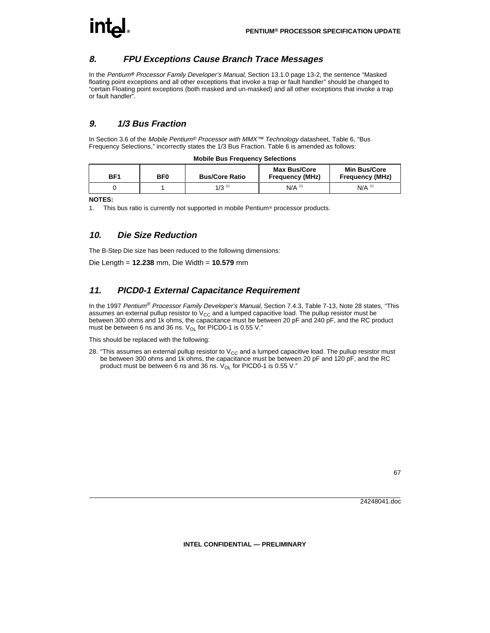# <u>int</u>

## **8. FPU Exceptions Cause Branch Trace Messages**

In the Pentium**®** Processor Family Developer's Manual, Section 13.1.0 page 13-2, the sentence "Masked floating point exceptions and all other exceptions that invoke a trap or fault handler" should be changed to "certain Floating point exceptions (both masked and un-masked) and all other exceptions that invoke a trap or fault handler".

## **9. 1/3 Bus Fraction**

In Section 3.6 of the Mobile Pentium® Processor with MMX<sup>™</sup> Technology datasheet, Table 6, "Bus Frequency Selections," incorrectly states the 1/3 Bus Fraction. Table 6 is amended as follows:

| BF1 | BF <sub>0</sub> | <b>Bus/Core Ratio</b> | <b>Max Bus/Core</b><br><b>Frequency (MHz)</b> | <b>Min Bus/Core</b><br><b>Frequency (MHz)</b> |
|-----|-----------------|-----------------------|-----------------------------------------------|-----------------------------------------------|
|     |                 | $1/3$ <sup>(1)</sup>  | $N/A$ <sup>(1)</sup>                          | $N/A$ <sup>(1)</sup>                          |

## **Mobile Bus Frequency Selections**

#### **NOTES:**

1. This bus ratio is currently not supported in mobile Pentium® processor products.

### **10. Die Size Reduction**

The B-Step Die size has been reduced to the following dimensions:

```
Die Length = 12.238 mm, Die Width = 10.579 mm
```
## **11. PICD0-1 External Capacitance Requirement**

In the 1997 Pentium<sup>®</sup> Processor Family Developer's Manual, Section 7.4.3, Table 7-13, Note 28 states, "This assumes an external pullup resistor to  $V_{CC}$  and a lumped capacitive load. The pullup resistor must be between 300 ohms and 1k ohms, the capacitance must be between 20 pF and 240 pF, and the RC product must be between 6 ns and 36 ns.  $V_{\Omega}$  for PICD0-1 is 0.55 V."

This should be replaced with the following:

28. "This assumes an external pullup resistor to  $V_{CC}$  and a lumped capacitive load. The pullup resistor must be between 300 ohms and 1k ohms, the capacitance must be between 20 pF and 120 pF, and the RC product must be between 6 ns and 36 ns.  $V_{OL}$  for PICD0-1 is 0.55 V."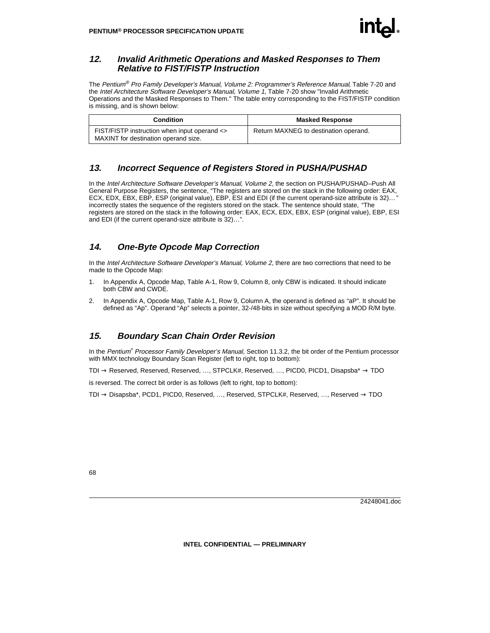

### **12. Invalid Arithmetic Operations and Masked Responses to Them Relative to FIST/FISTP Instruction**

The Pentium<sup>®</sup> Pro Family Developer's Manual, Volume 2: Programmer's Reference Manual, Table 7-20 and the Intel Architecture Software Developer's Manual, Volume 1, Table 7-20 show "Invalid Arithmetic Operations and the Masked Responses to Them." The table entry corresponding to the FIST/FISTP condition is missing, and is shown below:

| Condition                                                                            | <b>Masked Response</b>                |
|--------------------------------------------------------------------------------------|---------------------------------------|
| FIST/FISTP instruction when input operand <><br>MAXINT for destination operand size. | Return MAXNEG to destination operand. |

## **13. Incorrect Sequence of Registers Stored in PUSHA/PUSHAD**

In the Intel Architecture Software Developer's Manual, Volume 2, the section on PUSHA/PUSHAD–Push All General Purpose Registers, the sentence, "The registers are stored on the stack in the following order: EAX, ECX, EDX, EBX, EBP, ESP (original value), EBP, ESI and EDI (if the current operand-size attribute is 32)… " incorrectly states the sequence of the registers stored on the stack. The sentence should state, "The registers are stored on the stack in the following order: EAX, ECX, EDX, EBX, ESP (original value), EBP, ESI and EDI (if the current operand-size attribute is 32)…".

## **14. One-Byte Opcode Map Correction**

In the Intel Architecture Software Developer's Manual, Volume 2, there are two corrections that need to be made to the Opcode Map:

- 1. In Appendix A, Opcode Map, Table A-1, Row 9, Column 8, only CBW is indicated. It should indicate both CBW and CWDE.
- 2. In Appendix A, Opcode Map, Table A-1, Row 9, Column A, the operand is defined as "aP". It should be defined as "Ap". Operand "Ap" selects a pointer, 32-/48-bits in size without specifying a MOD R/M byte.

## **15. Boundary Scan Chain Order Revision**

In the Pentium® Processor Family Developer's Manual, Section 11.3.2, the bit order of the Pentium processor with MMX technology Boundary Scan Register (left to right, top to bottom):

TDI → Reserved, Reserved, Reserved, …, STPCLK#, Reserved, …, PICD0, PICD1, Disapsba\* → TDO

is reversed. The correct bit order is as follows (left to right, top to bottom):

TDI → Disapsba\*, PCD1, PICD0, Reserved, …, Reserved, STPCLK#, Reserved, …, Reserved → TDO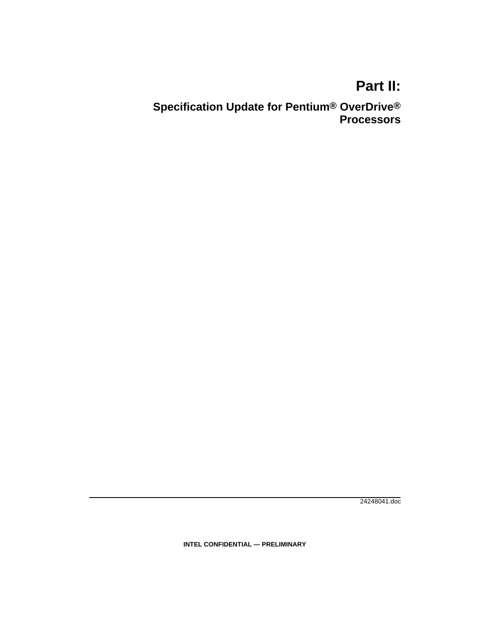## **Part II:**

**Specification Update for Pentium® OverDrive® Processors**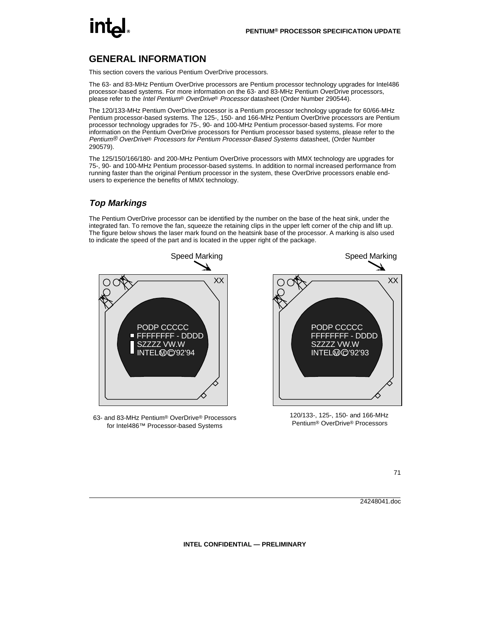# int<sub>e</sub>

## **GENERAL INFORMATION**

This section covers the various Pentium OverDrive processors.

The 63- and 83-MHz Pentium OverDrive processors are Pentium processor technology upgrades for Intel486 processor-based systems. For more information on the 63- and 83-MHz Pentium OverDrive processors, please refer to the *Intel Pentium<sup>®</sup> OverDrive® Processor* datasheet (Order Number 290544).

The 120/133-MHz Pentium OverDrive processor is a Pentium processor technology upgrade for 60/66-MHz Pentium processor-based systems. The 125-, 150- and 166-MHz Pentium OverDrive processors are Pentium processor technology upgrades for 75-, 90- and 100-MHz Pentium processor-based systems. For more information on the Pentium OverDrive processors for Pentium processor based systems, please refer to the Pentium® OverDrive® Processors for Pentium Processor-Based Systems datasheet, (Order Number 290579).

The 125/150/166/180- and 200-MHz Pentium OverDrive processors with MMX technology are upgrades for 75-, 90- and 100-MHz Pentium processor-based systems. In addition to normal increased performance from running faster than the original Pentium processor in the system, these OverDrive processors enable endusers to experience the benefits of MMX technology.

## **Top Markings**

The Pentium OverDrive processor can be identified by the number on the base of the heat sink, under the integrated fan. To remove the fan, squeeze the retaining clips in the upper left corner of the chip and lift up. The figure below shows the laser mark found on the heatsink base of the processor. A marking is also used to indicate the speed of the part and is located in the upper right of the package.



63- and 83-MHz Pentium® OverDrive® Processors for Intel486™ Processor-based Systems



120/133-, 125-, 150- and 166-MHz Pentium® OverDrive® Processors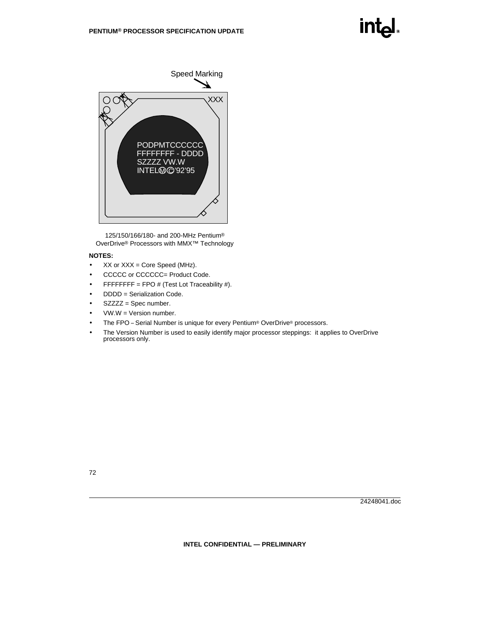## intal.



125/150/166/180- and 200-MHz Pentium® OverDrive® Processors with MMX™ Technology

#### **NOTES:**

- $XX$  or  $XXX = Core Speed (MHz)$ .
- CCCCC or CCCCCC= Product Code.
- FFFFFFFF = FPO  $#$  (Test Lot Traceability  $#$ ).
- DDDD = Serialization Code.
- SZZZZ = Spec number.
- $\bullet$  VW.W = Version number.
- The FPO Serial Number is unique for every Pentium® OverDrive® processors.
- The Version Number is used to easily identify major processor steppings: it applies to OverDrive processors only.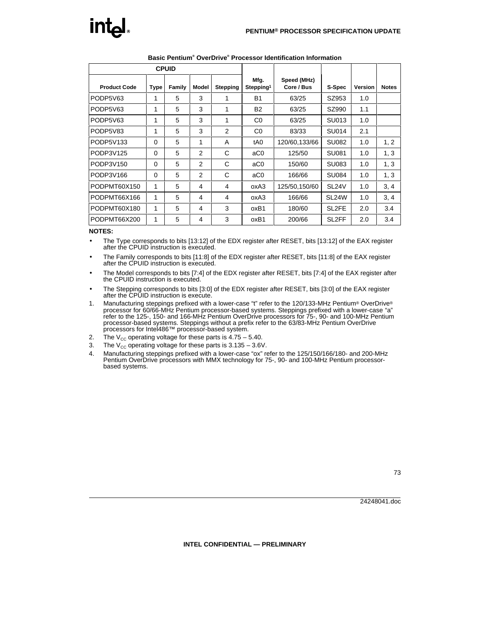# int

|                     |             | <b>CPUID</b> |                |                 |                               |                           |                    |                |              |
|---------------------|-------------|--------------|----------------|-----------------|-------------------------------|---------------------------|--------------------|----------------|--------------|
| <b>Product Code</b> | <b>Type</b> | Family       | Model          | <b>Stepping</b> | Mfg.<br>Stepping <sup>1</sup> | Speed (MHz)<br>Core / Bus | S-Spec             | <b>Version</b> | <b>Notes</b> |
| PODP5V63            | 1           | 5            | 3              | 1               | <b>B1</b>                     | 63/25                     | SZ953              | 1.0            |              |
| PODP5V63            | 1           | 5            | 3              | 1               | <b>B2</b>                     | 63/25                     | SZ990              | 1.1            |              |
| PODP5V63            | 1           | 5            | 3              | 1               | C0                            | 63/25                     | SU013              | 1.0            |              |
| PODP5V83            | 1           | 5            | 3              | $\overline{2}$  | C <sub>0</sub>                | 83/33                     | SU014              | 2.1            |              |
| PODP5V133           | 0           | 5            | 1              | A               | tA0                           | 120/60,133/66             | <b>SU082</b>       | 1.0            | 1, 2         |
| PODP3V125           | 0           | 5            | $\overline{2}$ | C               | aC0                           | 125/50                    | <b>SU081</b>       | 1.0            | 1, 3         |
| PODP3V150           | 0           | 5            | $\overline{2}$ | C               | aC0                           | 150/60                    | <b>SU083</b>       | 1.0            | 1, 3         |
| PODP3V166           | 0           | 5            | $\overline{2}$ | C               | aC0                           | 166/66                    | <b>SU084</b>       | 1.0            | 1, 3         |
| PODPMT60X150        | 1           | 5            | 4              | 4               | oxA3                          | 125/50,150/60             | SL <sub>24</sub> V | 1.0            | 3, 4         |
| PODPMT66X166        | 1           | 5            | 4              | 4               | oxA3                          | 166/66                    | SL <sub>24</sub> W | 1.0            | 3, 4         |
| PODPMT60X180        | 1           | 5            | 4              | 3               | oxB1                          | 180/60                    | SL <sub>2</sub> FE | 2.0            | 3.4          |
| PODPMT66X200        | 1           | 5            | 4              | 3               | oxB1                          | 200/66                    | SL <sub>2</sub> FF | 2.0            | 3.4          |

**Basic Pentium® OverDrive® Processor Identification Information**

#### **NOTES:**

- The Type corresponds to bits [13:12] of the EDX register after RESET, bits [13:12] of the EAX register after the CPUID instruction is executed.
- The Family corresponds to bits [11:8] of the EDX register after RESET, bits [11:8] of the EAX register after the CPUID instruction is executed.
- The Model corresponds to bits [7:4] of the EDX register after RESET, bits [7:4] of the EAX register after the CPUID instruction is executed.
- The Stepping corresponds to bits [3:0] of the EDX register after RESET, bits [3:0] of the EAX register after the CPUID instruction is execute.
- 1. Manufacturing steppings prefixed with a lower-case "t" refer to the 120/133-MHz Pentium® OverDrive® processor for 60/66-MHz Pentium processor-based systems. Steppings prefixed with a lower-case "a" refer to the 125-, 150- and 166-MHz Pentium OverDrive processors for 75-, 90- and 100-MHz Pentium processor-based systems. Steppings without a prefix refer to the 63/83-MHz Pentium OverDrive processors for Intel486™ processor-based system.
- 2. The  $V_{\text{cc}}$  operating voltage for these parts is 4.75 5.40.
- 3. The  $V_{CC}$  operating voltage for these parts is  $3.135 3.6V$ .<br>4. Manufacturing steppings prefixed with a lower-case "ox" re
- 4. Manufacturing steppings prefixed with a lower-case "ox" refer to the 125/150/166/180- and 200-MHz Pentium OverDrive processors with MMX technology for 75-, 90- and 100-MHz Pentium processorbased systems.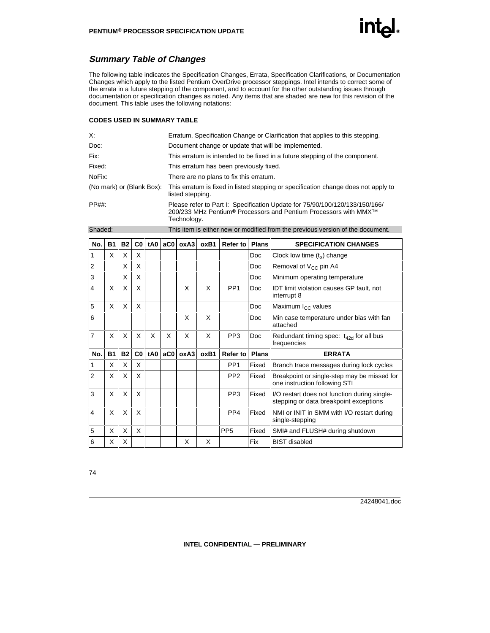## **Summary Table of Changes**

The following table indicates the Specification Changes, Errata, Specification Clarifications, or Documentation Changes which apply to the listed Pentium OverDrive processor steppings. Intel intends to correct some of the errata in a future stepping of the component, and to account for the other outstanding issues through documentation or specification changes as noted. Any items that are shaded are new for this revision of the document. This table uses the following notations:

#### **CODES USED IN SUMMARY TABLE**

| Х.                        | Erratum, Specification Change or Clarification that applies to this stepping.                                                                                              |
|---------------------------|----------------------------------------------------------------------------------------------------------------------------------------------------------------------------|
| Doc:                      | Document change or update that will be implemented.                                                                                                                        |
| Fix:                      | This erratum is intended to be fixed in a future stepping of the component.                                                                                                |
| Fixed:                    | This erratum has been previously fixed.                                                                                                                                    |
| NoFix:                    | There are no plans to fix this erratum.                                                                                                                                    |
| (No mark) or (Blank Box): | This erratum is fixed in listed stepping or specification change does not apply to<br>listed stepping.                                                                     |
| PP##                      | Please refer to Part I: Specification Update for 75/90/100/120/133/150/166/<br>200/233 MHz Pentium® Processors and Pentium Processors with MMX <sup>™</sup><br>Technology. |

Shaded: This item is either new or modified from the previous version of the document.

| No.            | <b>B1</b> | <b>B2</b> | C <sub>0</sub> | tA0 | aC0 | oxA3 | oxB1 | Refer to        | <b>Plans</b> | <b>SPECIFICATION CHANGES</b>                                                           |
|----------------|-----------|-----------|----------------|-----|-----|------|------|-----------------|--------------|----------------------------------------------------------------------------------------|
| 1              | X         | X         | X              |     |     |      |      |                 | <b>Doc</b>   | Clock low time $(t_3)$ change                                                          |
| $\overline{2}$ |           | X         | X              |     |     |      |      |                 | <b>Doc</b>   | Removal of $V_{CC}$ pin A4                                                             |
| 3              |           | X         | X              |     |     |      |      |                 | Doc          | Minimum operating temperature                                                          |
| $\overline{4}$ | X         | X         | X              |     |     | X    | X    | PP <sub>1</sub> | <b>Doc</b>   | IDT limit violation causes GP fault, not<br>interrupt 8                                |
| 5              | X         | X         | X              |     |     |      |      |                 | Doc          | Maximum $I_{CC}$ values                                                                |
| 6              |           |           |                |     |     | X    | X    |                 | <b>Doc</b>   | Min case temperature under bias with fan<br>attached                                   |
| $\overline{7}$ | X         | X         | X              | X   | X   | X    | X    | PP <sub>3</sub> | <b>Doc</b>   | Redundant timing spec: $t_{42d}$ for all bus<br>frequencies                            |
| No.            | <b>B1</b> | <b>B2</b> | C <sub>0</sub> | tA0 | aC0 | oxA3 | oxB1 | Refer to        | <b>Plans</b> | <b>ERRATA</b>                                                                          |
| 1              | X         | X         | X              |     |     |      |      | PP <sub>1</sub> | Fixed        | Branch trace messages during lock cycles                                               |
| $\overline{2}$ | X         | X         | X              |     |     |      |      | PP <sub>2</sub> | Fixed        | Breakpoint or single-step may be missed for<br>one instruction following STI           |
| 3              | X         | X         | X              |     |     |      |      | PP <sub>3</sub> | Fixed        | I/O restart does not function during single-<br>stepping or data breakpoint exceptions |
| $\overline{4}$ | X         | X         | X              |     |     |      |      | PP <sub>4</sub> | Fixed        | NMI or INIT in SMM with I/O restart during<br>single-stepping                          |
| 5              | X         | X         | X              |     |     |      |      | PP <sub>5</sub> | Fixed        | SMI# and FLUSH# during shutdown                                                        |
| 6              | X         | X         |                |     |     | X    | X    |                 | <b>Fix</b>   | <b>BIST</b> disabled                                                                   |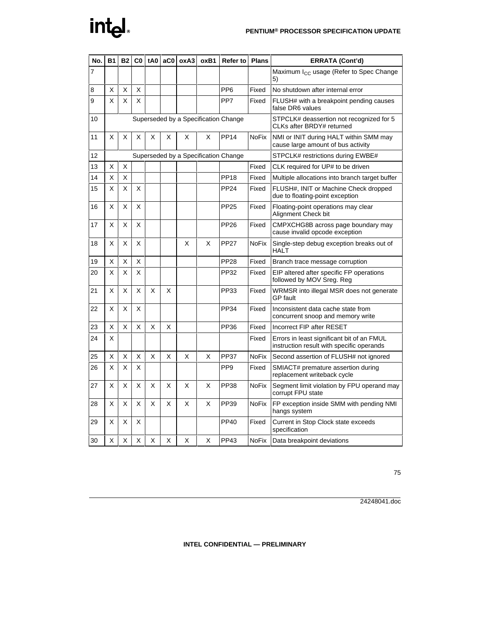| No. | <b>B1</b> | <b>B2</b> | C <sub>0</sub> | tA0 | aC0 | oxA3 | oxB1 | Refer to                             | <b>Plans</b> | <b>ERRATA (Cont'd)</b>                                                                  |  |
|-----|-----------|-----------|----------------|-----|-----|------|------|--------------------------------------|--------------|-----------------------------------------------------------------------------------------|--|
| 7   |           |           |                |     |     |      |      |                                      |              | Maximum $I_{CC}$ usage (Refer to Spec Change<br>5)                                      |  |
| 8   | X         | х         | X              |     |     |      |      | PP <sub>6</sub>                      | Fixed        | No shutdown after internal error                                                        |  |
| 9   | X         | X         | X              |     |     |      |      | PP7                                  | Fixed        | FLUSH# with a breakpoint pending causes<br>false DR6 values                             |  |
| 10  |           |           |                |     |     |      |      | Superseded by a Specification Change |              | STPCLK# deassertion not recognized for 5<br>CLKs after BRDY# returned                   |  |
| 11  | X         | X         | X              | X   | X   | X    | X    | <b>PP14</b>                          | <b>NoFix</b> | NMI or INIT during HALT within SMM may<br>cause large amount of bus activity            |  |
| 12  |           |           |                |     |     |      |      | Superseded by a Specification Change |              | STPCLK# restrictions during EWBE#                                                       |  |
| 13  | x         | X         |                |     |     |      |      |                                      | Fixed        | CLK required for UP# to be driven                                                       |  |
| 14  | X         | X         |                |     |     |      |      | <b>PP18</b>                          | Fixed        | Multiple allocations into branch target buffer                                          |  |
| 15  | X         | X         | X              |     |     |      |      | <b>PP24</b>                          | Fixed        | FLUSH#, INIT or Machine Check dropped<br>due to floating-point exception                |  |
| 16  | Χ         | X         | X              |     |     |      |      | <b>PP25</b>                          | Fixed        | Floating-point operations may clear<br>Alignment Check bit                              |  |
| 17  | X         | X         | X              |     |     |      |      | <b>PP26</b>                          | Fixed        | CMPXCHG8B across page boundary may<br>cause invalid opcode exception                    |  |
| 18  | X         | X         | X              |     |     | X    | X    | <b>PP27</b>                          | <b>NoFix</b> | Single-step debug exception breaks out of<br><b>HALT</b>                                |  |
| 19  | Χ         | Χ         | X              |     |     |      |      | <b>PP28</b>                          | Fixed        | Branch trace message corruption                                                         |  |
| 20  | X         | X         | X              |     |     |      |      | PP32                                 | Fixed        | EIP altered after specific FP operations<br>followed by MOV Sreg. Reg                   |  |
| 21  | X         | X         | X              | X   | X   |      |      | PP33                                 | Fixed        | WRMSR into illegal MSR does not generate<br><b>GP</b> fault                             |  |
| 22  | х         | X         | X              |     |     |      |      | PP34                                 | Fixed        | Inconsistent data cache state from<br>concurrent snoop and memory write                 |  |
| 23  | X         | X         | X              | X   | X   |      |      | PP36                                 | Fixed        | Incorrect FIP after RESET                                                               |  |
| 24  | X         |           |                |     |     |      |      |                                      | Fixed        | Errors in least significant bit of an FMUL<br>instruction result with specific operands |  |
| 25  | X         | X         | X              | X   | X   | X    | X    | PP37                                 | <b>NoFix</b> | Second assertion of FLUSH# not ignored                                                  |  |
| 26  | X         | X         | X              |     |     |      |      | PP <sub>9</sub>                      | Fixed        | SMIACT# premature assertion during<br>replacement writeback cycle                       |  |
| 27  | х         | X         | X              | X   | X   | X    | X    | <b>PP38</b>                          | <b>NoFix</b> | Segment limit violation by FPU operand may<br>corrupt FPU state                         |  |
| 28  | х         | X         | X              | X   | X   | X    | X    | PP39                                 | NoFix        | FP exception inside SMM with pending NMI<br>hangs system                                |  |
| 29  | х         | X         | X              |     |     |      |      | PP40                                 | Fixed        | Current in Stop Clock state exceeds<br>specification                                    |  |
| 30  | X         | X         | X              | X   | X   | X    | X    | PP43                                 | <b>NoFix</b> | Data breakpoint deviations                                                              |  |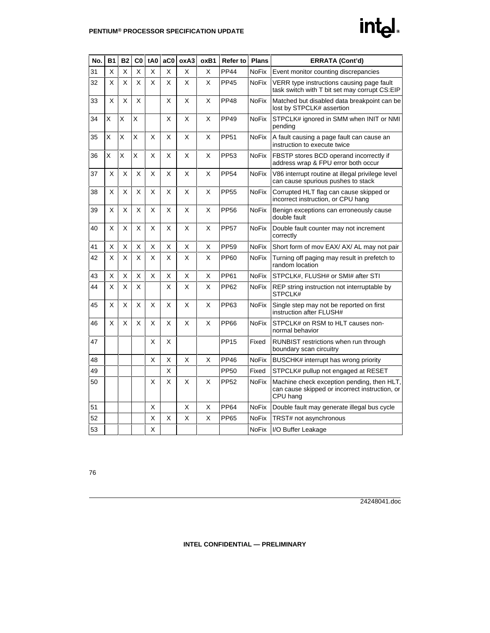| No. | <b>B1</b> | <b>B2</b> | CO | tA0 |   | $ac0$ oxA3 | oxB1 | <b>Refer to</b> | <b>Plans</b> | <b>ERRATA (Cont'd)</b>                                                                                   |  |
|-----|-----------|-----------|----|-----|---|------------|------|-----------------|--------------|----------------------------------------------------------------------------------------------------------|--|
| 31  | X         | X         | X  | X   | X | X          | X    | <b>PP44</b>     | NoFix        | Event monitor counting discrepancies                                                                     |  |
| 32  | X         | X         | X  | X   | X | X          | X    | PP45            | NoFix        | VERR type instructions causing page fault<br>task switch with T bit set may corrupt CS:EIP               |  |
| 33  | X         | X         | X  |     | X | X          | X    | <b>PP48</b>     | <b>NoFix</b> | Matched but disabled data breakpoint can be<br>lost by STPCLK# assertion                                 |  |
| 34  | X         | Χ         | Χ  |     | X | X          | X    | <b>PP49</b>     | <b>NoFix</b> | STPCLK# ignored in SMM when INIT or NMI<br>pending                                                       |  |
| 35  | X         | X         | Χ  | X   | X | X          | X    | <b>PP51</b>     | <b>NoFix</b> | A fault causing a page fault can cause an<br>instruction to execute twice                                |  |
| 36  | X         | X         | Χ  | X   | X | X          | X    | <b>PP53</b>     | NoFix        | FBSTP stores BCD operand incorrectly if<br>address wrap & FPU error both occur                           |  |
| 37  | X         | X         | X  | X   | X | X          | X    | <b>PP54</b>     | <b>NoFix</b> | V86 interrupt routine at illegal privilege level<br>can cause spurious pushes to stack                   |  |
| 38  | X         | X         | X  | X   | X | X          | X    | <b>PP55</b>     | <b>NoFix</b> | Corrupted HLT flag can cause skipped or<br>incorrect instruction, or CPU hang                            |  |
| 39  | X         | X         | X  | X   | X | X          | X    | <b>PP56</b>     | <b>NoFix</b> | Benign exceptions can erroneously cause<br>double fault                                                  |  |
| 40  | X         | X         | X  | X   | X | X          | X    | <b>PP57</b>     | <b>NoFix</b> | Double fault counter may not increment<br>correctly                                                      |  |
| 41  | X         | Χ         | Χ  | X   | X | Χ          | X    | <b>PP59</b>     | <b>NoFix</b> | Short form of mov EAX/ AX/ AL may not pair                                                               |  |
| 42  | X         | X         | X  | X   | X | X          | X    | <b>PP60</b>     | <b>NoFix</b> | Turning off paging may result in prefetch to<br>random location                                          |  |
| 43  | X         | X         | X  | X   | X | Χ          | X    | <b>PP61</b>     | <b>NoFix</b> | STPCLK#, FLUSH# or SMI# after STI                                                                        |  |
| 44  | X         | X         | X  |     | X | X          | X    | <b>PP62</b>     | NoFix        | REP string instruction not interruptable by<br>STPCLK#                                                   |  |
| 45  | X         | X         | X  | X   | X | X          | X    | PP63            | <b>NoFix</b> | Single step may not be reported on first<br>instruction after FLUSH#                                     |  |
| 46  | X         | X         | X  | X   | X | X          | X    | PP66            | <b>NoFix</b> | STPCLK# on RSM to HLT causes non-<br>normal behavior                                                     |  |
| 47  |           |           |    | X   | X |            |      | <b>PP15</b>     | Fixed        | RUNBIST restrictions when run through<br>boundary scan circuitry                                         |  |
| 48  |           |           |    | X   | X | X          | X    | <b>PP46</b>     | <b>NoFix</b> | BUSCHK# interrupt has wrong priority                                                                     |  |
| 49  |           |           |    |     | X |            |      | <b>PP50</b>     | Fixed        | STPCLK# pullup not engaged at RESET                                                                      |  |
| 50  |           |           |    | X   | X | X          | X    | <b>PP52</b>     | <b>NoFix</b> | Machine check exception pending, then HLT,<br>can cause skipped or incorrect instruction, or<br>CPU hang |  |
| 51  |           |           |    | X   |   | X          | X    | <b>PP64</b>     | <b>NoFix</b> | Double fault may generate illegal bus cycle                                                              |  |
| 52  |           |           |    | X   | X | X          | X    | <b>PP65</b>     | NoFix        | TRST# not asynchronous                                                                                   |  |
| 53  |           |           |    | X   |   |            |      |                 | <b>NoFix</b> | I/O Buffer Leakage                                                                                       |  |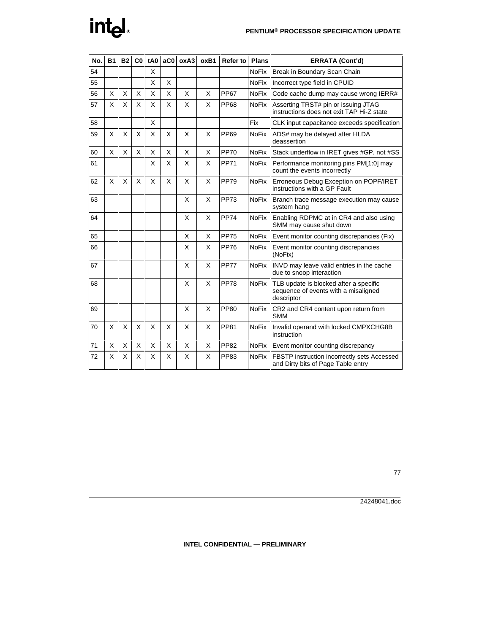| No. | <b>B1</b> | <b>B2</b> | C <sub>0</sub> | tA0 | ac <sub>0</sub> | oxA3 | oxB1 | Refer to    | <b>Plans</b> | <b>ERRATA (Cont'd)</b>                                                                       |
|-----|-----------|-----------|----------------|-----|-----------------|------|------|-------------|--------------|----------------------------------------------------------------------------------------------|
| 54  |           |           |                | X   |                 |      |      |             | <b>NoFix</b> | Break in Boundary Scan Chain                                                                 |
| 55  |           |           |                | X   | X               |      |      |             | <b>NoFix</b> | Incorrect type field in CPUID                                                                |
| 56  | X         | X         | X              | X   | X               | X    | X    | <b>PP67</b> | <b>NoFix</b> | Code cache dump may cause wrong IERR#                                                        |
| 57  | X         | X         | X              | X   | X               | X    | X    | <b>PP68</b> | <b>NoFix</b> | Asserting TRST# pin or issuing JTAG<br>instructions does not exit TAP Hi-Z state             |
| 58  |           |           |                | X   |                 |      |      |             | Fix          | CLK input capacitance exceeds specification                                                  |
| 59  | X         | X         | X              | X   | X               | X    | X    | <b>PP69</b> | <b>NoFix</b> | ADS# may be delayed after HLDA<br>deassertion                                                |
| 60  | X         | X         | X              | X   | X               | X    | X    | <b>PP70</b> | <b>NoFix</b> | Stack underflow in IRET gives #GP, not #SS                                                   |
| 61  |           |           |                | X   | X               | X    | X    | <b>PP71</b> | <b>NoFix</b> | Performance monitoring pins PM[1:0] may<br>count the events incorrectly                      |
| 62  | X         | X         | X              | X   | X               | X    | X    | <b>PP79</b> | <b>NoFix</b> | Erroneous Debug Exception on POPF/IRET<br>instructions with a GP Fault                       |
| 63  |           |           |                |     |                 | X    | X    | <b>PP73</b> | <b>NoFix</b> | Branch trace message execution may cause<br>system hang                                      |
| 64  |           |           |                |     |                 | X    | X    | <b>PP74</b> | NoFix        | Enabling RDPMC at in CR4 and also using<br>SMM may cause shut down                           |
| 65  |           |           |                |     |                 | X    | X    | <b>PP75</b> | <b>NoFix</b> | Event monitor counting discrepancies (Fix)                                                   |
| 66  |           |           |                |     |                 | X    | X    | <b>PP76</b> | <b>NoFix</b> | Event monitor counting discrepancies<br>(NoFix)                                              |
| 67  |           |           |                |     |                 | X    | X    | <b>PP77</b> | <b>NoFix</b> | INVD may leave valid entries in the cache<br>due to snoop interaction                        |
| 68  |           |           |                |     |                 | X    | X    | <b>PP78</b> | <b>NoFix</b> | TLB update is blocked after a specific<br>sequence of events with a misaligned<br>descriptor |
| 69  |           |           |                |     |                 | X    | X    | <b>PP80</b> | <b>NoFix</b> | CR2 and CR4 content upon return from<br><b>SMM</b>                                           |
| 70  | X         | X         | X              | X   | X               | X    | X    | <b>PP81</b> | <b>NoFix</b> | Invalid operand with locked CMPXCHG8B<br>instruction                                         |
| 71  | X         | X         | X              | X   | X               | X    | X    | <b>PP82</b> | <b>NoFix</b> | Event monitor counting discrepancy                                                           |
| 72  | X         | X         | X              | X   | X               | X    | X    | PP83        | <b>NoFix</b> | FBSTP instruction incorrectly sets Accessed<br>and Dirty bits of Page Table entry            |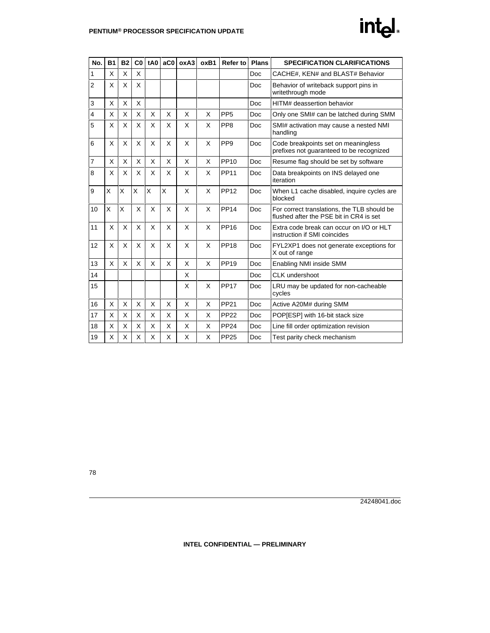| No.            | <b>B1</b> | <b>B2</b> | C <sub>0</sub> | tA0 | aC0 | oxA3 | oxB1 | Refer to         | <b>Plans</b> | <b>SPECIFICATION CLARIFICATIONS</b>                                                    |
|----------------|-----------|-----------|----------------|-----|-----|------|------|------------------|--------------|----------------------------------------------------------------------------------------|
| 1              | X         | X         | X              |     |     |      |      |                  | <b>Doc</b>   | CACHE#, KEN# and BLAST# Behavior                                                       |
| $\overline{c}$ | X         | X         | X              |     |     |      |      |                  | <b>Doc</b>   | Behavior of writeback support pins in<br>writethrough mode                             |
| 3              | X         | X         | X              |     |     |      |      |                  | <b>Doc</b>   | HITM# deassertion behavior                                                             |
| 4              | X         | X         | X              | X   | X   | X    | X    | PP <sub>5</sub>  | <b>Doc</b>   | Only one SMI# can be latched during SMM                                                |
| 5              | X         | X         | X              | X   | X   | X    | X    | PP <sub>8</sub>  | <b>Doc</b>   | SMI# activation may cause a nested NMI<br>handling                                     |
| 6              | X         | X         | X              | X   | X   | X    | X    | PP <sub>9</sub>  | <b>Doc</b>   | Code breakpoints set on meaningless<br>prefixes not guaranteed to be recognized        |
| $\overline{7}$ | X         | X         | X              | X   | X   | X    | X    | PP <sub>10</sub> | <b>Doc</b>   | Resume flag should be set by software                                                  |
| 8              | X         | X         | X              | X   | X   | X    | X    | <b>PP11</b>      | <b>Doc</b>   | Data breakpoints on INS delayed one<br>iteration                                       |
| 9              | $\times$  | X         | X              | X   | X   | X    | X    | <b>PP12</b>      | <b>Doc</b>   | When L1 cache disabled, inquire cycles are<br>blocked                                  |
| 10             | X         | Χ         | X              | X   | X   | X    | X    | <b>PP14</b>      | <b>Doc</b>   | For correct translations, the TLB should be<br>flushed after the PSE bit in CR4 is set |
| 11             | X         | X         | X              | X   | X   | X    | X    | PP <sub>16</sub> | <b>Doc</b>   | Extra code break can occur on I/O or HLT<br>instruction if SMI coincides               |
| 12             | X         | X         | X              | X   | X   | X    | X    | <b>PP18</b>      | <b>Doc</b>   | FYL2XP1 does not generate exceptions for<br>X out of range                             |
| 13             | X         | X         | X              | X   | X   | X    | X    | <b>PP19</b>      | <b>Doc</b>   | Enabling NMI inside SMM                                                                |
| 14             |           |           |                |     |     | X    |      |                  | <b>Doc</b>   | CLK undershoot                                                                         |
| 15             |           |           |                |     |     | X    | X    | <b>PP17</b>      | Doc          | LRU may be updated for non-cacheable<br>cycles                                         |
| 16             | X         | X         | X              | X   | X   | X    | X    | <b>PP21</b>      | <b>Doc</b>   | Active A20M# during SMM                                                                |
| 17             | X         | X         | X              | X   | X   | X    | X    | <b>PP22</b>      | <b>Doc</b>   | POP[ESP] with 16-bit stack size                                                        |
| 18             | X         | X         | X              | X   | X   | X    | X    | <b>PP24</b>      | Doc          | Line fill order optimization revision                                                  |
| 19             | X         | X         | X              | X   | X   | X    | X    | <b>PP25</b>      | <b>Doc</b>   | Test parity check mechanism                                                            |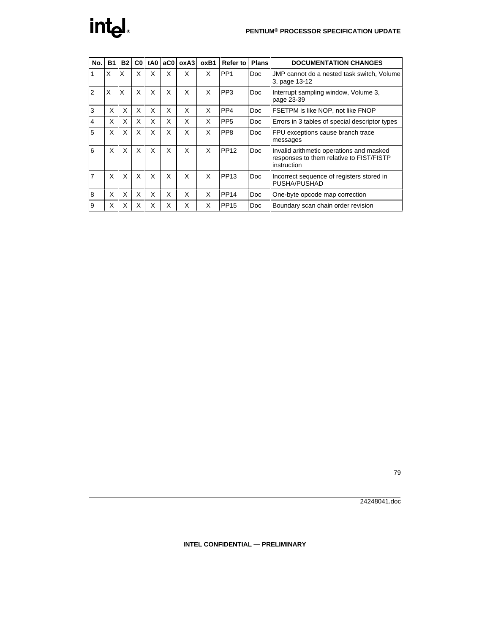| No. | <b>B1</b> | <b>B2</b> | C <sub>0</sub> | tA0 | ac0 | oxA3 | ox <sub>B1</sub> | Refer to         | <b>Plans</b> | <b>DOCUMENTATION CHANGES</b>                                                                        |
|-----|-----------|-----------|----------------|-----|-----|------|------------------|------------------|--------------|-----------------------------------------------------------------------------------------------------|
| 1   | X         | X         | X              | X   | X   | X    | X                | PP <sub>1</sub>  | Doc          | JMP cannot do a nested task switch, Volume<br>3, page 13-12                                         |
| 2   | X         | X         | X              | X   | X   | X    | X                | PP <sub>3</sub>  | Doc          | Interrupt sampling window, Volume 3,<br>page 23-39                                                  |
| 3   | X         | X         | X              | X   | X   | X    | X                | PP <sub>4</sub>  | Doc          | FSETPM is like NOP, not like FNOP                                                                   |
| 4   | X         | X         | X              | X   | X   | X    | X                | PP <sub>5</sub>  | Doc.         | Errors in 3 tables of special descriptor types                                                      |
| 5   | X         | X         | X              | X   | X   | X    | X                | PP <sub>8</sub>  | Doc          | FPU exceptions cause branch trace<br>messages                                                       |
| 6   | X         | X         | X              | X   | X   | X    | X                | PP <sub>12</sub> | Doc          | Invalid arithmetic operations and masked<br>responses to them relative to FIST/FISTP<br>instruction |
| 7   | X         | X         | X              | X   | X   | X    | X                | PP <sub>13</sub> | Doc          | Incorrect sequence of registers stored in<br>PUSHA/PUSHAD                                           |
| 8   | X         | X         | X              | X   | X   | X    | X                | <b>PP14</b>      | Doc.         | One-byte opcode map correction                                                                      |
| 9   | X         | X         | X              | X   | X   | X    | X                | <b>PP15</b>      | Doc          | Boundary scan chain order revision                                                                  |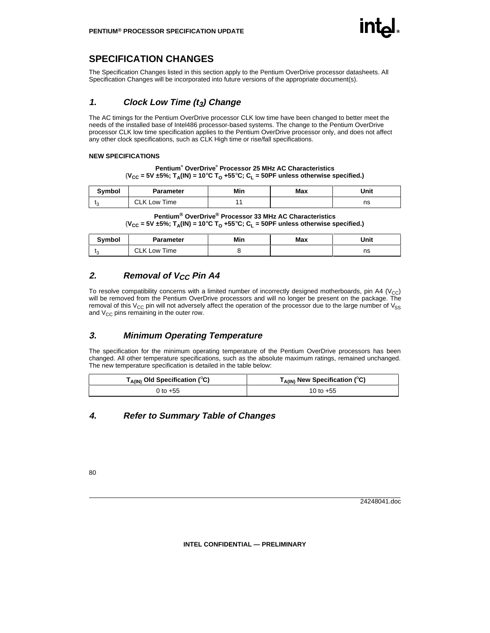## **SPECIFICATION CHANGES**

The Specification Changes listed in this section apply to the Pentium OverDrive processor datasheets. All Specification Changes will be incorporated into future versions of the appropriate document(s).

## **1. Clock Low Time (t3) Change**

The AC timings for the Pentium OverDrive processor CLK low time have been changed to better meet the needs of the installed base of Intel486 processor-based systems. The change to the Pentium OverDrive processor CLK low time specification applies to the Pentium OverDrive processor only, and does not affect any other clock specifications, such as CLK High time or rise/fall specifications.

#### **NEW SPECIFICATIONS**

#### **Pentium® OverDrive® Processor 25 MHz AC Characteristics**  $(V_{CC} = 5V \pm 5\%$ ;  $T_A(IN) = 10^{\circ}C$  T<sub>O</sub> +55 $^{\circ}C$ ; C<sub>I</sub> = 50PF unless otherwise specified.)

| <b>Symbol</b> | Parameter                                | Min | Max | Unit |
|---------------|------------------------------------------|-----|-----|------|
|               | $\bigcap$ $\bigcup$<br>. Low Time<br>◡∟៶ |     |     | ns   |

#### **Pentium® OverDrive® Processor 33 MHz AC Characteristics**  $(V_{CC} = 5V \pm 5\%; T_A(IN) = 10°C T_O + 55°C; C_L = 50PF$  unless otherwise specified.)

| <b>Symbol</b> | Parameter                 | Min | Max | Unit |
|---------------|---------------------------|-----|-----|------|
|               | CI K I<br>Low Time<br>◡∟∩ |     |     | ns   |

## **2. Removal of V<sub>CC</sub> Pin A4**

To resolve compatibility concerns with a limited number of incorrectly designed motherboards, pin A4 ( $V_{CC}$ ) will be removed from the Pentium OverDrive processors and will no longer be present on the package. The removal of this  $V_{\text{CC}}$  pin will not adversely affect the operation of the processor due to the large number of  $V_{SS}$ and  $V_{CC}$  pins remaining in the outer row.

## **3. Minimum Operating Temperature**

The specification for the minimum operating temperature of the Pentium OverDrive processors has been changed. All other temperature specifications, such as the absolute maximum ratings, remained unchanged. The new temperature specification is detailed in the table below:

| ${\sf T}_{\sf A(IN)}$ Old Specification (°C). | ${\sf T}_{\sf A(IN)}$ New Specification (°C). |  |
|-----------------------------------------------|-----------------------------------------------|--|
| 0 to $+55$                                    | 10 to $+55$                                   |  |

## **4. Refer to Summary Table of Changes**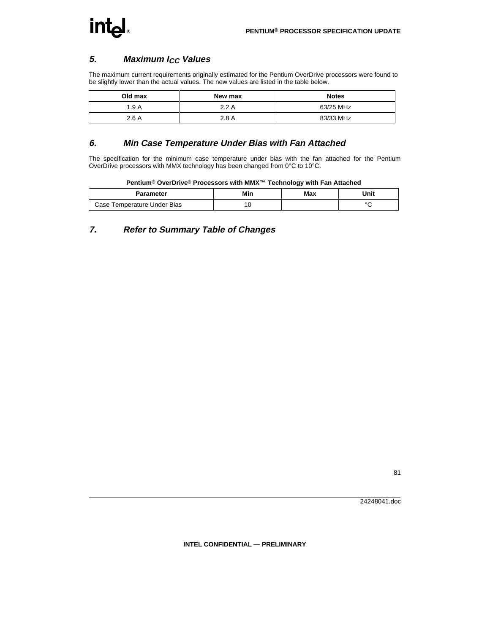## **5. Maximum ICC Values**

The maximum current requirements originally estimated for the Pentium OverDrive processors were found to be slightly lower than the actual values. The new values are listed in the table below.

| Old max | New max | <b>Notes</b> |
|---------|---------|--------------|
| 1.9A    | 2.2 A   | 63/25 MHz    |
| 2.6A    | 2.8A    | 83/33 MHz    |

## **6. Min Case Temperature Under Bias with Fan Attached**

The specification for the minimum case temperature under bias with the fan attached for the Pentium OverDrive processors with MMX technology has been changed from 0°C to 10°C.

#### **Pentium® OverDrive® Processors with MMX™ Technology with Fan Attached**

| Parameter                   | Min | Max | Unit   |
|-----------------------------|-----|-----|--------|
| Case Temperature Under Bias | ٠υ  |     | $\sim$ |

## **7. Refer to Summary Table of Changes**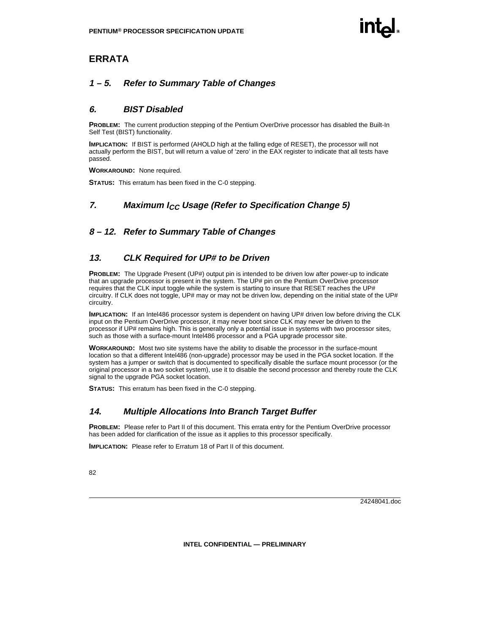## **ERRATA**

## **1 – 5. Refer to Summary Table of Changes**

### **6. BIST Disabled**

**PROBLEM:** The current production stepping of the Pentium OverDrive processor has disabled the Built-In Self Test (BIST) functionality.

**IMPLICATION:** If BIST is performed (AHOLD high at the falling edge of RESET), the processor will not actually perform the BIST, but will return a value of 'zero' in the EAX register to indicate that all tests have passed.

**WORKAROUND:** None required.

**STATUS:** This erratum has been fixed in the C-0 stepping.

## **7. Maximum ICC Usage (Refer to Specification Change 5)**

## **8 – 12. Refer to Summary Table of Changes**

### **13. CLK Required for UP# to be Driven**

**PROBLEM:** The Upgrade Present (UP#) output pin is intended to be driven low after power-up to indicate that an upgrade processor is present in the system. The UP# pin on the Pentium OverDrive processor requires that the CLK input toggle while the system is starting to insure that RESET reaches the UP# circuitry. If CLK does not toggle, UP# may or may not be driven low, depending on the initial state of the UP# circuitry.

**IMPLICATION:** If an Intel486 processor system is dependent on having UP# driven low before driving the CLK input on the Pentium OverDrive processor, it may never boot since CLK may never be driven to the processor if UP# remains high. This is generally only a potential issue in systems with two processor sites, such as those with a surface-mount Intel486 processor and a PGA upgrade processor site.

**WORKAROUND:** Most two site systems have the ability to disable the processor in the surface-mount location so that a different Intel486 (non-upgrade) processor may be used in the PGA socket location. If the system has a jumper or switch that is documented to specifically disable the surface mount processor (or the original processor in a two socket system), use it to disable the second processor and thereby route the CLK signal to the upgrade PGA socket location.

**STATUS:** This erratum has been fixed in the C-0 stepping.

## **14. Multiple Allocations Into Branch Target Buffer**

**PROBLEM:** Please refer to Part II of this document. This errata entry for the Pentium OverDrive processor has been added for clarification of the issue as it applies to this processor specifically.

**IMPLICATION:** Please refer to Erratum 18 of Part II of this document.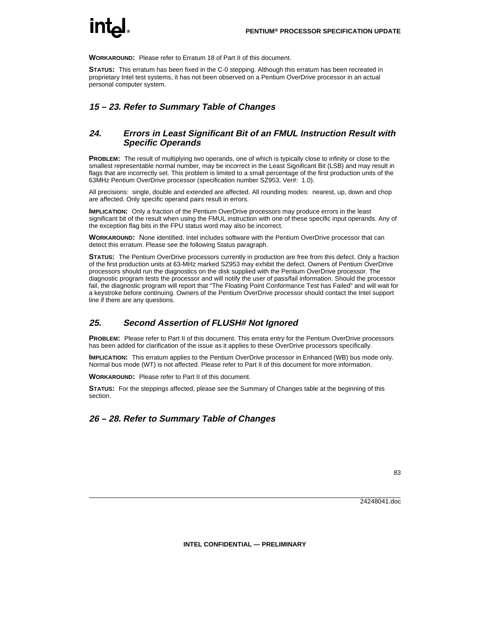# **inte**

**WORKAROUND:** Please refer to Erratum 18 of Part II of this document.

**STATUS:** This erratum has been fixed in the C-0 stepping. Although this erratum has been recreated in proprietary Intel test systems, it has not been observed on a Pentium OverDrive processor in an actual personal computer system.

## **15 – 23. Refer to Summary Table of Changes**

### **24. Errors in Least Significant Bit of an FMUL Instruction Result with Specific Operands**

**PROBLEM:** The result of multiplying two operands, one of which is typically close to infinity or close to the smallest representable normal number, may be incorrect in the Least Significant Bit (LSB) and may result in flags that are incorrectly set. This problem is limited to a small percentage of the first production units of the 63MHz Pentium OverDrive processor (specification number SZ953, Ver#: 1.0).

All precisions: single, double and extended are affected. All rounding modes: nearest, up, down and chop are affected. Only specific operand pairs result in errors.

**IMPLICATION:** Only a fraction of the Pentium OverDrive processors may produce errors in the least significant bit of the result when using the FMUL instruction with one of these specific input operands. Any of the exception flag bits in the FPU status word may also be incorrect.

**WORKAROUND:** None identified. Intel includes software with the Pentium OverDrive processor that can detect this erratum. Please see the following Status paragraph.

**STATUS:** The Pentium OverDrive processors currently in production are free from this defect. Only a fraction of the first production units at 63-MHz marked SZ953 may exhibit the defect. Owners of Pentium OverDrive processors should run the diagnostics on the disk supplied with the Pentium OverDrive processor. The diagnostic program tests the processor and will notify the user of pass/fail information. Should the processor fail, the diagnostic program will report that "The Floating Point Conformance Test has Failed" and will wait for a keystroke before continuing. Owners of the Pentium OverDrive processor should contact the Intel support line if there are any questions.

## **25. Second Assertion of FLUSH# Not Ignored**

**PROBLEM:** Please refer to Part II of this document. This errata entry for the Pentium OverDrive processors has been added for clarification of the issue as it applies to these OverDrive processors specifically.

**IMPLICATION:** This erratum applies to the Pentium OverDrive processor in Enhanced (WB) bus mode only. Normal bus mode (WT) is not affected. Please refer to Part II of this document for more information.

**WORKAROUND:** Please refer to Part II of this document.

**STATUS:** For the steppings affected, please see the Summary of Changes table at the beginning of this section.

## **26 – 28. Refer to Summary Table of Changes**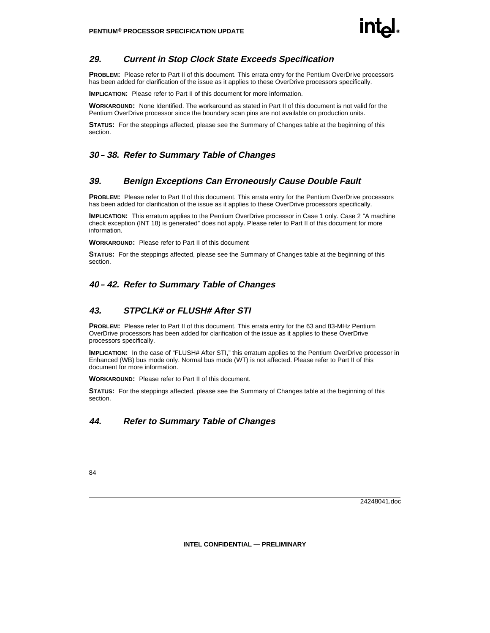

## **29. Current in Stop Clock State Exceeds Specification**

**PROBLEM:** Please refer to Part II of this document. This errata entry for the Pentium OverDrive processors has been added for clarification of the issue as it applies to these OverDrive processors specifically.

**IMPLICATION:** Please refer to Part II of this document for more information.

**WORKAROUND:** None Identified. The workaround as stated in Part II of this document is not valid for the Pentium OverDrive processor since the boundary scan pins are not available on production units.

**STATUS:** For the steppings affected, please see the Summary of Changes table at the beginning of this section.

## **30** *–* **38. Refer to Summary Table of Changes**

### **39. Benign Exceptions Can Erroneously Cause Double Fault**

**PROBLEM:** Please refer to Part II of this document. This errata entry for the Pentium OverDrive processors has been added for clarification of the issue as it applies to these OverDrive processors specifically.

**IMPLICATION:** This erratum applies to the Pentium OverDrive processor in Case 1 only. Case 2 "A machine check exception (INT 18) is generated" does not apply. Please refer to Part II of this document for more information.

**WORKAROUND:** Please refer to Part II of this document

**STATUS:** For the steppings affected, please see the Summary of Changes table at the beginning of this section.

## **40** *–* **42. Refer to Summary Table of Changes**

### **43. STPCLK# or FLUSH# After STI**

**PROBLEM:** Please refer to Part II of this document. This errata entry for the 63 and 83-MHz Pentium OverDrive processors has been added for clarification of the issue as it applies to these OverDrive processors specifically.

**IMPLICATION:** In the case of "FLUSH# After STI," this erratum applies to the Pentium OverDrive processor in Enhanced (WB) bus mode only. Normal bus mode (WT) is not affected. Please refer to Part II of this document for more information.

**WORKAROUND:** Please refer to Part II of this document.

**STATUS:** For the steppings affected, please see the Summary of Changes table at the beginning of this section.

## **44. Refer to Summary Table of Changes**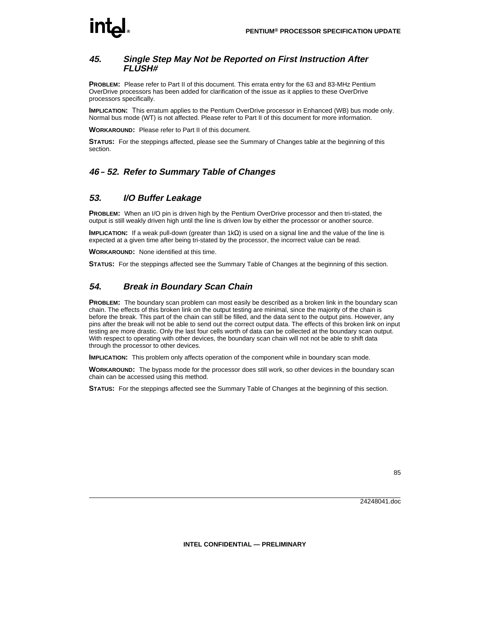

### **45. Single Step May Not be Reported on First Instruction After FLUSH#**

**PROBLEM:** Please refer to Part II of this document. This errata entry for the 63 and 83-MHz Pentium OverDrive processors has been added for clarification of the issue as it applies to these OverDrive processors specifically.

**IMPLICATION:** This erratum applies to the Pentium OverDrive processor in Enhanced (WB) bus mode only. Normal bus mode (WT) is not affected. Please refer to Part II of this document for more information.

**WORKAROUND:** Please refer to Part II of this document.

**STATUS:** For the steppings affected, please see the Summary of Changes table at the beginning of this section.

## **46** *–* **52. Refer to Summary Table of Changes**

### **53. I/O Buffer Leakage**

**PROBLEM:** When an I/O pin is driven high by the Pentium OverDrive processor and then tri-stated, the output is still weakly driven high until the line is driven low by either the processor or another source.

**IMPLICATION:** If a weak pull-down (greater than 1kΩ) is used on a signal line and the value of the line is expected at a given time after being tri-stated by the processor, the incorrect value can be read.

**WORKAROUND:** None identified at this time.

**STATUS:** For the steppings affected see the Summary Table of Changes at the beginning of this section.

## **54. Break in Boundary Scan Chain**

**PROBLEM:** The boundary scan problem can most easily be described as a broken link in the boundary scan chain. The effects of this broken link on the output testing are minimal, since the majority of the chain is before the break. This part of the chain can still be filled, and the data sent to the output pins. However, any pins after the break will not be able to send out the correct output data. The effects of this broken link on input testing are more drastic. Only the last four cells worth of data can be collected at the boundary scan output. With respect to operating with other devices, the boundary scan chain will not not be able to shift data through the processor to other devices.

**IMPLICATION:** This problem only affects operation of the component while in boundary scan mode.

**WORKAROUND:** The bypass mode for the processor does still work, so other devices in the boundary scan chain can be accessed using this method.

**STATUS:** For the steppings affected see the Summary Table of Changes at the beginning of this section.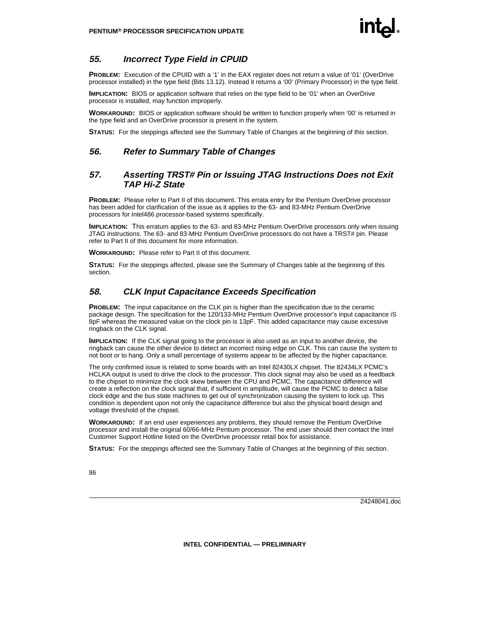## **55. Incorrect Type Field in CPUID**

**PROBLEM:** Execution of the CPUID with a '1' in the EAX register does not return a value of '01' (OverDrive processor installed) in the type field (Bits 13.12). Instead it returns a '00' (Primary Processor) in the type field.

**IMPLICATION:** BIOS or application software that relies on the type field to be '01' when an OverDrive processor is installed, may function improperly.

**WORKAROUND:** BIOS or application software should be written to function properly when '00' is returned in the type field and an OverDrive processor is present in the system.

**STATUS:** For the steppings affected see the Summary Table of Changes at the beginning of this section.

### **56. Refer to Summary Table of Changes**

### **57. Asserting TRST# Pin or Issuing JTAG Instructions Does not Exit TAP Hi-Z State**

**PROBLEM:** Please refer to Part II of this document. This errata entry for the Pentium OverDrive processor has been added for clarification of the issue as it applies to the 63- and 83-MHz Pentium OverDrive processors for Intel486 processor-based systems specifically.

**IMPLICATION:** This erratum applies to the 63- and 83-MHz Pentium OverDrive processors only when issuing JTAG instructions. The 63- and 83-MHz Pentium OverDrive processors do not have a TRST# pin. Please refer to Part II of this document for more information.

**WORKAROUND:** Please refer to Part II of this document.

**STATUS:** For the steppings affected, please see the Summary of Changes table at the beginning of this section.

### **58. CLK Input Capacitance Exceeds Specification**

**PROBLEM:** The input capacitance on the CLK pin is higher than the specification due to the ceramic package design. The specification for the 120/133-MHz Pentium OverDrive processor's input capacitance iS 8pF whereas the measured value on the clock pin is 13pF. This added capacitance may cause excessive ringback on the CLK signal.

**IMPLICATION:** If the CLK signal going to the processor is also used as an input to another device, the ringback can cause the other device to detect an incorrect rising edge on CLK. This can cause the system to not boot or to hang. Only a small percentage of systems appear to be affected by the higher capacitance.

The only confirmed issue is related to some boards with an Intel 82430LX chipset. The 82434LX PCMC's HCLKA output is used to drive the clock to the processor. This clock signal may also be used as a feedback to the chipset to minimize the clock skew between the CPU and PCMC. The capacitance difference will create a reflection on the clock signal that, if sufficient in amplitude, will cause the PCMC to detect a false clock edge and the bus state machines to get out of synchronization causing the system to lock up. This condition is dependent upon not only the capacitance difference but also the physical board design and voltage threshold of the chipset.

**WORKAROUND:** If an end user experiences any problems, they should remove the Pentium OverDrive processor and install the original 60/66-MHz Pentium processor. The end user should then contact the Intel Customer Support Hotline listed on the OverDrive processor retail box for assistance.

**STATUS:** For the steppings affected see the Summary Table of Changes at the beginning of this section.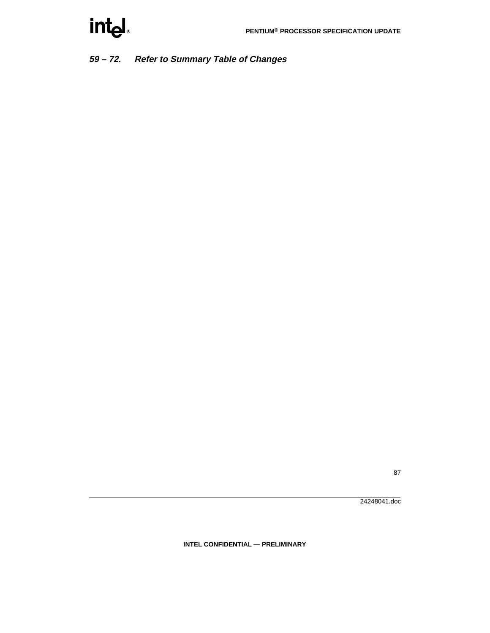## **59 – 72. Refer to Summary Table of Changes**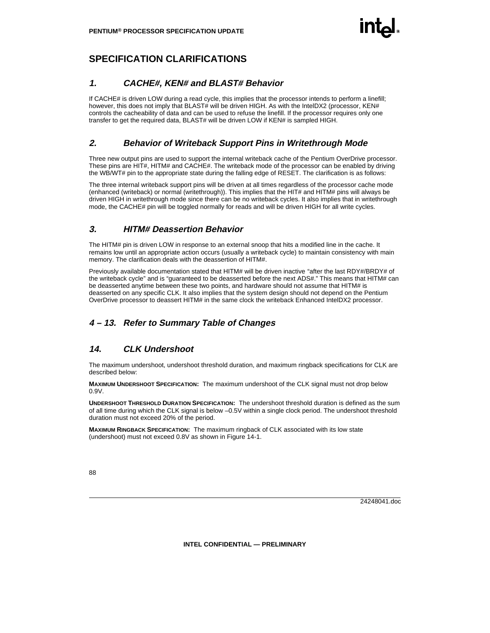## **SPECIFICATION CLARIFICATIONS**

## **1. CACHE#, KEN# and BLAST# Behavior**

If CACHE# is driven LOW during a read cycle, this implies that the processor intends to perform a linefill; however, this does not imply that BLAST# will be driven HIGH. As with the IntelDX2 (processor, KEN# controls the cacheability of data and can be used to refuse the linefill. If the processor requires only one transfer to get the required data, BLAST# will be driven LOW if KEN# is sampled HIGH.

## **2. Behavior of Writeback Support Pins in Writethrough Mode**

Three new output pins are used to support the internal writeback cache of the Pentium OverDrive processor. These pins are HIT#, HITM# and CACHE#. The writeback mode of the processor can be enabled by driving the WB/WT# pin to the appropriate state during the falling edge of RESET. The clarification is as follows:

The three internal writeback support pins will be driven at all times regardless of the processor cache mode (enhanced (writeback) or normal (writethrough)). This implies that the HIT# and HITM# pins will always be driven HIGH in writethrough mode since there can be no writeback cycles. It also implies that in writethrough mode, the CACHE# pin will be toggled normally for reads and will be driven HIGH for all write cycles.

## **3. HITM# Deassertion Behavior**

The HITM# pin is driven LOW in response to an external snoop that hits a modified line in the cache. It remains low until an appropriate action occurs (usually a writeback cycle) to maintain consistency with main memory. The clarification deals with the deassertion of HITM#.

Previously available documentation stated that HITM# will be driven inactive "after the last RDY#/BRDY# of the writeback cycle" and is "guaranteed to be deasserted before the next ADS#." This means that HITM# can be deasserted anytime between these two points, and hardware should not assume that HITM# is deasserted on any specific CLK. It also implies that the system design should not depend on the Pentium OverDrive processor to deassert HITM# in the same clock the writeback Enhanced IntelDX2 processor.

## **4 – 13. Refer to Summary Table of Changes**

## **14. CLK Undershoot**

The maximum undershoot, undershoot threshold duration, and maximum ringback specifications for CLK are described below:

**MAXIMUM UNDERSHOOT SPECIFICATION:** The maximum undershoot of the CLK signal must not drop below 0.9V.

**UNDERSHOOT THRESHOLD DURATION SPECIFICATION:** The undershoot threshold duration is defined as the sum of all time during which the CLK signal is below –0.5V within a single clock period. The undershoot threshold duration must not exceed 20% of the period.

**MAXIMUM RINGBACK SPECIFICATION:** The maximum ringback of CLK associated with its low state (undershoot) must not exceed 0.8V as shown in Figure 14-1.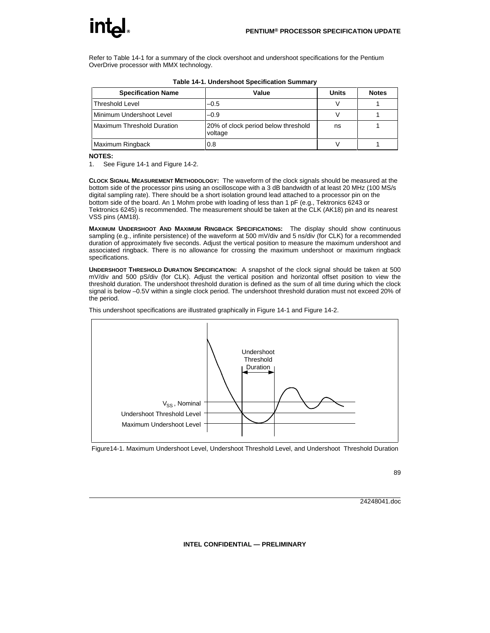# int

Refer to Table 14-1 for a summary of the clock overshoot and undershoot specifications for the Pentium OverDrive processor with MMX technology.

| <b>Specification Name</b>  | Value                                          | <b>Units</b> | <b>Notes</b> |
|----------------------------|------------------------------------------------|--------------|--------------|
| <b>Threshold Level</b>     | $-0.5$                                         |              |              |
| l Minimum Undershoot Level | $-0.9$                                         |              |              |
| Maximum Threshold Duration | 20% of clock period below threshold<br>voltage | ns           |              |
| Maximum Ringback           | 0.8                                            |              |              |

|  | Table 14-1. Undershoot Specification Summary |  |
|--|----------------------------------------------|--|
|  |                                              |  |

#### **NOTES:**

1. See Figure 14-1 and Figure 14-2.

**CLOCK SIGNAL MEASUREMENT METHODOLOGY:** The waveform of the clock signals should be measured at the bottom side of the processor pins using an oscilloscope with a 3 dB bandwidth of at least 20 MHz (100 MS/s digital sampling rate). There should be a short isolation ground lead attached to a processor pin on the bottom side of the board. An 1 Mohm probe with loading of less than 1 pF (e.g., Tektronics 6243 or Tektronics 6245) is recommended. The measurement should be taken at the CLK (AK18) pin and its nearest VSS pins (AM18).

**MAXIMUM UNDERSHOOT AND MAXIMUM RINGBACK SPECIFICATIONS:** The display should show continuous sampling (e.g., infinite persistence) of the waveform at 500 mV/div and 5 ns/div (for CLK) for a recommended duration of approximately five seconds. Adjust the vertical position to measure the maximum undershoot and associated ringback. There is no allowance for crossing the maximum undershoot or maximum ringback specifications.

**UNDERSHOOT THRESHOLD DURATION SPECIFICATION:** A snapshot of the clock signal should be taken at 500 mV/div and 500 pS/div (for CLK). Adjust the vertical position and horizontal offset position to view the threshold duration. The undershoot threshold duration is defined as the sum of all time during which the clock signal is below –0.5V within a single clock period. The undershoot threshold duration must not exceed 20% of the period.

This undershoot specifications are illustrated graphically in Figure 14-1 and Figure 14-2.



Figure14-1. Maximum Undershoot Level, Undershoot Threshold Level, and Undershoot Threshold Duration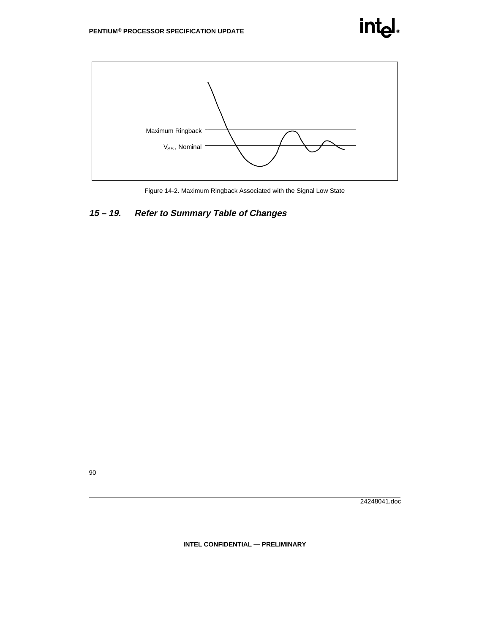



Figure 14-2. Maximum Ringback Associated with the Signal Low State

## **15 – 19. Refer to Summary Table of Changes**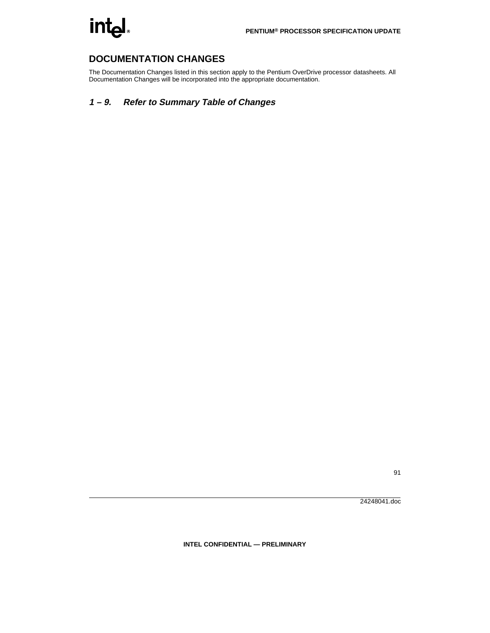## **DOCUMENTATION CHANGES**

The Documentation Changes listed in this section apply to the Pentium OverDrive processor datasheets. All Documentation Changes will be incorporated into the appropriate documentation.

## **1 – 9. Refer to Summary Table of Changes**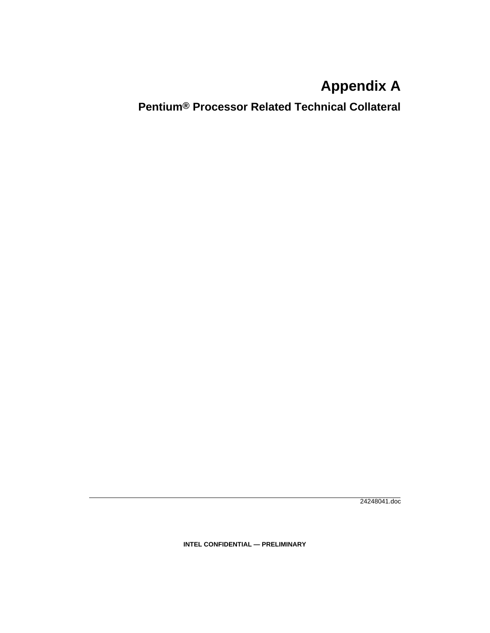## **Appendix A**

## **Pentium® Processor Related Technical Collateral**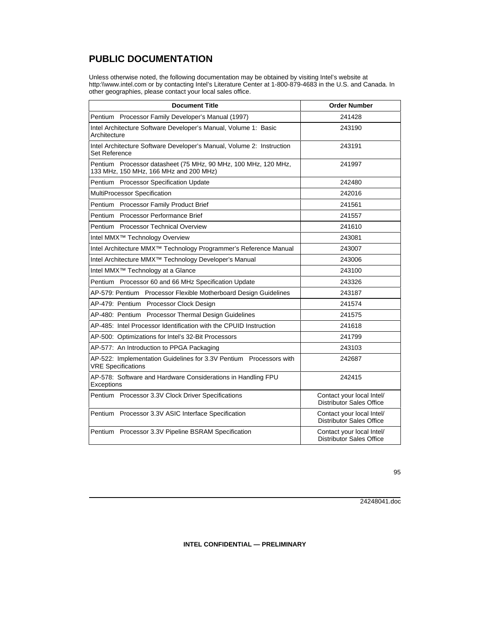## **PUBLIC DOCUMENTATION**

Unless otherwise noted, the following documentation may be obtained by visiting Intel's website at http:\\www.intel.com or by contacting Intel's Literature Center at 1-800-879-4683 in the U.S. and Canada. In other geographies, please contact your local sales office.

| <b>Document Title</b>                                                                                                 | <b>Order Number</b>                                          |
|-----------------------------------------------------------------------------------------------------------------------|--------------------------------------------------------------|
| Pentium <sup>®</sup> Processor Family Developer's Manual (1997)                                                       | 241428                                                       |
| Intel Architecture Software Developer's Manual, Volume 1: Basic<br>Architecture                                       | 243190                                                       |
| Intel Architecture Software Developer's Manual, Volume 2: Instruction<br>Set Reference                                | 243191                                                       |
| Pentium <sup>®</sup> Processor datasheet (75 MHz, 90 MHz, 100 MHz, 120 MHz,<br>133 MHz, 150 MHz, 166 MHz and 200 MHz) | 241997                                                       |
| Pentium <sup>®</sup> Processor Specification Update                                                                   | 242480                                                       |
| MultiProcessor Specification                                                                                          | 242016                                                       |
| Pentium <sup>®</sup> Processor Family Product Brief                                                                   | 241561                                                       |
| Pentium <sup>®</sup> Processor Performance Brief                                                                      | 241557                                                       |
| Pentium <sup>®</sup> Processor Technical Overview                                                                     | 241610                                                       |
| Intel MMX <sup>™</sup> Technology Overview                                                                            | 243081                                                       |
| Intel Architecture MMX <sup>™</sup> Technology Programmer's Reference Manual                                          | 243007                                                       |
| Intel Architecture MMX <sup>™</sup> Technology Developer's Manual                                                     | 243006                                                       |
| Intel MMX <sup>™</sup> Technology at a Glance                                                                         | 243100                                                       |
| Pentium <sup>®</sup> Processor 60 and 66 MHz Specification Update                                                     | 243326                                                       |
| AP-579: Pentium <sup>®</sup> Processor Flexible Motherboard Design Guidelines                                         | 243187                                                       |
| AP-479: Pentium <sup>®</sup> Processor Clock Design                                                                   | 241574                                                       |
| AP-480: Pentium <sup>®</sup> Processor Thermal Design Guidelines                                                      | 241575                                                       |
| AP-485: Intel Processor Identification with the CPUID Instruction                                                     | 241618                                                       |
| AP-500: Optimizations for Intel's 32-Bit Processors                                                                   | 241799                                                       |
| AP-577: An Introduction to PPGA Packaging                                                                             | 243103                                                       |
| AP-522: Implementation Guidelines for 3.3V Pentium <sup>®</sup> Processors with<br><b>VRE</b> Specifications          | 242687                                                       |
| AP-578: Software and Hardware Considerations in Handling FPU<br>Exceptions                                            | 242415                                                       |
| Pentium <sup>®</sup> Processor 3.3V Clock Driver Specifications                                                       | Contact your local Intel/<br><b>Distributor Sales Office</b> |
| Pentium <sup>®</sup> Processor 3.3V ASIC Interface Specification                                                      | Contact your local Intel/<br><b>Distributor Sales Office</b> |
| Pentium <sup>®</sup> Processor 3.3V Pipeline BSRAM Specification                                                      | Contact your local Intel/<br><b>Distributor Sales Office</b> |